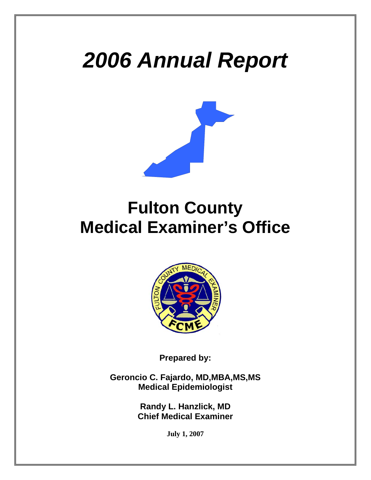# *2006 Annual Report*



# **Fulton County Medical Examiner's Office**



**Prepared by:** 

**Geroncio C. Fajardo, MD,MBA,MS,MS Medical Epidemiologist** 

> **Randy L. Hanzlick, MD Chief Medical Examiner**

> > **July 1, 2007**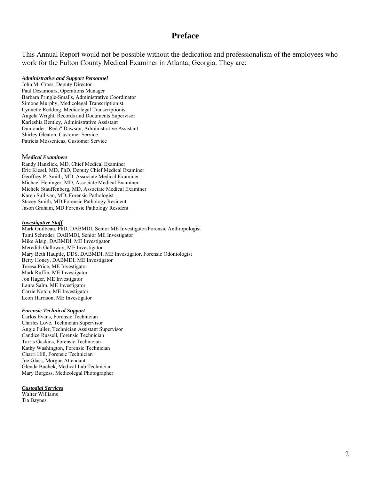#### **Preface**

This Annual Report would not be possible without the dedication and professionalism of the employees who work for the Fulton County Medical Examiner in Atlanta, Georgia. They are:

#### *Administrative and Support Personnel*

John M. Cross, Deputy Director Paul Desamours, Operations Manager Barbara Pringle-Smalls, Administrative Coordinator Simone Murphy, Medicolegal Transcriptionist Lynnette Redding, Medicolegal Transcriptionist Angela Wright, Records and Documents Supervisor Karleshia Bentley, Administrative Assistant Dumonder "Reda" Dawson, Administrative Assistant Shirley Gleaton, Customer Service Patricia Mossenicas, Customer Service

#### M*edical Examiners*

Randy Hanzlick, MD, Chief Medical Examiner Eric Kiesel, MD, PhD, Deputy Chief Medical Examiner Geoffrey P. Smith, MD, Associate Medical Examiner Michael Heninger, MD, Associate Medical Examiner Michele Stauffenberg, MD, Associate Medical Examiner Karen Sullivan, MD, Forensic Pathologist Stacey Smith, MD Forensic Pathology Resident Jason Graham, MD Forensic Pathology Resident

#### *Investigative Staff*

Mark Guilbeau, PhD, DABMDI, Senior ME Investigator/Forensic Anthropologist Tami Schroder, DABMDI, Senior ME Investigator Mike Alsip, DABMDI, ME Investigator Meredith Galloway, ME Investigator Mary Beth Hauptle, DDS, DABMDI, ME Investigator, Forensic Odontologist Betty Honey, DABMDI, ME Investigator Teresa Price, ME Investigator Mark Ruffin, ME Investigator Jon Hager, ME Investigator Laura Salm, ME Investigator Carrie Notch, ME Investigator Leon Harrison, ME Investigator

#### *Forensic Technical Support*

Carlos Evans, Forensic Technician Charles Love, Technician Supervisor Angie Fuller, Technician Assistant Supervisor Candice Russell, Forensic Technician Tarris Gaskins, Forensic Technician Kathy Washington, Forensic Technician Charri Hill, Forensic Technician Joe Glass, Morgue Attendant Glenda Buchek, Medical Lab Technician Mary Burgess, Medicolegal Photographer

#### *Custodial Services*

Walter Williams Tia Baynes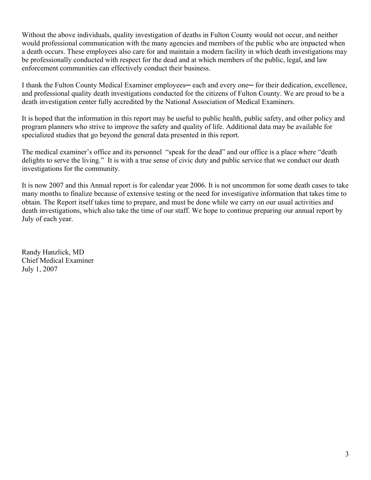Without the above individuals, quality investigation of deaths in Fulton County would not occur, and neither would professional communication with the many agencies and members of the public who are impacted when a death occurs. These employees also care for and maintain a modern facility in which death investigations may be professionally conducted with respect for the dead and at which members of the public, legal, and law enforcement communities can effectively conduct their business.

I thank the Fulton County Medical Examiner employees— each and every one— for their dedication, excellence, and professional quality death investigations conducted for the citizens of Fulton County. We are proud to be a death investigation center fully accredited by the National Association of Medical Examiners.

It is hoped that the information in this report may be useful to public health, public safety, and other policy and program planners who strive to improve the safety and quality of life. Additional data may be available for specialized studies that go beyond the general data presented in this report.

The medical examiner's office and its personnel "speak for the dead" and our office is a place where "death delights to serve the living." It is with a true sense of civic duty and public service that we conduct our death investigations for the community.

It is now 2007 and this Annual report is for calendar year 2006. It is not uncommon for some death cases to take many months to finalize because of extensive testing or the need for investigative information that takes time to obtain. The Report itself takes time to prepare, and must be done while we carry on our usual activities and death investigations, which also take the time of our staff. We hope to continue preparing our annual report by July of each year.

Randy Hanzlick, MD Chief Medical Examiner July 1, 2007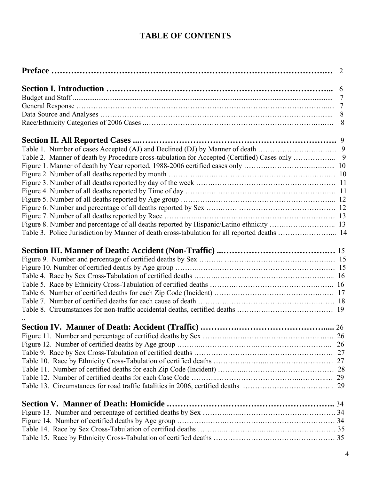# **TABLE OF CONTENTS**

|                                                                                              | 8 |
|----------------------------------------------------------------------------------------------|---|
|                                                                                              |   |
|                                                                                              |   |
|                                                                                              |   |
|                                                                                              |   |
|                                                                                              |   |
|                                                                                              |   |
|                                                                                              |   |
|                                                                                              |   |
|                                                                                              |   |
|                                                                                              |   |
|                                                                                              |   |
| Table 3. Police Jurisdiction by Manner of death cross-tabulation for all reported deaths  14 |   |
|                                                                                              |   |
|                                                                                              |   |
|                                                                                              |   |
|                                                                                              |   |
|                                                                                              |   |
|                                                                                              |   |
|                                                                                              |   |
|                                                                                              |   |
|                                                                                              |   |
|                                                                                              |   |
|                                                                                              |   |
|                                                                                              |   |
|                                                                                              |   |
|                                                                                              |   |
|                                                                                              |   |
|                                                                                              |   |
|                                                                                              |   |
|                                                                                              |   |
|                                                                                              |   |
|                                                                                              |   |
|                                                                                              |   |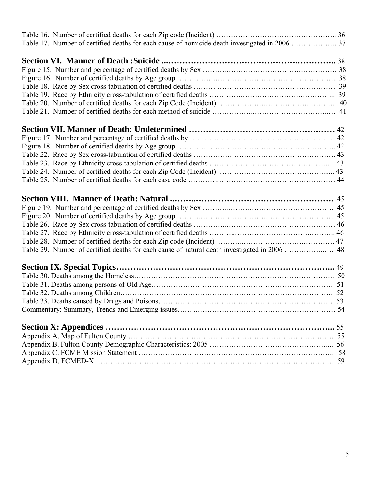| Table 29. Number of certified deaths for each cause of natural death investigated in 2006  48 |  |
|-----------------------------------------------------------------------------------------------|--|
|                                                                                               |  |
|                                                                                               |  |
|                                                                                               |  |
|                                                                                               |  |
|                                                                                               |  |
|                                                                                               |  |
|                                                                                               |  |
|                                                                                               |  |
|                                                                                               |  |
|                                                                                               |  |
|                                                                                               |  |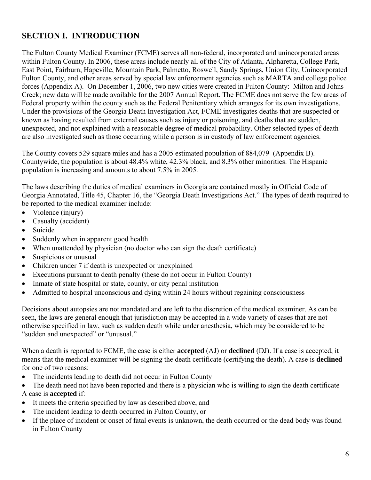# **SECTION I. INTRODUCTION**

The Fulton County Medical Examiner (FCME) serves all non-federal, incorporated and unincorporated areas within Fulton County. In 2006, these areas include nearly all of the City of Atlanta, Alpharetta, College Park, East Point, Fairburn, Hapeville, Mountain Park, Palmetto, Roswell, Sandy Springs, Union City, Unincorporated Fulton County, and other areas served by special law enforcement agencies such as MARTA and college police forces (Appendix A). On December 1, 2006, two new cities were created in Fulton County: Milton and Johns Creek; new data will be made available for the 2007 Annual Report. The FCME does not serve the few areas of Federal property within the county such as the Federal Penitentiary which arranges for its own investigations. Under the provisions of the Georgia Death Investigation Act, FCME investigates deaths that are suspected or known as having resulted from external causes such as injury or poisoning, and deaths that are sudden, unexpected, and not explained with a reasonable degree of medical probability. Other selected types of death are also investigated such as those occurring while a person is in custody of law enforcement agencies.

The County covers 529 square miles and has a 2005 estimated population of 884,079 (Appendix B). Countywide, the population is about 48.4% white, 42.3% black, and 8.3% other minorities. The Hispanic population is increasing and amounts to about 7.5% in 2005.

The laws describing the duties of medical examiners in Georgia are contained mostly in Official Code of Georgia Annotated, Title 45, Chapter 16, the "Georgia Death Investigations Act." The types of death required to be reported to the medical examiner include:

- Violence (injury)
- Casualty (accident)
- Suicide
- Suddenly when in apparent good health
- When unattended by physician (no doctor who can sign the death certificate)
- Suspicious or unusual
- Children under 7 if death is unexpected or unexplained
- Executions pursuant to death penalty (these do not occur in Fulton County)
- Inmate of state hospital or state, county, or city penal institution
- Admitted to hospital unconscious and dying within 24 hours without regaining consciousness

Decisions about autopsies are not mandated and are left to the discretion of the medical examiner. As can be seen, the laws are general enough that jurisdiction may be accepted in a wide variety of cases that are not otherwise specified in law, such as sudden death while under anesthesia, which may be considered to be "sudden and unexpected" or "unusual."

When a death is reported to FCME, the case is either **accepted** (AJ) or **declined** (DJ). If a case is accepted, it means that the medical examiner will be signing the death certificate (certifying the death). A case is **declined**  for one of two reasons:

- The incidents leading to death did not occur in Fulton County
- The death need not have been reported and there is a physician who is willing to sign the death certificate A case is **accepted** if:
- It meets the criteria specified by law as described above, and
- The incident leading to death occurred in Fulton County, or
- If the place of incident or onset of fatal events is unknown, the death occurred or the dead body was found in Fulton County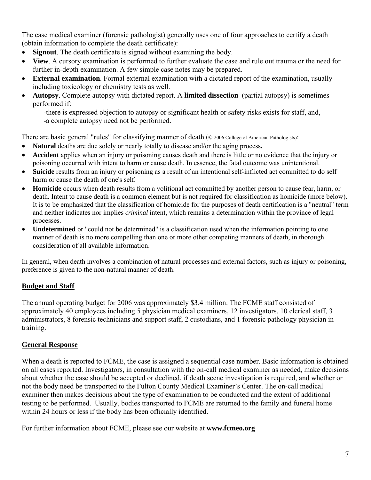The case medical examiner (forensic pathologist) generally uses one of four approaches to certify a death (obtain information to complete the death certificate):

- **Signout**. The death certificate is signed without examining the body.
- **View**. A cursory examination is performed to further evaluate the case and rule out trauma or the need for further in-depth examination. A few simple case notes may be prepared.
- **External examination**. Formal external examination with a dictated report of the examination, usually including toxicology or chemistry tests as well.
- **Autopsy**. Complete autopsy with dictated report. A **limited dissection** (partial autopsy) is sometimes performed if:

-there is expressed objection to autopsy or significant health or safety risks exists for staff, and, -a complete autopsy need not be performed.

There are basic general "rules" for classifying manner of death ( $\odot$  2006 College of American Pathologists):

- **Natural** deaths are due solely or nearly totally to disease and/or the aging process**.**
- **Accident** applies when an injury or poisoning causes death and there is little or no evidence that the injury or poisoning occurred with intent to harm or cause death. In essence, the fatal outcome was unintentional.
- **Suicide** results from an injury or poisoning as a result of an intentional self-inflicted act committed to do self harm or cause the death of one's self.
- **Homicide** occurs when death results from a volitional act committed by another person to cause fear, harm, or death. Intent to cause death is a common element but is not required for classification as homicide (more below). It is to be emphasized that the classification of homicide for the purposes of death certification is a "neutral" term and neither indicates nor implies *criminal* intent, which remains a determination within the province of legal processes.
- **Undetermined** or "could not be determined" is a classification used when the information pointing to one manner of death is no more compelling than one or more other competing manners of death, in thorough consideration of all available information.

In general, when death involves a combination of natural processes and external factors, such as injury or poisoning, preference is given to the non-natural manner of death.

#### **Budget and Staff**

The annual operating budget for 2006 was approximately \$3.4 million. The FCME staff consisted of approximately 40 employees including 5 physician medical examiners, 12 investigators, 10 clerical staff, 3 administrators, 8 forensic technicians and support staff, 2 custodians, and 1 forensic pathology physician in training.

#### **General Response**

When a death is reported to FCME, the case is assigned a sequential case number. Basic information is obtained on all cases reported. Investigators, in consultation with the on-call medical examiner as needed, make decisions about whether the case should be accepted or declined, if death scene investigation is required, and whether or not the body need be transported to the Fulton County Medical Examiner's Center. The on-call medical examiner then makes decisions about the type of examination to be conducted and the extent of additional testing to be performed. Usually, bodies transported to FCME are returned to the family and funeral home within 24 hours or less if the body has been officially identified.

For further information about FCME, please see our website at **www.fcmeo.org**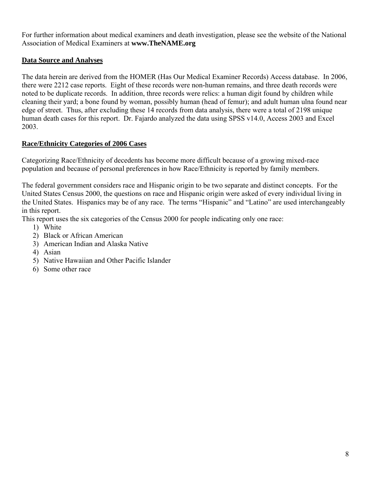For further information about medical examiners and death investigation, please see the website of the National Association of Medical Examiners at **www.TheNAME.org**

#### **Data Source and Analyses**

The data herein are derived from the HOMER (Has Our Medical Examiner Records) Access database. In 2006, there were 2212 case reports. Eight of these records were non-human remains, and three death records were noted to be duplicate records. In addition, three records were relics: a human digit found by children while cleaning their yard; a bone found by woman, possibly human (head of femur); and adult human ulna found near edge of street. Thus, after excluding these 14 records from data analysis, there were a total of 2198 unique human death cases for this report. Dr. Fajardo analyzed the data using SPSS v14.0, Access 2003 and Excel 2003.

#### **Race/Ethnicity Categories of 2006 Cases**

Categorizing Race/Ethnicity of decedents has become more difficult because of a growing mixed-race population and because of personal preferences in how Race/Ethnicity is reported by family members.

The federal government considers race and Hispanic origin to be two separate and distinct concepts. For the United States Census 2000, the questions on race and Hispanic origin were asked of every individual living in the United States. Hispanics may be of any race. The terms "Hispanic" and "Latino" are used interchangeably in this report.

This report uses the six categories of the Census 2000 for people indicating only one race:

- 1) White
- 2) Black or African American
- 3) American Indian and Alaska Native
- 4) Asian
- 5) Native Hawaiian and Other Pacific Islander
- 6) Some other race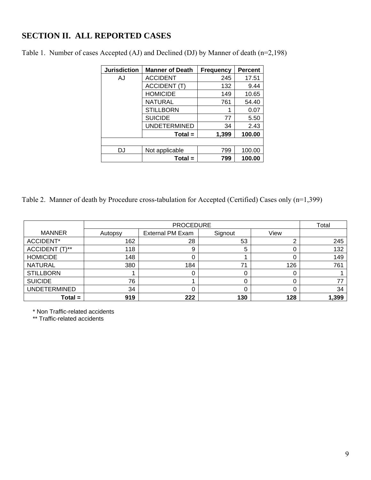## **SECTION II. ALL REPORTED CASES**

| <b>Jurisdiction</b> | <b>Manner of Death</b> | <b>Frequency</b> | <b>Percent</b> |
|---------------------|------------------------|------------------|----------------|
| AJ                  | <b>ACCIDENT</b>        | 245              | 17.51          |
|                     | <b>ACCIDENT (T)</b>    | 132              | 9.44           |
|                     | <b>HOMICIDE</b>        | 149              | 10.65          |
|                     | <b>NATURAL</b>         | 761              | 54.40          |
|                     | <b>STILLBORN</b>       |                  | 0.07           |
|                     | <b>SUICIDE</b>         | 77               | 5.50           |
|                     | <b>UNDETERMINED</b>    | 34               | 2.43           |
|                     | $Total =$              | 1,399            | 100.00         |
|                     |                        |                  |                |
| DJ                  | Not applicable         | 799              | 100.00         |
|                     | $Total =$              | 799              | 100.00         |

Table 1. Number of cases Accepted (AJ) and Declined (DJ) by Manner of death (n=2,198)

Table 2. Manner of death by Procedure cross-tabulation for Accepted (Certified) Cases only (n=1,399)

|                     |         | Total                   |         |      |       |
|---------------------|---------|-------------------------|---------|------|-------|
| <b>MANNER</b>       | Autopsy | <b>External PM Exam</b> | Signout | View |       |
| ACCIDENT*           | 162     | 28                      | 53      |      | 245   |
| ACCIDENT (T)**      | 118     | 9                       | 5       | 0    | 132   |
| <b>HOMICIDE</b>     | 148     |                         |         |      | 149   |
| <b>NATURAL</b>      | 380     | 184                     | 71      | 126  | 761   |
| <b>STILLBORN</b>    |         |                         |         | 0    |       |
| <b>SUICIDE</b>      | 76      |                         |         |      |       |
| <b>UNDETERMINED</b> | 34      |                         |         | 0    | 34    |
| $Total =$           | 919     | 222                     | 130     | 128  | 1,399 |

\* Non Traffic-related accidents

\*\* Traffic-related accidents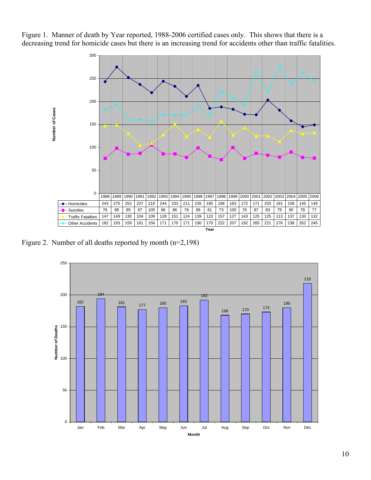Figure 1. Manner of death by Year reported, 1988-2006 certified cases only. This shows that there is a decreasing trend for homicide cases but there is an increasing trend for accidents other than traffic fatalities.



Figure 2. Number of all deaths reported by month (n=2,198)

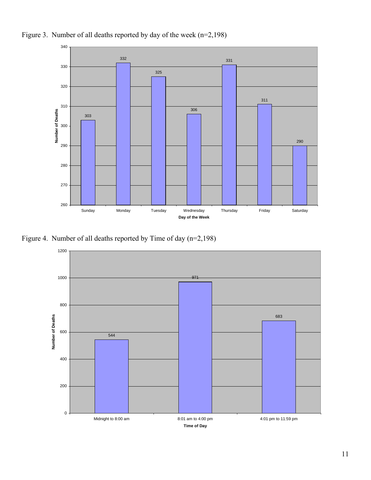

Figure 3. Number of all deaths reported by day of the week (n=2,198)

Figure 4. Number of all deaths reported by Time of day (n=2,198)

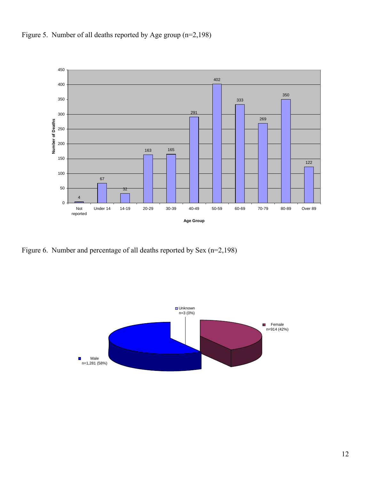



Figure 6. Number and percentage of all deaths reported by Sex (n=2,198)

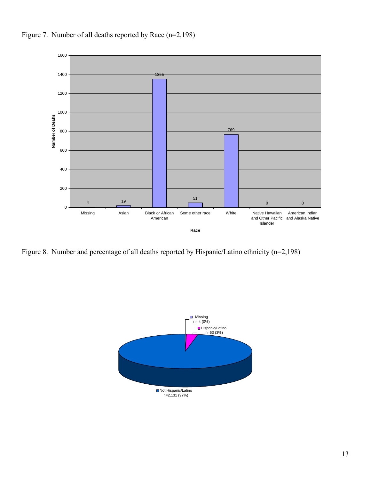

Figure 7. Number of all deaths reported by Race (n=2,198)

Figure 8. Number and percentage of all deaths reported by Hispanic/Latino ethnicity (n=2,198)

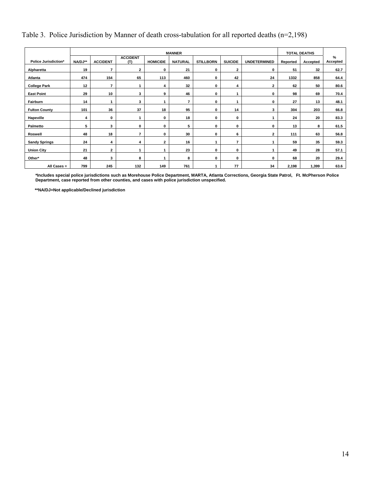## Table 3. Police Jurisdiction by Manner of death cross-tabulation for all reported deaths (n=2,198)

|                             | <b>MANNER</b> |                 |                        |                 |                |                  |                |                     |          | <b>TOTAL DEATHS</b> |                  |
|-----------------------------|---------------|-----------------|------------------------|-----------------|----------------|------------------|----------------|---------------------|----------|---------------------|------------------|
| <b>Police Jurisdiction*</b> | NA/DJ**       | <b>ACCIDENT</b> | <b>ACCIDENT</b><br>(T) | <b>HOMICIDE</b> | <b>NATURAL</b> | <b>STILLBORN</b> | <b>SUICIDE</b> | <b>UNDETERMINED</b> | Reported | Accepted            | $\%$<br>Accepted |
| Alpharetta                  | 19            | $\overline{7}$  | $\mathbf{2}$           | $\mathbf 0$     | 21             | 0                | 2              | 0                   | 51       | 32                  | 62.7             |
| <b>Atlanta</b>              | 474           | 154             | 65                     | 113             | 460            | 0                | 42             | 24                  | 1332     | 858                 | 64.4             |
| <b>College Park</b>         | 12            | $\overline{7}$  |                        | 4               | 32             | 0                | 4              | $\mathbf{2}$        | 62       | 50                  | 80.6             |
| <b>East Point</b>           | 29            | 10              | 3                      | 9               | 46             | 0                |                | 0                   | 98       | 69                  | 70.4             |
| Fairburn                    | 14            | $\mathbf{1}$    | 3                      |                 | $\overline{7}$ | 0                |                | 0                   | 27       | 13                  | 48.1             |
| <b>Fulton County</b>        | 101           | 36              | 37                     | 18              | 95             | 0                | 14             | 3                   | 304      | 203                 | 66.8             |
| Hapeville                   | 4             | 0               |                        | $\mathbf 0$     | 18             | 0                | 0              | 1                   | 24       | 20                  | 83.3             |
| Palmetto                    | 5             | 3               | $\mathbf 0$            | 0               | 5              | 0                | 0              | 0                   | 13       | 8                   | 61.5             |
| Roswell                     | 48            | 18              | $\overline{7}$         | 0               | 30             | 0                | 6              | 2                   | 111      | 63                  | 56.8             |
| <b>Sandy Springs</b>        | 24            | 4               | 4                      | $\mathbf{2}$    | 16             |                  | 7              |                     | 59       | 35                  | 59.3             |
| <b>Union City</b>           | 21            | $\mathbf{2}$    |                        |                 | 23             | 0                | 0              | -1                  | 49       | 28                  | 57.1             |
| Other*                      | 48            | 3               | 8                      |                 | 8              | 0                | 0              | 0                   | 68       | 20                  | 29.4             |
| All Cases =                 | 799           | 245             | 132                    | 149             | 761            | 1                | 77             | 34                  | 2,198    | 1,399               | 63.6             |

**\*Includes special police jurisdictions such as Morehouse Police Department, MARTA, Atlanta Corrections, Georgia State Patrol, Ft. McPherson Police Department, case reported from other counties, and cases with police jurisdiction unspecified.** 

 **\*\*NA/DJ=Not applicable/Declined jurisdiction**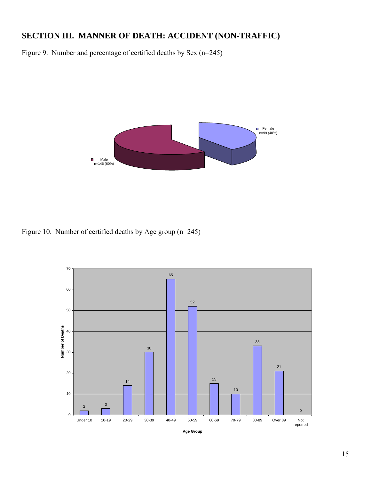## **SECTION III. MANNER OF DEATH: ACCIDENT (NON-TRAFFIC)**

Figure 9. Number and percentage of certified deaths by Sex (n=245)



Figure 10. Number of certified deaths by Age group (n=245)

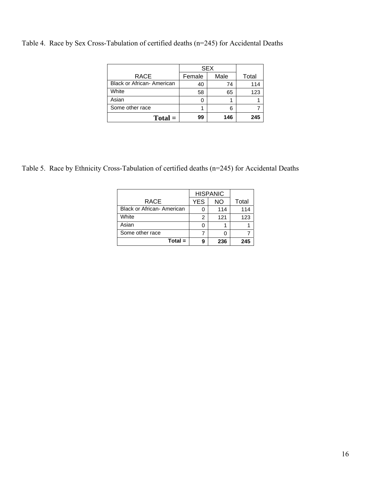Table 4. Race by Sex Cross-Tabulation of certified deaths (n=245) for Accidental Deaths

|                                   |        | <b>SEX</b> |       |
|-----------------------------------|--------|------------|-------|
| RACE                              | Female | Male       | Total |
| <b>Black or African- American</b> | 40     | 74         | 114   |
| White                             | 58     | 65         | 123   |
| Asian                             |        |            |       |
| Some other race                   |        |            |       |
| $Total =$                         | 99     | 146        | 245   |

Table 5. Race by Ethnicity Cross-Tabulation of certified deaths (n=245) for Accidental Deaths

|                            |     | <b>HISPANIC</b> |       |
|----------------------------|-----|-----------------|-------|
| RACE                       | YES | <b>NO</b>       | Total |
| Black or African- American |     | 114             | 114   |
| White                      | 2   | 121             | 123   |
| Asian                      |     |                 |       |
| Some other race            |     |                 |       |
| $Total =$                  | ą   | 236             | 245   |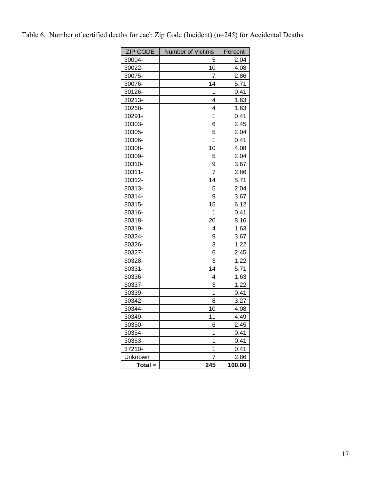| <b>ZIP CODE</b> | Number of Victims | Percent |
|-----------------|-------------------|---------|
| 30004-          | 5                 | 2.04    |
| 30022-          | 10                | 4.08    |
| 30075-          | 7                 | 2.86    |
| 30076-          | 14                | 5.71    |
| 30126-          | 1                 | 0.41    |
| 30213-          | 4                 | 1.63    |
| 30268-          | 4                 | 1.63    |
| 30291-          | 1                 | 0.41    |
| 30303-          | 6                 | 2.45    |
| 30305-          | 5                 | 2.04    |
| 30306-          | 1                 | 0.41    |
| 30308-          | 10                | 4.08    |
| 30309-          | 5                 | 2.04    |
| 30310-          | 9                 | 3.67    |
| 30311-          | $\overline{7}$    | 2.86    |
| 30312-          | 14                | 5.71    |
| 30313-          | 5                 | 2.04    |
| 30314-          | 9                 | 3.67    |
| 30315-          | 15                | 6.12    |
| 30316-          | 1                 | 0.41    |
| 30318-          | 20                | 8.16    |
| 30319-          | 4                 | 1.63    |
| 30324-          | 9                 | 3.67    |
| 30326-          | 3                 | 1.22    |
| 30327-          | 6                 | 2.45    |
| 30328-          | 3                 | 1.22    |
| 30331-          | 14                | 5.71    |
| 30336-          | 4                 | 1.63    |
| 30337-          | 3                 | 1.22    |
| 30339-          | 1                 | 0.41    |
| 30342-          | 8                 | 3.27    |
| 30344-          | 10                | 4.08    |
| 30349-          | 11                | 4.49    |
| 30350-          | 6                 | 2.45    |
| 30354-          | 1                 | 0.41    |
| 30363-          | 1                 | 0.41    |
| 37210-          | 1                 | 0.41    |
| Unknown         | 7                 | 2.86    |
| Total =         | 245               | 100.00  |

Table 6. Number of certified deaths for each Zip Code (Incident) (n=245) for Accidental Deaths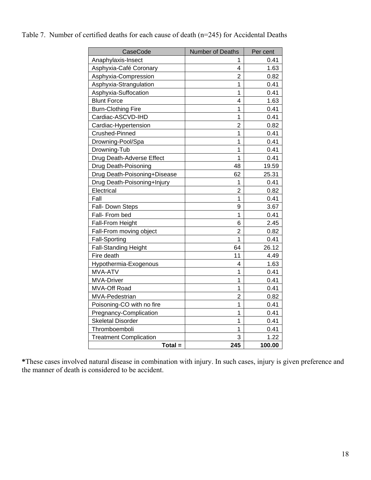| CaseCode                      | Number of Deaths | Per cent |
|-------------------------------|------------------|----------|
| Anaphylaxis-Insect            | 1                | 0.41     |
| Asphyxia-Café Coronary        | 4                | 1.63     |
| Asphyxia-Compression          | $\overline{2}$   | 0.82     |
| Asphyxia-Strangulation        | 1                | 0.41     |
| Asphyxia-Suffocation          | $\mathbf{1}$     | 0.41     |
| <b>Blunt Force</b>            | 4                | 1.63     |
| <b>Burn-Clothing Fire</b>     | 1                | 0.41     |
| Cardiac-ASCVD-IHD             | $\mathbf{1}$     | 0.41     |
| Cardiac-Hypertension          | $\overline{2}$   | 0.82     |
| Crushed-Pinned                | $\mathbf{1}$     | 0.41     |
| Drowning-Pool/Spa             | 1                | 0.41     |
| Drowning-Tub                  | 1                | 0.41     |
| Drug Death-Adverse Effect     | $\overline{1}$   | 0.41     |
| Drug Death-Poisoning          | 48               | 19.59    |
| Drug Death-Poisoning+Disease  | 62               | 25.31    |
| Drug Death-Poisoning+Injury   | 1                | 0.41     |
| Electrical                    | $\overline{2}$   | 0.82     |
| Fall                          | 1                | 0.41     |
| Fall- Down Steps              | 9                | 3.67     |
| Fall- From bed                | 1                | 0.41     |
| Fall-From Height              | 6                | 2.45     |
| Fall-From moving object       | $\overline{2}$   | 0.82     |
| <b>Fall-Sporting</b>          | $\overline{1}$   | 0.41     |
| <b>Fall-Standing Height</b>   | 64               | 26.12    |
| Fire death                    | 11               | 4.49     |
| Hypothermia-Exogenous         | 4                | 1.63     |
| MVA-ATV                       | $\overline{1}$   | 0.41     |
| <b>MVA-Driver</b>             | $\overline{1}$   | 0.41     |
| <b>MVA-Off Road</b>           | 1                | 0.41     |
| MVA-Pedestrian                | $\overline{2}$   | 0.82     |
| Poisoning-CO with no fire     | $\overline{1}$   | 0.41     |
| Pregnancy-Complication        | 1                | 0.41     |
| <b>Skeletal Disorder</b>      | 1                | 0.41     |
| Thromboemboli                 | 1                | 0.41     |
| <b>Treatment Complication</b> | 3                | 1.22     |
| $Total =$                     | 245              | 100.00   |

Table 7. Number of certified deaths for each cause of death (n=245) for Accidental Deaths

**\***These cases involved natural disease in combination with injury. In such cases, injury is given preference and the manner of death is considered to be accident.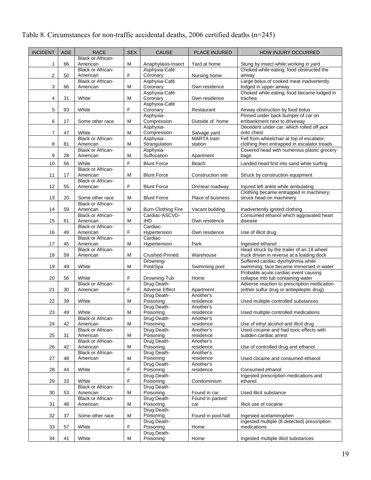# Table 8. Circumstances for non-traffic accidental deaths, 2006 certified deaths (n=245)

| <b>Black or African-</b><br>1<br>66<br>American<br>М<br>Anaphylaxis-Insect<br>Yard at home<br>Stung by insect while working in yard<br>Choked while eating; food obstructed the<br>Asphyxia-Café<br><b>Black or African-</b><br>$\mathbf 2$<br>F<br>50<br>American<br>Coronary<br>Nursing home<br>airway<br>Large bolus of cooked meat inadvertently<br><b>Black or African-</b><br>Asphyxia-Café<br>3<br>Coronary<br>lodged in upper airway<br>66<br>American<br>Μ<br>Own residence<br>Asphyxia-Café<br>Choked while eating; food became lodged in<br>4<br>31<br>White<br>М<br>Coronary<br>Own residence<br>trachea<br>Asphyxia-Café<br>$\mathbf 5$<br>F<br>Coronary<br>93<br>White<br>Restaurant<br>Airway obstruction by food bolus<br>Pinned under back bumper of car on<br>Asphyxia-<br>6<br>17<br>Compression<br>Some other race<br>M<br>Outside of home<br>embankment next to driveway<br>Decedent under car, which rolled off jack<br>Asphyxia-<br>$\overline{7}$<br>47<br>Compression<br>White<br>M<br>onto chest<br>Salvage yard<br>Fell from wheelchair at top of escalator;<br><b>Black or African-</b><br><b>MARTA</b> train<br>Asphyxia-<br>8<br>81<br>Strangulation<br>clothing then entrapped in escalator treads<br>American<br>М<br>station<br><b>Black or African-</b><br>Asphyxia-<br>Covered head with numerous plastic grocery<br>9<br>28<br>Μ<br>Suffocation<br>American<br>Apartment<br>bags<br>F<br>10<br>56<br>White<br>Landed head first into sand while surfing<br><b>Blunt Force</b><br>Beach<br><b>Black or African-</b><br>11<br>17<br>М<br><b>Blunt Force</b><br>American<br>Construction site<br>Struck by construction equipment<br>Black or African-<br>12<br>55<br>F<br><b>Blunt Force</b><br>On/near roadway<br>Injured left ankle while ambulating<br>American<br>Clothing became entrapped in machinery;<br>13<br>struck head on machinery<br>20<br>M<br><b>Blunt Force</b><br>Place of business<br>Some other race<br><b>Black or African-</b><br>14<br>59<br>American<br>M<br><b>Burn-Clothing Fire</b><br>Vacant building<br>Inadvertently ignited clothing<br>Cardiac-ASCVD-<br>Consumed ethanol which aggravated heart<br><b>Black or African-</b> |  |
|------------------------------------------------------------------------------------------------------------------------------------------------------------------------------------------------------------------------------------------------------------------------------------------------------------------------------------------------------------------------------------------------------------------------------------------------------------------------------------------------------------------------------------------------------------------------------------------------------------------------------------------------------------------------------------------------------------------------------------------------------------------------------------------------------------------------------------------------------------------------------------------------------------------------------------------------------------------------------------------------------------------------------------------------------------------------------------------------------------------------------------------------------------------------------------------------------------------------------------------------------------------------------------------------------------------------------------------------------------------------------------------------------------------------------------------------------------------------------------------------------------------------------------------------------------------------------------------------------------------------------------------------------------------------------------------------------------------------------------------------------------------------------------------------------------------------------------------------------------------------------------------------------------------------------------------------------------------------------------------------------------------------------------------------------------------------------------------------------------------------------------------------------------------------------------------------|--|
|                                                                                                                                                                                                                                                                                                                                                                                                                                                                                                                                                                                                                                                                                                                                                                                                                                                                                                                                                                                                                                                                                                                                                                                                                                                                                                                                                                                                                                                                                                                                                                                                                                                                                                                                                                                                                                                                                                                                                                                                                                                                                                                                                                                                |  |
|                                                                                                                                                                                                                                                                                                                                                                                                                                                                                                                                                                                                                                                                                                                                                                                                                                                                                                                                                                                                                                                                                                                                                                                                                                                                                                                                                                                                                                                                                                                                                                                                                                                                                                                                                                                                                                                                                                                                                                                                                                                                                                                                                                                                |  |
|                                                                                                                                                                                                                                                                                                                                                                                                                                                                                                                                                                                                                                                                                                                                                                                                                                                                                                                                                                                                                                                                                                                                                                                                                                                                                                                                                                                                                                                                                                                                                                                                                                                                                                                                                                                                                                                                                                                                                                                                                                                                                                                                                                                                |  |
|                                                                                                                                                                                                                                                                                                                                                                                                                                                                                                                                                                                                                                                                                                                                                                                                                                                                                                                                                                                                                                                                                                                                                                                                                                                                                                                                                                                                                                                                                                                                                                                                                                                                                                                                                                                                                                                                                                                                                                                                                                                                                                                                                                                                |  |
|                                                                                                                                                                                                                                                                                                                                                                                                                                                                                                                                                                                                                                                                                                                                                                                                                                                                                                                                                                                                                                                                                                                                                                                                                                                                                                                                                                                                                                                                                                                                                                                                                                                                                                                                                                                                                                                                                                                                                                                                                                                                                                                                                                                                |  |
|                                                                                                                                                                                                                                                                                                                                                                                                                                                                                                                                                                                                                                                                                                                                                                                                                                                                                                                                                                                                                                                                                                                                                                                                                                                                                                                                                                                                                                                                                                                                                                                                                                                                                                                                                                                                                                                                                                                                                                                                                                                                                                                                                                                                |  |
|                                                                                                                                                                                                                                                                                                                                                                                                                                                                                                                                                                                                                                                                                                                                                                                                                                                                                                                                                                                                                                                                                                                                                                                                                                                                                                                                                                                                                                                                                                                                                                                                                                                                                                                                                                                                                                                                                                                                                                                                                                                                                                                                                                                                |  |
|                                                                                                                                                                                                                                                                                                                                                                                                                                                                                                                                                                                                                                                                                                                                                                                                                                                                                                                                                                                                                                                                                                                                                                                                                                                                                                                                                                                                                                                                                                                                                                                                                                                                                                                                                                                                                                                                                                                                                                                                                                                                                                                                                                                                |  |
|                                                                                                                                                                                                                                                                                                                                                                                                                                                                                                                                                                                                                                                                                                                                                                                                                                                                                                                                                                                                                                                                                                                                                                                                                                                                                                                                                                                                                                                                                                                                                                                                                                                                                                                                                                                                                                                                                                                                                                                                                                                                                                                                                                                                |  |
|                                                                                                                                                                                                                                                                                                                                                                                                                                                                                                                                                                                                                                                                                                                                                                                                                                                                                                                                                                                                                                                                                                                                                                                                                                                                                                                                                                                                                                                                                                                                                                                                                                                                                                                                                                                                                                                                                                                                                                                                                                                                                                                                                                                                |  |
|                                                                                                                                                                                                                                                                                                                                                                                                                                                                                                                                                                                                                                                                                                                                                                                                                                                                                                                                                                                                                                                                                                                                                                                                                                                                                                                                                                                                                                                                                                                                                                                                                                                                                                                                                                                                                                                                                                                                                                                                                                                                                                                                                                                                |  |
|                                                                                                                                                                                                                                                                                                                                                                                                                                                                                                                                                                                                                                                                                                                                                                                                                                                                                                                                                                                                                                                                                                                                                                                                                                                                                                                                                                                                                                                                                                                                                                                                                                                                                                                                                                                                                                                                                                                                                                                                                                                                                                                                                                                                |  |
|                                                                                                                                                                                                                                                                                                                                                                                                                                                                                                                                                                                                                                                                                                                                                                                                                                                                                                                                                                                                                                                                                                                                                                                                                                                                                                                                                                                                                                                                                                                                                                                                                                                                                                                                                                                                                                                                                                                                                                                                                                                                                                                                                                                                |  |
|                                                                                                                                                                                                                                                                                                                                                                                                                                                                                                                                                                                                                                                                                                                                                                                                                                                                                                                                                                                                                                                                                                                                                                                                                                                                                                                                                                                                                                                                                                                                                                                                                                                                                                                                                                                                                                                                                                                                                                                                                                                                                                                                                                                                |  |
|                                                                                                                                                                                                                                                                                                                                                                                                                                                                                                                                                                                                                                                                                                                                                                                                                                                                                                                                                                                                                                                                                                                                                                                                                                                                                                                                                                                                                                                                                                                                                                                                                                                                                                                                                                                                                                                                                                                                                                                                                                                                                                                                                                                                |  |
|                                                                                                                                                                                                                                                                                                                                                                                                                                                                                                                                                                                                                                                                                                                                                                                                                                                                                                                                                                                                                                                                                                                                                                                                                                                                                                                                                                                                                                                                                                                                                                                                                                                                                                                                                                                                                                                                                                                                                                                                                                                                                                                                                                                                |  |
|                                                                                                                                                                                                                                                                                                                                                                                                                                                                                                                                                                                                                                                                                                                                                                                                                                                                                                                                                                                                                                                                                                                                                                                                                                                                                                                                                                                                                                                                                                                                                                                                                                                                                                                                                                                                                                                                                                                                                                                                                                                                                                                                                                                                |  |
|                                                                                                                                                                                                                                                                                                                                                                                                                                                                                                                                                                                                                                                                                                                                                                                                                                                                                                                                                                                                                                                                                                                                                                                                                                                                                                                                                                                                                                                                                                                                                                                                                                                                                                                                                                                                                                                                                                                                                                                                                                                                                                                                                                                                |  |
|                                                                                                                                                                                                                                                                                                                                                                                                                                                                                                                                                                                                                                                                                                                                                                                                                                                                                                                                                                                                                                                                                                                                                                                                                                                                                                                                                                                                                                                                                                                                                                                                                                                                                                                                                                                                                                                                                                                                                                                                                                                                                                                                                                                                |  |
|                                                                                                                                                                                                                                                                                                                                                                                                                                                                                                                                                                                                                                                                                                                                                                                                                                                                                                                                                                                                                                                                                                                                                                                                                                                                                                                                                                                                                                                                                                                                                                                                                                                                                                                                                                                                                                                                                                                                                                                                                                                                                                                                                                                                |  |
| 15<br>61<br>M<br><b>IHD</b><br>Own residence<br>disease<br>American                                                                                                                                                                                                                                                                                                                                                                                                                                                                                                                                                                                                                                                                                                                                                                                                                                                                                                                                                                                                                                                                                                                                                                                                                                                                                                                                                                                                                                                                                                                                                                                                                                                                                                                                                                                                                                                                                                                                                                                                                                                                                                                            |  |
| Cardiac-<br><b>Black or African-</b><br>16<br>49<br>F<br>American<br>Hypertension<br>Use of illicit drug<br>Own residence                                                                                                                                                                                                                                                                                                                                                                                                                                                                                                                                                                                                                                                                                                                                                                                                                                                                                                                                                                                                                                                                                                                                                                                                                                                                                                                                                                                                                                                                                                                                                                                                                                                                                                                                                                                                                                                                                                                                                                                                                                                                      |  |
| <b>Black or African-</b><br>Cardiac-                                                                                                                                                                                                                                                                                                                                                                                                                                                                                                                                                                                                                                                                                                                                                                                                                                                                                                                                                                                                                                                                                                                                                                                                                                                                                                                                                                                                                                                                                                                                                                                                                                                                                                                                                                                                                                                                                                                                                                                                                                                                                                                                                           |  |
| 17<br>45<br>American<br>М<br>Hypertension<br>Park<br>Ingested ethanol                                                                                                                                                                                                                                                                                                                                                                                                                                                                                                                                                                                                                                                                                                                                                                                                                                                                                                                                                                                                                                                                                                                                                                                                                                                                                                                                                                                                                                                                                                                                                                                                                                                                                                                                                                                                                                                                                                                                                                                                                                                                                                                          |  |
| Head struck by the trailer of an 18 wheel<br><b>Black or African-</b><br>18<br>59<br>American<br>M<br>Crushed-Pinned<br>truck driven in reverse at a loading dock<br>Warehouse                                                                                                                                                                                                                                                                                                                                                                                                                                                                                                                                                                                                                                                                                                                                                                                                                                                                                                                                                                                                                                                                                                                                                                                                                                                                                                                                                                                                                                                                                                                                                                                                                                                                                                                                                                                                                                                                                                                                                                                                                 |  |
| Drowning-<br>Suffered cardiac dysrhythmia while                                                                                                                                                                                                                                                                                                                                                                                                                                                                                                                                                                                                                                                                                                                                                                                                                                                                                                                                                                                                                                                                                                                                                                                                                                                                                                                                                                                                                                                                                                                                                                                                                                                                                                                                                                                                                                                                                                                                                                                                                                                                                                                                                |  |
| 19<br>49<br>White<br>Pool/Spa<br>swimming; face became immersed in water<br>M<br>Swimming pool<br>Probable acute cardiac event causing                                                                                                                                                                                                                                                                                                                                                                                                                                                                                                                                                                                                                                                                                                                                                                                                                                                                                                                                                                                                                                                                                                                                                                                                                                                                                                                                                                                                                                                                                                                                                                                                                                                                                                                                                                                                                                                                                                                                                                                                                                                         |  |
| F<br>White<br>collapse into tub containing water<br>20<br>56<br>Drowning-Tub<br>Home                                                                                                                                                                                                                                                                                                                                                                                                                                                                                                                                                                                                                                                                                                                                                                                                                                                                                                                                                                                                                                                                                                                                                                                                                                                                                                                                                                                                                                                                                                                                                                                                                                                                                                                                                                                                                                                                                                                                                                                                                                                                                                           |  |
| Drug Death-<br><b>Black or African-</b><br>Adverse reaction to prescription medication                                                                                                                                                                                                                                                                                                                                                                                                                                                                                                                                                                                                                                                                                                                                                                                                                                                                                                                                                                                                                                                                                                                                                                                                                                                                                                                                                                                                                                                                                                                                                                                                                                                                                                                                                                                                                                                                                                                                                                                                                                                                                                         |  |
| 21<br>30<br>F<br><b>Adverse Effect</b><br>(either sulfur drug or antiepileptic drug)<br>American<br>Apartment<br>Drug Death-<br>Another's                                                                                                                                                                                                                                                                                                                                                                                                                                                                                                                                                                                                                                                                                                                                                                                                                                                                                                                                                                                                                                                                                                                                                                                                                                                                                                                                                                                                                                                                                                                                                                                                                                                                                                                                                                                                                                                                                                                                                                                                                                                      |  |
| 22<br>39<br>Poisoning<br>White<br>Μ<br>residence<br>Used multiple controlled substances                                                                                                                                                                                                                                                                                                                                                                                                                                                                                                                                                                                                                                                                                                                                                                                                                                                                                                                                                                                                                                                                                                                                                                                                                                                                                                                                                                                                                                                                                                                                                                                                                                                                                                                                                                                                                                                                                                                                                                                                                                                                                                        |  |
| Drug Death-<br>Another's<br>Poisoning<br>23<br>residence<br>49<br>White<br>М<br>Used multiple controlled medications                                                                                                                                                                                                                                                                                                                                                                                                                                                                                                                                                                                                                                                                                                                                                                                                                                                                                                                                                                                                                                                                                                                                                                                                                                                                                                                                                                                                                                                                                                                                                                                                                                                                                                                                                                                                                                                                                                                                                                                                                                                                           |  |
| <b>Black or African-</b><br>Drug Death-<br>Another's                                                                                                                                                                                                                                                                                                                                                                                                                                                                                                                                                                                                                                                                                                                                                                                                                                                                                                                                                                                                                                                                                                                                                                                                                                                                                                                                                                                                                                                                                                                                                                                                                                                                                                                                                                                                                                                                                                                                                                                                                                                                                                                                           |  |
| 42<br>24<br>M<br>Poisoning<br>Use of ethyl alcohol and illicit drug<br>American<br>residence                                                                                                                                                                                                                                                                                                                                                                                                                                                                                                                                                                                                                                                                                                                                                                                                                                                                                                                                                                                                                                                                                                                                                                                                                                                                                                                                                                                                                                                                                                                                                                                                                                                                                                                                                                                                                                                                                                                                                                                                                                                                                                   |  |
| Used cocaine and had toxic effects with<br>Drug Death-<br>Another's<br><b>Black or African-</b><br>25<br>31<br>American<br>M<br>Poisoning<br>residence<br>sudden cardiac arrest                                                                                                                                                                                                                                                                                                                                                                                                                                                                                                                                                                                                                                                                                                                                                                                                                                                                                                                                                                                                                                                                                                                                                                                                                                                                                                                                                                                                                                                                                                                                                                                                                                                                                                                                                                                                                                                                                                                                                                                                                |  |
| <b>Black or African-</b><br>Drug Death-<br>Another's                                                                                                                                                                                                                                                                                                                                                                                                                                                                                                                                                                                                                                                                                                                                                                                                                                                                                                                                                                                                                                                                                                                                                                                                                                                                                                                                                                                                                                                                                                                                                                                                                                                                                                                                                                                                                                                                                                                                                                                                                                                                                                                                           |  |
| 26<br>42<br>Poisoning<br>American<br>М<br>residence<br>Use of controlled drug and ethanol<br><b>Black or African-</b><br>Drug Death-<br>Another's                                                                                                                                                                                                                                                                                                                                                                                                                                                                                                                                                                                                                                                                                                                                                                                                                                                                                                                                                                                                                                                                                                                                                                                                                                                                                                                                                                                                                                                                                                                                                                                                                                                                                                                                                                                                                                                                                                                                                                                                                                              |  |
| 27<br>48<br>Poisoning<br>residence<br>Used cocaine and consumed ethanol<br>American<br>М                                                                                                                                                                                                                                                                                                                                                                                                                                                                                                                                                                                                                                                                                                                                                                                                                                                                                                                                                                                                                                                                                                                                                                                                                                                                                                                                                                                                                                                                                                                                                                                                                                                                                                                                                                                                                                                                                                                                                                                                                                                                                                       |  |
| Drug Death-<br>Another's                                                                                                                                                                                                                                                                                                                                                                                                                                                                                                                                                                                                                                                                                                                                                                                                                                                                                                                                                                                                                                                                                                                                                                                                                                                                                                                                                                                                                                                                                                                                                                                                                                                                                                                                                                                                                                                                                                                                                                                                                                                                                                                                                                       |  |
| F<br>Poisoning<br>28<br>White<br>residence<br>44<br>Consumed ethanol<br>Ingested prescription medications and<br>Drug Death-                                                                                                                                                                                                                                                                                                                                                                                                                                                                                                                                                                                                                                                                                                                                                                                                                                                                                                                                                                                                                                                                                                                                                                                                                                                                                                                                                                                                                                                                                                                                                                                                                                                                                                                                                                                                                                                                                                                                                                                                                                                                   |  |
| F<br>29<br>33<br>White<br>Poisoning<br>Condominium<br>ethanol                                                                                                                                                                                                                                                                                                                                                                                                                                                                                                                                                                                                                                                                                                                                                                                                                                                                                                                                                                                                                                                                                                                                                                                                                                                                                                                                                                                                                                                                                                                                                                                                                                                                                                                                                                                                                                                                                                                                                                                                                                                                                                                                  |  |
| <b>Black or African-</b><br>Drug Death-<br>30<br>53<br>Poisoning<br>Used illicit substance<br>American<br>М<br>Found in car                                                                                                                                                                                                                                                                                                                                                                                                                                                                                                                                                                                                                                                                                                                                                                                                                                                                                                                                                                                                                                                                                                                                                                                                                                                                                                                                                                                                                                                                                                                                                                                                                                                                                                                                                                                                                                                                                                                                                                                                                                                                    |  |
| Drug Death-<br>Found in parked<br><b>Black or African-</b>                                                                                                                                                                                                                                                                                                                                                                                                                                                                                                                                                                                                                                                                                                                                                                                                                                                                                                                                                                                                                                                                                                                                                                                                                                                                                                                                                                                                                                                                                                                                                                                                                                                                                                                                                                                                                                                                                                                                                                                                                                                                                                                                     |  |
| 31<br>48<br>Poisoning<br>American<br>М<br>Illicit use of cocaine<br>car                                                                                                                                                                                                                                                                                                                                                                                                                                                                                                                                                                                                                                                                                                                                                                                                                                                                                                                                                                                                                                                                                                                                                                                                                                                                                                                                                                                                                                                                                                                                                                                                                                                                                                                                                                                                                                                                                                                                                                                                                                                                                                                        |  |
| Drug Death-<br>32<br>37<br>Found in pool hall<br>Some other race<br>М<br>Poisoning<br>Ingested acetaminophen                                                                                                                                                                                                                                                                                                                                                                                                                                                                                                                                                                                                                                                                                                                                                                                                                                                                                                                                                                                                                                                                                                                                                                                                                                                                                                                                                                                                                                                                                                                                                                                                                                                                                                                                                                                                                                                                                                                                                                                                                                                                                   |  |
| Drug Death-<br>ingested multiple (8 detected) prescription                                                                                                                                                                                                                                                                                                                                                                                                                                                                                                                                                                                                                                                                                                                                                                                                                                                                                                                                                                                                                                                                                                                                                                                                                                                                                                                                                                                                                                                                                                                                                                                                                                                                                                                                                                                                                                                                                                                                                                                                                                                                                                                                     |  |
| F<br>Poisoning<br>medications<br>33<br>White<br>57<br>Home                                                                                                                                                                                                                                                                                                                                                                                                                                                                                                                                                                                                                                                                                                                                                                                                                                                                                                                                                                                                                                                                                                                                                                                                                                                                                                                                                                                                                                                                                                                                                                                                                                                                                                                                                                                                                                                                                                                                                                                                                                                                                                                                     |  |
| Drug Death-<br>White<br>34<br>41<br>Poisoning<br>Ingested multiple illicit substances<br>М<br>Home                                                                                                                                                                                                                                                                                                                                                                                                                                                                                                                                                                                                                                                                                                                                                                                                                                                                                                                                                                                                                                                                                                                                                                                                                                                                                                                                                                                                                                                                                                                                                                                                                                                                                                                                                                                                                                                                                                                                                                                                                                                                                             |  |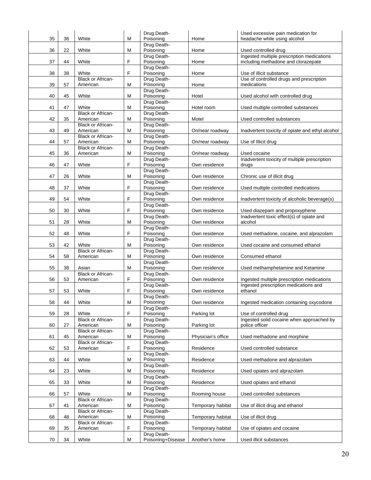| 35 | 36 | White                                | М | Drug Death-<br>Poisoning | Home               | Used excessive pain medication for<br>headache while using alcohol   |
|----|----|--------------------------------------|---|--------------------------|--------------------|----------------------------------------------------------------------|
|    |    |                                      |   | Drug Death-              |                    |                                                                      |
| 36 | 22 | White                                | м | Poisoning                | Home               | Used controlled drug                                                 |
|    |    |                                      |   | Drug Death-              |                    | Ingested multiple prescription medications                           |
| 37 | 44 | White                                | F | Poisoning                | Home               | including methadone and clorazepate                                  |
| 38 |    |                                      | F | Drug Death-              |                    |                                                                      |
|    | 38 | White<br><b>Black or African-</b>    |   | Poisoning<br>Drug Death- | Home               | Use of illicit substance<br>Use of controlled drugs and prescription |
| 39 | 57 | American                             | м | Poisoning                | Home               | medications                                                          |
|    |    |                                      |   | Drug Death-              |                    |                                                                      |
| 40 | 45 | White                                | М | Poisoning                | Hotel              | Used alcohol with controlled drug                                    |
|    |    |                                      |   | Drug Death-              |                    |                                                                      |
| 41 | 47 | White                                | М | Poisoning                | Hotel room         | Used multiple controlled substances                                  |
| 42 | 35 | <b>Black or African-</b><br>American | м | Drug Death-<br>Poisoning | Motel              | Used controlled substances                                           |
|    |    | <b>Black or African-</b>             |   | Drug Death-              |                    |                                                                      |
| 43 | 49 | American                             | M | Poisoning                | On/near roadway    | Inadvertent toxicity of opiate and ethyl alcohol                     |
|    |    | <b>Black or African-</b>             |   | Drug Death-              |                    |                                                                      |
| 44 | 57 | American                             | M | Poisoning                | On/near roadway    | Use of Illicit drug                                                  |
|    |    | <b>Black or African-</b>             |   | Drug Death-              |                    |                                                                      |
| 45 | 36 | American                             | м | Poisoning<br>Drug Death- | On/near roadway    | Used cocaine<br>Inadvertent toxicity of multiple prescription        |
| 46 | 47 | White                                | F | Poisoning                | Own residence      | drugs                                                                |
|    |    |                                      |   | Drug Death-              |                    |                                                                      |
| 47 | 26 | White                                | М | Poisoning                | Own residence      | Chronic use of illicit drug                                          |
|    |    |                                      |   | Drug Death-              |                    |                                                                      |
| 48 | 37 | White                                | F | Poisoning                | Own residence      | Used multiple controlled medications                                 |
| 49 | 54 | White                                | F | Drug Death-<br>Poisoning | Own residence      | Inadvertent toxicity of alcoholic beverage(s)                        |
|    |    |                                      |   | Drug Death-              |                    |                                                                      |
| 50 | 30 | White                                | F | Poisoning                | Own residence      | Used diazepam and propoxyphene                                       |
|    |    |                                      |   | Drug Death-              |                    | Inadvertent toxic effect(s) of opiate and                            |
| 51 | 28 | White                                | М | Poisoning                | Own residence      | alcohol                                                              |
|    |    |                                      |   | Drug Death-              |                    |                                                                      |
| 52 | 48 | White                                | F | Poisoning<br>Drug Death- | Own residence      | Used methadone, cocaine, and alprazolam                              |
| 53 | 42 | White                                | M | Poisoning                | Own residence      | Used cocaine and consumed ethanol                                    |
|    |    | <b>Black or African-</b>             |   | Drug Death-              |                    |                                                                      |
| 54 | 58 | American                             | М | Poisoning                | Own residence      | Consumed ethanol                                                     |
|    |    |                                      |   | Drug Death-              |                    |                                                                      |
| 55 | 38 | Asian                                | М | Poisoning                | Own residence      | Used methamphetamine and Ketamine                                    |
| 56 | 53 | <b>Black or African-</b><br>American | F | Drug Death-<br>Poisoning | Own residence      | Ingested multiple prescription medications                           |
|    |    |                                      |   | Drug Death-              |                    | Ingested prescription medications and                                |
| 57 | 53 | White                                | F | Poisoning                | Own residence      | ethanol                                                              |
|    |    |                                      |   | Drug Death-              |                    |                                                                      |
| 58 | 44 | White                                | M | Poisoning                | Own residence      | Ingested medication containing oxycodone                             |
| 59 | 28 | White                                | F | Drug Death-<br>Poisoning | Parking lot        |                                                                      |
|    |    | Black or African-                    |   | Drug Death-              |                    | Use of controlled drug<br>Ingested solid cocaine when approached by  |
| 60 | 27 | American                             | М | Poisoning                | Parking lot        | police officer                                                       |
|    |    | <b>Black or African-</b>             |   | Drug Death-              |                    |                                                                      |
| 61 | 45 | American                             | М | Poisoning                | Physician's office | Used methadone and morphine                                          |
|    |    | Black or African-                    |   | Drug Death-              |                    |                                                                      |
| 62 | 53 | American                             | F | Poisoning<br>Drug Death- | Residence          | Used controlled substance                                            |
| 63 | 44 | White                                | М | Poisoning                | Residence          | Used methadone and alprazolam                                        |
|    |    |                                      |   | Drug Death-              |                    |                                                                      |
| 64 | 23 | White                                | М | Poisoning                | Residence          | Used opiates and alprazolam                                          |
|    |    |                                      |   | Drug Death-              |                    |                                                                      |
| 65 | 33 | White                                | м | Poisoning                | Residence          | Used opiates and ethanol                                             |
| 66 | 57 | White                                | М | Drug Death-<br>Poisoning | Rooming house      | Used controlled substances                                           |
|    |    | Black or African-                    |   | Drug Death-              |                    |                                                                      |
| 67 | 41 | American                             | М | Poisoning                | Temporary habitat  | Use of illicit drug and ethanol                                      |
|    |    | <b>Black or African-</b>             |   | Drug Death-              |                    |                                                                      |
| 68 | 48 | American                             | М | Poisoning                | Temporary habitat  | Use of illicit drug                                                  |
| 69 |    | Black or African-<br>American        | F | Drug Death-<br>Poisoning |                    |                                                                      |
|    | 35 |                                      |   | Drug Death-              | Temporary habitat  | Use of opiates and cocaine                                           |
| 70 | 34 | White                                | М | Poisoning+Disease        | Another's home     | Used illicit substances                                              |
|    |    |                                      |   |                          |                    |                                                                      |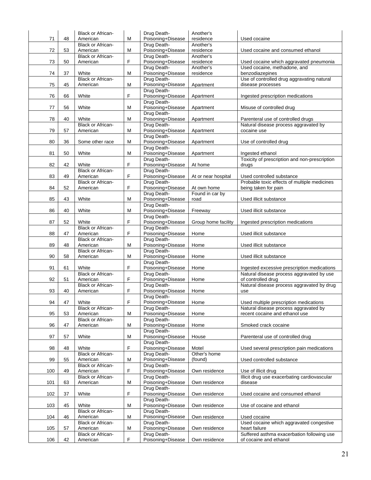|     |    | <b>Black or African-</b>             |    | Drug Death-                      | Another's              |                                                      |
|-----|----|--------------------------------------|----|----------------------------------|------------------------|------------------------------------------------------|
| 71  | 48 | American                             | М  | Poisoning+Disease                | residence              | Used cocaine                                         |
| 72  |    | <b>Black or African-</b>             |    | Drug Death-                      | Another's              |                                                      |
|     | 53 | American<br><b>Black or African-</b> | M  | Poisoning+Disease<br>Drug Death- | residence<br>Another's | Used cocaine and consumed ethanol                    |
| 73  | 50 | American                             | F  | Poisoning+Disease                | residence              | Used cocaine which aggravated pneumonia              |
|     |    |                                      |    | Drug Death-                      | Another's              | Used cocaine, methadone, and                         |
| 74  | 37 | White                                | М  | Poisoning+Disease                | residence              | benzodiazepines                                      |
|     |    | Black or African-                    |    | Drug Death-                      |                        | Use of controlled drug aggravating natural           |
| 75  | 45 | American                             | M  | Poisoning+Disease                | Apartment              | disease processes                                    |
|     |    |                                      |    | Drug Death-                      |                        |                                                      |
| 76  | 66 | White                                | F  | Poisoning+Disease                | Apartment              | Ingested prescription medications                    |
|     |    |                                      |    | Drug Death-                      |                        |                                                      |
| 77  | 56 | White                                | М  | Poisoning+Disease                | Apartment              | Misuse of controlled drug                            |
|     |    |                                      |    | Drug Death-                      |                        |                                                      |
| 78  | 40 | White                                | М  | Poisoning+Disease                | Apartment              | Parenteral use of controlled drugs                   |
| 79  | 57 | <b>Black or African-</b>             | M  | Drug Death-<br>Poisoning+Disease |                        | Natural disease process aggravated by<br>cocaine use |
|     |    | American                             |    | Drug Death-                      | Apartment              |                                                      |
| 80  | 36 | Some other race                      | M  | Poisoning+Disease                | Apartment              | Use of controlled drug                               |
|     |    |                                      |    | Drug Death-                      |                        |                                                      |
| 81  | 50 | White                                | М  | Poisoning+Disease                | Apartment              | Ingested ethanol                                     |
|     |    |                                      |    | Drug Death-                      |                        | Toxicity of prescription and non-prescription        |
| 82  | 42 | White                                | F  | Poisoning+Disease                | At home                | drugs                                                |
|     |    | Black or African-                    |    | Drug Death-                      |                        |                                                      |
| 83  | 49 | American                             | F  | Poisoning+Disease                | At or near hospital    | Used controlled substance                            |
|     |    | <b>Black or African-</b>             |    | Drug Death-                      |                        | Probable toxic effects of multiple medicines         |
| 84  | 52 | American                             | F  | Poisoning+Disease                | At own home            | being taken for pain                                 |
|     |    |                                      |    | Drug Death-                      | Found in car by        |                                                      |
| 85  | 43 | White                                | M  | Poisoning+Disease                | road                   | Used illicit substance                               |
|     |    |                                      |    | Drug Death-                      |                        |                                                      |
| 86  | 40 | White                                | М  | Poisoning+Disease                | Freeway                | Used illicit substance                               |
|     |    |                                      |    | Drug Death-                      |                        |                                                      |
| 87  | 52 | White<br><b>Black or African-</b>    | F  | Poisoning+Disease<br>Drug Death- | Group home facility    | Ingested prescription medications                    |
| 88  | 47 | American                             | F  | Poisoning+Disease                | Home                   | Used illicit substance                               |
|     |    | <b>Black or African-</b>             |    | Drug Death-                      |                        |                                                      |
| 89  | 48 | American                             | M  | Poisoning+Disease                | Home                   | Used illicit substance                               |
|     |    | Black or African-                    |    | Drug Death-                      |                        |                                                      |
| 90  | 58 | American                             | М  | Poisoning+Disease                | Home                   | Used illicit substance                               |
|     |    |                                      |    | Drug Death-                      |                        |                                                      |
| 91  | 61 | White                                | F  | Poisoning+Disease                | Home                   | Ingested excessive prescription medications          |
|     |    | <b>Black or African-</b>             |    | Drug Death-                      |                        | Natural disease process aggravated by use            |
| 92  | 51 | American                             | F  | Poisoning+Disease                | Home                   | of controlled drug                                   |
|     |    | <b>Black or African-</b>             |    | Drug Death-                      |                        | Natural disease process aggravated by drug           |
| 93  | 40 | American                             | F  | Poisoning+Disease                | Home                   | use                                                  |
|     |    |                                      |    | Drug Death-                      |                        |                                                      |
| 94  | 47 | White                                | F  | Poisoning+Disease                | Home                   | Used multiple prescription medications               |
|     |    | Black or African-                    |    | Drug Death-                      |                        | Natural disease process aggravated by                |
| 95  | 53 | American<br>Black or African-        | М  | Poisoning+Disease<br>Drug Death- | Home                   | recent cocaine and ethanol use                       |
| 96  | 47 | American                             | М  | Poisoning+Disease                | Home                   | Smoked crack cocaine                                 |
|     |    |                                      |    | Drug Death-                      |                        |                                                      |
| 97  | 57 | White                                | М  | Poisoning+Disease                | House                  | Parenteral use of controlled drug                    |
|     |    |                                      |    | Drug Death-                      |                        |                                                      |
| 98  | 48 | White                                | F. | Poisoning+Disease                | Motel                  | Used several prescription pain medications           |
|     |    | <b>Black or African-</b>             |    | Drug Death-                      | Other's home           |                                                      |
| 99  | 55 | American                             | М  | Poisoning+Disease                | (found)                | Used controlled substance                            |
|     |    | Black or African-                    |    | Drug Death-                      |                        |                                                      |
| 100 | 49 | American                             | F  | Poisoning+Disease                | Own residence          | Use of illicit drug                                  |
|     |    | <b>Black or African-</b>             |    | Drug Death-                      |                        | Illicit drug use exacerbating cardiovascular         |
| 101 | 63 | American                             | М  | Poisoning+Disease                | Own residence          | disease                                              |
|     |    |                                      | F  | Drug Death-                      |                        |                                                      |
| 102 | 37 | White                                |    | Poisoning+Disease<br>Drug Death- | Own residence          | Used cocaine and consumed ethanol                    |
| 103 | 45 | White                                | М  | Poisoning+Disease                | Own residence          | Use of cocaine and ethanol                           |
|     |    | Black or African-                    |    | Drug Death-                      |                        |                                                      |
| 104 | 46 | American                             | М  | Poisoning+Disease                | Own residence          | Used cocaine                                         |
|     |    | Black or African-                    |    | Drug Death-                      |                        | Used cocaine which aggravated congestive             |
| 105 | 57 | American                             | М  | Poisoning+Disease                | Own residence          | heart failure                                        |
|     |    | <b>Black or African-</b>             |    | Drug Death-                      |                        | Suffered asthma exacerbation following use           |
| 106 | 42 | American                             | F  | Poisoning+Disease                | Own residence          | of cocaine and ethanol                               |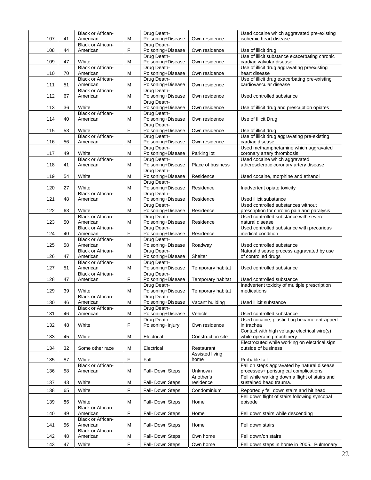| 107 | 41 | <b>Black or African-</b><br>American | М           | Drug Death-<br>Poisoning+Disease | Own residence                  | Used cocaine which aggravated pre-existing<br>ischemic heart disease      |
|-----|----|--------------------------------------|-------------|----------------------------------|--------------------------------|---------------------------------------------------------------------------|
|     |    | <b>Black or African-</b>             |             | Drug Death-                      |                                |                                                                           |
| 108 | 44 | American                             | $\mathsf F$ | Poisoning+Disease<br>Drug Death- | Own residence                  | Use of illicit drug<br>Use of illicit substance exacerbating chronic      |
| 109 | 47 | White                                | М           | Poisoning+Disease                | Own residence                  | cardiac valvular disease                                                  |
|     |    | <b>Black or African-</b>             |             | Drug Death-                      |                                | Use of illicit drug aggravating preexisting                               |
| 110 | 70 | American<br><b>Black or African-</b> | М           | Poisoning+Disease<br>Drug Death- | Own residence                  | heart disease<br>Use of illicit drug exacerbating pre-existing            |
| 111 | 51 | American                             | M           | Poisoning+Disease                | Own residence                  | cardiovascular disease                                                    |
|     |    | <b>Black or African-</b>             |             | Drug Death-                      |                                |                                                                           |
| 112 | 67 | American                             | М           | Poisoning+Disease<br>Drug Death- | Own residence                  | Used controlled substance                                                 |
| 113 | 36 | White                                | М           | Poisoning+Disease                | Own residence                  | Use of illicit drug and prescription opiates                              |
|     |    | <b>Black or African-</b>             |             | Drug Death-                      |                                |                                                                           |
| 114 | 40 | American                             | M           | Poisoning+Disease<br>Drug Death- | Own residence                  | Use of Illicit Drug                                                       |
| 115 | 53 | White                                | $\mathsf F$ | Poisoning+Disease                | Own residence                  | Use of illicit drug                                                       |
|     |    | <b>Black or African-</b>             |             | Drug Death-                      |                                | Use of illicit drug aggravating pre-existing                              |
| 116 | 56 | American                             | М           | Poisoning+Disease                | Own residence                  | cardiac disease                                                           |
| 117 | 49 | White                                | M           | Drug Death-<br>Poisoning+Disease | Parking lot                    | Used methamphetamine which aggravated<br>coronary artery thrombosis       |
|     |    | <b>Black or African-</b>             |             | Drug Death-                      |                                | Used cocaine which aggravated                                             |
| 118 | 41 | American                             | M           | Poisoning+Disease                | Place of business              | atherosclerotic coronary artery disease                                   |
| 119 | 54 | White                                | М           | Drug Death-<br>Poisoning+Disease | Residence                      | Used cocaine, morphine and ethanol                                        |
|     |    |                                      |             | Drug Death-                      |                                |                                                                           |
| 120 | 27 | White                                | M           | Poisoning+Disease                | Residence                      | Inadvertent opiate toxicity                                               |
| 121 | 48 | <b>Black or African-</b><br>American | M           | Drug Death-<br>Poisoning+Disease | Residence                      | Used illicit substance                                                    |
|     |    |                                      |             | Drug Death-                      |                                | Used controlled substances without                                        |
| 122 | 63 | White                                | M           | Poisoning+Disease                | Residence                      | prescription for chronic pain and paralysis                               |
| 123 | 50 | <b>Black or African-</b><br>American | M           | Drug Death-<br>Poisoning+Disease | Residence                      | Used controlled substance with severe<br>natural disease                  |
|     |    | <b>Black or African-</b>             |             | Drug Death-                      |                                | Used controlled substance with precarious                                 |
| 124 | 40 | American                             | F           | Poisoning+Disease                | Residence                      | medical condition                                                         |
| 125 | 58 | <b>Black or African-</b><br>American | M           | Drug Death-<br>Poisoning+Disease | Roadway                        | Used controlled substance                                                 |
|     |    | <b>Black or African-</b>             |             | Drug Death-                      |                                | Natural disease process aggravated by use                                 |
| 126 | 47 | American                             | М           | Poisoning+Disease                | Shelter                        | of controlled drugs                                                       |
| 127 | 51 | <b>Black or African-</b><br>American | M           | Drug Death-<br>Poisoning+Disease | Temporary habitat              | Used controlled substance                                                 |
|     |    | <b>Black or African-</b>             |             | Drug Death-                      |                                |                                                                           |
| 128 | 47 | American                             | F           | Poisoning+Disease                | Temporary habitat              | Used controlled substance                                                 |
| 129 | 39 | White                                | M           | Drug Death-<br>Poisoning+Disease | Temporary habitat              | Inadvertent toxicity of multiple prescription<br>medications              |
|     |    | <b>Black or African-</b>             |             | Drug Death-                      |                                |                                                                           |
| 130 | 46 | American                             | M           | Poisoning+Disease                | Vacant building                | Used illicit substance                                                    |
| 131 | 46 | <b>Black or African-</b><br>American | M           | Drug Death-<br>Poisoning+Disease | Vehicle                        | Used controlled substance                                                 |
|     |    |                                      |             | Drug Death-                      |                                | Used cocaine; plastic bag became entrapped                                |
| 132 | 48 | White                                | F           | Poisoning+Injury                 | Own residence                  | in trachea                                                                |
| 133 | 45 | White                                | M           | Electrical                       | Construction site              | Contact with high voltage electrical wire(s)<br>while operating machinery |
|     |    |                                      |             |                                  |                                | Electrocuted while working on electrical sign                             |
| 134 | 32 | Some other race                      | M           | Electrical                       | Restaurant                     | outside of business                                                       |
| 135 | 87 | White                                | $\mathsf F$ | Fall                             | <b>Assisted living</b><br>home | Probable fall                                                             |
|     |    | <b>Black or African-</b>             |             |                                  |                                | Fall on steps aggravated by natural disease                               |
| 136 | 58 | American                             | M           | Fall- Down Steps                 | Unknown                        | processes+ perisurgical complications                                     |
| 137 | 43 | White                                | M           | Fall- Down Steps                 | Another's<br>residence         | Fell while walking down a flight of stairs and<br>sustained head trauma.  |
| 138 | 65 | White                                | $\mathsf F$ | Fall- Down Steps                 | Condominium                    | Reportedly fell down stairs and hit head                                  |
|     |    |                                      |             |                                  |                                | Fell down flight of stairs following syncopal                             |
| 139 | 86 | White                                | M           | Fall- Down Steps                 | Home                           | episode                                                                   |
| 140 | 49 | <b>Black or African-</b><br>American | $\mathsf F$ | Fall- Down Steps                 | Home                           | Fell down stairs while descending                                         |
|     |    | <b>Black or African-</b>             |             |                                  |                                |                                                                           |
| 141 | 56 | American                             | M           | Fall- Down Steps                 | Home                           | Fell down stairs                                                          |
| 142 | 48 | <b>Black or African-</b><br>American | M           | Fall- Down Steps                 | Own home                       | Fell down/on stairs                                                       |
| 143 | 47 | White                                | F           | Fall- Down Steps                 | Own home                       | Fell down steps in home in 2005. Pulmonary                                |
|     |    |                                      |             |                                  |                                |                                                                           |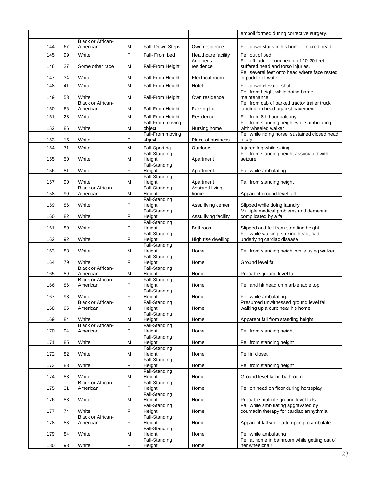|     |    |                                      |   |                            |                       | emboli formed during corrective surgery.                                           |
|-----|----|--------------------------------------|---|----------------------------|-----------------------|------------------------------------------------------------------------------------|
|     |    | <b>Black or African-</b>             |   |                            |                       |                                                                                    |
| 144 | 67 | American                             | М | Fall- Down Steps           | Own residence         | Fell down stairs in his home. Injured head.                                        |
| 145 | 99 | White                                | F | Fall- From bed             | Healthcare facility   | Fell out of bed                                                                    |
|     |    |                                      |   |                            | Another's             | Fell off ladder from height of 10-20 feet;                                         |
| 146 | 27 | Some other race                      | М | <b>Fall-From Height</b>    | residence             | suffered head and torso injuries.<br>Fell several feet onto head where face rested |
| 147 | 34 | White                                | М | Fall-From Height           | Electrical room       | in puddle of water                                                                 |
| 148 | 41 | White                                | M | Fall-From Height           | Hotel                 | Fell down elevator shaft                                                           |
|     |    |                                      |   |                            |                       | Fell from height while doing home                                                  |
| 149 | 53 | White                                | Μ | Fall-From Height           | Own residence         | maintenance                                                                        |
|     |    | <b>Black or African-</b>             |   |                            |                       | Fell from cab of parked tractor trailer truck                                      |
| 150 | 66 | American                             | M | Fall-From Height           | Parking lot           | landing on head against pavement                                                   |
| 151 | 23 | White                                | M | Fall-From Height           | Residence             | Fell from 8th floor balcony                                                        |
| 152 | 86 | White                                | М | Fall-From moving<br>object | Nursing home          | Fell from standing height while ambulating<br>with wheeled walker                  |
|     |    |                                      |   | Fall-From moving           |                       | Fell while riding horse; sustained closed head                                     |
| 153 | 15 | White                                | F | object                     | Place of business     | injury                                                                             |
| 154 | 71 | White                                | M | <b>Fall-Sporting</b>       | Outdoors              | Injured leg while skiing                                                           |
|     |    |                                      |   | Fall-Standing              |                       | Fell from standing height associated with                                          |
| 155 | 50 | White                                | м | Height                     | Apartment             | seizure                                                                            |
|     |    | White                                | F | Fall-Standing<br>Height    |                       |                                                                                    |
| 156 | 81 |                                      |   | Fall-Standing              | Apartment             | Fall while ambulating                                                              |
| 157 | 90 | White                                | М | Height                     | Apartment             | Fall from standing height                                                          |
|     |    | <b>Black or African-</b>             |   | Fall-Standing              | Assisted living       |                                                                                    |
| 158 | 90 | American                             | Μ | Height                     | home                  | Apparent ground level fall                                                         |
| 159 | 86 | White                                | F | Fall-Standing<br>Height    | Asst. living center   | Slipped while doing laundry                                                        |
|     |    |                                      |   | Fall-Standing              |                       | Multiple medical problems and dementia                                             |
| 160 | 82 | White                                | F | Height                     | Asst. living facility | complicated by a fall                                                              |
|     |    |                                      |   | Fall-Standing              |                       |                                                                                    |
| 161 | 89 | White                                | F | Height                     | Bathroom              | Slipped and fell from standing height<br>Fell while walking, striking head; had    |
| 162 | 92 | White                                | F | Fall-Standing<br>Height    | High rise dwelling    | underlying cardiac disease                                                         |
|     |    |                                      |   | Fall-Standing              |                       |                                                                                    |
| 163 | 83 | White                                | Μ | Height                     | Home                  | Fell from standing height while using walker                                       |
|     |    |                                      |   | Fall-Standing              |                       |                                                                                    |
| 164 | 79 | White<br><b>Black or African-</b>    | F | Height<br>Fall-Standing    | Home                  | Ground level fall                                                                  |
| 165 | 89 | American                             | М | Height                     | Home                  | Probable ground level fall                                                         |
|     |    | Black or African-                    |   | Fall-Standing              |                       |                                                                                    |
| 166 | 86 | American                             | F | Height                     | Home                  | Fell and hit head on marble table top                                              |
| 167 | 93 | White                                | F | Fall-Standing<br>Height    | Home                  | Fell while ambulating                                                              |
|     |    | <b>Black or African-</b>             |   | Fall-Standing              |                       | Presumed unwitnessed ground level fall                                             |
| 168 | 95 | American                             | М | Height                     | Home                  | walking up a curb near his home                                                    |
|     |    |                                      |   | Fall-Standing              |                       |                                                                                    |
| 169 | 84 | White<br><b>Black or African-</b>    | M | Height<br>Fall-Standing    | Home                  | Apparent fall from standing height                                                 |
| 170 | 94 | American                             | F | Height                     | Home                  | Fell from standing height                                                          |
|     |    |                                      |   | Fall-Standing              |                       |                                                                                    |
| 171 | 85 | White                                | Μ | Height                     | Home                  | Fell from standing height                                                          |
|     |    |                                      |   | Fall-Standing              |                       |                                                                                    |
| 172 | 82 | White                                | M | Height<br>Fall-Standing    | Home                  | Fell in closet                                                                     |
| 173 | 83 | White                                | F | Height                     | Home                  | Fell from standing height                                                          |
|     |    |                                      |   | Fall-Standing              |                       |                                                                                    |
| 174 | 83 | White                                | M | Height                     | Home                  | Ground level fall in bathroom                                                      |
|     |    | <b>Black or African-</b>             |   | Fall-Standing              |                       |                                                                                    |
| 175 | 31 | American                             | F | Height<br>Fall-Standing    | Home                  | Fell on head on floor during horseplay                                             |
| 176 | 83 | White                                | М | Height                     | Home                  | Probable multiple ground level falls                                               |
|     |    |                                      |   | Fall-Standing              |                       | Fall while ambulating aggravated by                                                |
| 177 | 74 | White                                | F | Height                     | Home                  | coumadin therapy for cardiac arrhythmia                                            |
| 178 | 83 | <b>Black or African-</b><br>American | F | Fall-Standing<br>Height    | Home                  | Apparent fall while attempting to ambulate                                         |
|     |    |                                      |   | Fall-Standing              |                       |                                                                                    |
| 179 | 84 | White                                | М | Height                     | Home                  | Fell while ambulating                                                              |
|     |    |                                      |   | Fall-Standing              |                       | Fell at home in bathroom while getting out of                                      |
| 180 | 93 | White                                | F | Height                     | Home                  | her wheelchair                                                                     |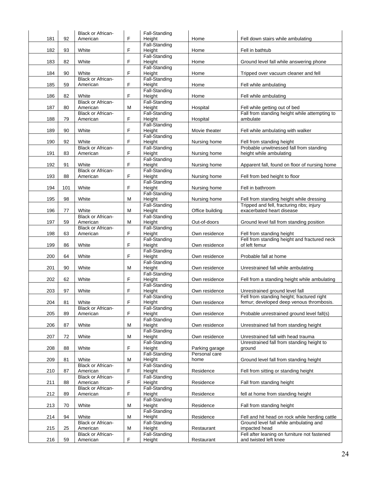|     |     | <b>Black or African-</b>             |             | Fall-Standing                  |                 |                                                                                       |
|-----|-----|--------------------------------------|-------------|--------------------------------|-----------------|---------------------------------------------------------------------------------------|
| 181 | 92  | American                             | F           | Height<br>Fall-Standing        | Home            | Fell down stairs while ambulating                                                     |
| 182 | 93  | White                                | F           | Height                         | Home            | Fell in bathtub                                                                       |
|     |     |                                      |             | Fall-Standing                  |                 |                                                                                       |
| 183 | 82  | White                                | F           | Height<br><b>Fall-Standing</b> | Home            | Ground level fall while answering phone                                               |
| 184 | 90  | White                                | F           | Height                         | Home            | Tripped over vacuum cleaner and fell                                                  |
|     |     | <b>Black or African-</b>             |             | Fall-Standing                  |                 |                                                                                       |
| 185 | 59  | American                             | F           | Height<br>Fall-Standing        | Home            | Fell while ambulating                                                                 |
| 186 | 82  | White                                | F           | Height                         | Home            | Fell while ambulating                                                                 |
|     |     | <b>Black or African-</b>             |             | Fall-Standing                  |                 |                                                                                       |
| 187 | 80  | American<br><b>Black or African-</b> | м           | Height<br>Fall-Standing        | Hospital        | Fell while getting out of bed<br>Fall from standing height while attempting to        |
| 188 | 79  | American                             | F           | Height                         | Hospital        | ambulate                                                                              |
|     |     |                                      |             | Fall-Standing                  |                 |                                                                                       |
| 189 | 90  | White                                | F           | Height<br>Fall-Standing        | Movie theater   | Fell while ambulating with walker                                                     |
| 190 | 92  | White                                | F           | Height                         | Nursing home    | Fell from standing height                                                             |
|     |     | <b>Black or African-</b>             |             | <b>Fall-Standing</b>           |                 | Probable unwitnessed fall from standing                                               |
| 191 | 83  | American                             | F           | Height<br><b>Fall-Standing</b> | Nursing home    | height while ambulating                                                               |
| 192 | 91  | White                                | F           | Height                         | Nursing home    | Apparent fall, found on floor of nursing home                                         |
|     |     | <b>Black or African-</b>             |             | Fall-Standing                  |                 |                                                                                       |
| 193 | 88  | American                             | F           | Height<br><b>Fall-Standing</b> | Nursing home    | Fell from bed height to floor                                                         |
| 194 | 101 | White                                | F           | Height                         | Nursing home    | Fell in bathroom                                                                      |
|     |     |                                      |             | Fall-Standing                  |                 |                                                                                       |
| 195 | 98  | White                                | м           | Height<br>Fall-Standing        | Nursing home    | Fell from standing height while dressing<br>Tripped and fell, fracturing ribs; injury |
| 196 | 77  | White                                | м           | Height                         | Office building | exacerbated heart disease                                                             |
|     |     | <b>Black or African-</b>             |             | Fall-Standing                  |                 |                                                                                       |
| 197 | 59  | American<br><b>Black or African-</b> | м           | Height<br>Fall-Standing        | Out-of-doors    | Ground level fall from standing position                                              |
| 198 | 63  | American                             | F           | Height                         | Own residence   | Fell from standing height                                                             |
| 199 | 86  | White                                | F           | <b>Fall-Standing</b><br>Height | Own residence   | Fell from standing height and fractured neck<br>of left femur                         |
|     |     |                                      |             | Fall-Standing                  |                 |                                                                                       |
| 200 | 64  | White                                | F           | Height                         | Own residence   | Probable fall at home                                                                 |
| 201 | 90  | White                                | м           | <b>Fall-Standing</b><br>Height | Own residence   | Unrestrained fall while ambulating                                                    |
|     |     |                                      |             | Fall-Standing                  |                 |                                                                                       |
| 202 | 62  | White                                | F.          | Height<br>Fall-Standing        | Own residence   | Fell from a standing height while ambulating                                          |
| 203 | 97  | White                                | F           | Height                         | Own residence   | Unrestrained ground level fall                                                        |
|     |     |                                      |             | Fall-Standing                  |                 | Fell from standing height; fractured right                                            |
| 204 | 81  | White<br><b>Black or African-</b>    | $\mathsf F$ | Height<br>Fall-Standing        | Own residence   | femur; developed deep venous thrombosis.                                              |
| 205 | 89  | American                             | F           | Height                         | Own residence   | Probable unrestrained ground level fall(s)                                            |
|     |     |                                      |             | Fall-Standing                  |                 |                                                                                       |
| 206 | 87  | White                                | M           | Height<br><b>Fall-Standing</b> | Own residence   | Unrestrained fall from standing height                                                |
| 207 | 72  | White                                | M           | Height                         | Own residence   | Unrestrained fall with head trauma                                                    |
| 208 | 88  | White                                | F           | Fall-Standing<br>Height        | Parking garage  | Unrestrained fall from standing height to<br>around                                   |
|     |     |                                      |             | <b>Fall-Standing</b>           | Personal care   |                                                                                       |
| 209 | 81  | White                                | M           | Height                         | home            | Ground level fall from standing height                                                |
| 210 | 87  | <b>Black or African-</b><br>American | F           | Fall-Standing<br>Height        | Residence       | Fell from sitting or standing height                                                  |
|     |     | <b>Black or African-</b>             |             | Fall-Standing                  |                 |                                                                                       |
| 211 | 88  | American                             | F           | Height                         | Residence       | Fall from standing height                                                             |
| 212 | 89  | <b>Black or African-</b><br>American | F           | Fall-Standing<br>Height        | Residence       | fell at home from standing height                                                     |
|     |     |                                      |             | Fall-Standing                  |                 |                                                                                       |
| 213 | 70  | White                                | M           | Height<br><b>Fall-Standing</b> | Residence       | Fall from standing height                                                             |
| 214 | 94  | White                                | M           | Height                         | Residence       | Fell and hit head on rock while herding cattle                                        |
|     |     | <b>Black or African-</b>             |             | Fall-Standing                  |                 | Ground level fall while ambulating and                                                |
| 215 | 25  | American<br>Black or African-        | М           | Height<br>Fall-Standing        | Restaurant      | impacted head<br>Fell after leaning on furniture not fastened                         |
| 216 | 59  | American                             | F           | Height                         | Restaurant      | and twisted left knee                                                                 |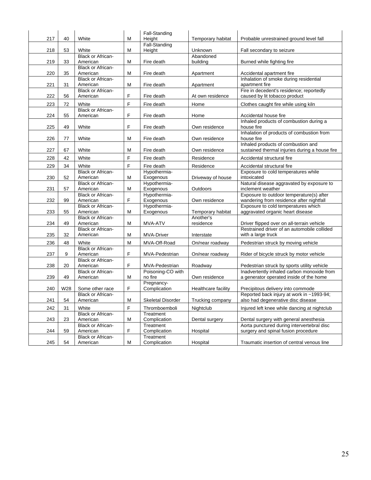|     |     |                                             |                | Fall-Standing             |                     |                                                                                      |
|-----|-----|---------------------------------------------|----------------|---------------------------|---------------------|--------------------------------------------------------------------------------------|
| 217 | 40  | White                                       | M              | Height                    | Temporary habitat   | Probable unrestrained ground level fall                                              |
|     |     |                                             |                | Fall-Standing             |                     |                                                                                      |
| 218 | 53  | White                                       | M              | Height                    | Unknown             | Fall secondary to seizure                                                            |
|     |     | <b>Black or African-</b>                    |                |                           | Abandoned           |                                                                                      |
| 219 | 33  | American                                    | М              | Fire death                | building            | Burned while fighting fire                                                           |
| 220 | 35  | <b>Black or African-</b><br>American        | M              | Fire death                |                     |                                                                                      |
|     |     | <b>Black or African-</b>                    |                |                           | Apartment           | Accidental apartment fire<br>Inhalation of smoke during residential                  |
| 221 | 31  | American                                    | M              | Fire death                | Apartment           | apartment fire                                                                       |
|     |     | <b>Black or African-</b>                    |                |                           |                     | Fire in decedent's residence; reportedly                                             |
| 222 | 56  | American                                    | F              | Fire death                | At own residence    | caused by lit tobacco product                                                        |
|     |     | White                                       | $\overline{F}$ |                           |                     |                                                                                      |
| 223 | 72  | <b>Black or African-</b>                    |                | Fire death                | Home                | Clothes caught fire while using kiln                                                 |
| 224 | 55  | American                                    | F              | Fire death                | Home                | Accidental house fire                                                                |
|     |     |                                             |                |                           |                     | Inhaled products of combustion during a                                              |
| 225 | 49  | White                                       | F              | Fire death                | Own residence       | house fire                                                                           |
|     |     |                                             |                |                           |                     | Inhalation of products of combustion from                                            |
| 226 | 77  | White                                       | M              | Fire death                | Own residence       | house fire                                                                           |
|     |     |                                             |                |                           |                     | Inhaled products of combustion and                                                   |
| 227 | 67  | White                                       | M              | Fire death                | Own residence       | sustained thermal injuries during a house fire                                       |
| 228 | 42  | White                                       | F              | Fire death                | Residence           | Accidental structural fire                                                           |
|     |     |                                             |                |                           |                     |                                                                                      |
| 229 | 34  | White                                       | F              | Fire death                | Residence           | Accidental structural fire                                                           |
|     |     | <b>Black or African-</b>                    |                | Hypothermia-              |                     | Exposure to cold temperatures while<br>intoxicated                                   |
| 230 | 52  | American<br><b>Black or African-</b>        | M              | Exogenous<br>Hypothermia- | Driveway of house   | Natural disease aggravated by exposure to                                            |
| 231 | 57  | American                                    | M              | Exogenous                 | Outdoors            | inclement weather                                                                    |
|     |     | <b>Black or African-</b>                    |                | Hypothermia-              |                     | Exposure to outdoor temperature(s) after                                             |
| 232 | 99  | American                                    | F              | Exogenous                 | Own residence       | wandering from residence after nightfall                                             |
|     |     | <b>Black or African-</b>                    |                | Hypothermia-              |                     | Exposure to cold temperatures which                                                  |
| 233 | 55  | American                                    | M              | Exogenous                 | Temporary habitat   | aggravated organic heart disease                                                     |
|     |     | <b>Black or African-</b>                    |                |                           | Another's           |                                                                                      |
| 234 | 49  | American                                    | M              | MVA-ATV                   | residence           | Driver flipped over on all-terrain vehicle                                           |
|     |     | <b>Black or African-</b>                    |                |                           |                     | Restrained driver of an automobile collided                                          |
| 235 | 32  | American                                    | ${\sf M}$      | <b>MVA-Driver</b>         | Interstate          | with a large truck                                                                   |
| 236 | 48  | White                                       | M              | MVA-Off-Road              | On/near roadway     | Pedestrian struck by moving vehicle                                                  |
|     |     | <b>Black or African-</b>                    |                |                           |                     |                                                                                      |
| 237 | 9   | American                                    | F              | <b>MVA-Pedestrian</b>     | On/near roadway     | Rider of bicycle struck by motor vehicle                                             |
|     |     | <b>Black or African-</b>                    |                |                           |                     |                                                                                      |
| 238 | 20  | American                                    | F              | MVA-Pedestrian            | Roadway             | Pedestrian struck by sports utility vehicle                                          |
|     |     | <b>Black or African-</b>                    |                | Poisoning-CO with         |                     | Inadvertently inhaled carbon monoxide from                                           |
| 239 | 49  | American                                    | М              | no fire                   | Own residence       | a generator operated inside of the home                                              |
|     |     |                                             |                | Pregnancy-                |                     |                                                                                      |
| 240 | W28 | Some other race<br><b>Black or African-</b> | F              | Complication              | Healthcare facility | Precipitous delivery into commode<br>Reported back injury at work in ~1993-94;       |
| 241 | 54  | American                                    | M              | <b>Skeletal Disorder</b>  | Trucking company    | also had degenerative disc disease                                                   |
|     |     |                                             |                |                           |                     |                                                                                      |
| 242 | 31  | White                                       | F              | Thromboemboli             | Nightclub           | Injured left knee while dancing at nightclub                                         |
|     |     | <b>Black or African-</b>                    |                | Treatment                 |                     |                                                                                      |
| 243 | 23  | American<br><b>Black or African-</b>        | M              | Complication<br>Treatment | Dental surgery      | Dental surgery with general anesthesia<br>Aorta punctured during intervertebral disc |
| 244 | 59  | American                                    | F              | Complication              | Hospital            | surgery and spinal fusion procedure                                                  |
|     |     | <b>Black or African-</b>                    |                | Treatment                 |                     |                                                                                      |
| 245 | 54  | American                                    | М              | Complication              | Hospital            | Traumatic insertion of central venous line                                           |
|     |     |                                             |                |                           |                     |                                                                                      |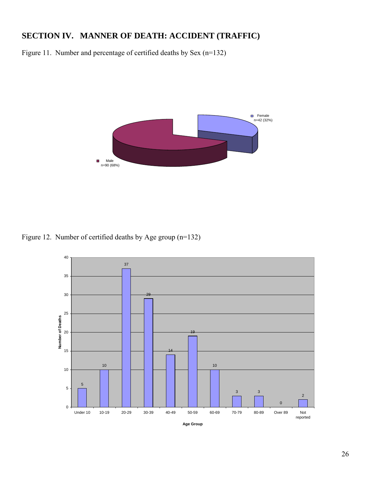## **SECTION IV. MANNER OF DEATH: ACCIDENT (TRAFFIC)**

Figure 11. Number and percentage of certified deaths by Sex (n=132)



Figure 12. Number of certified deaths by Age group (n=132)

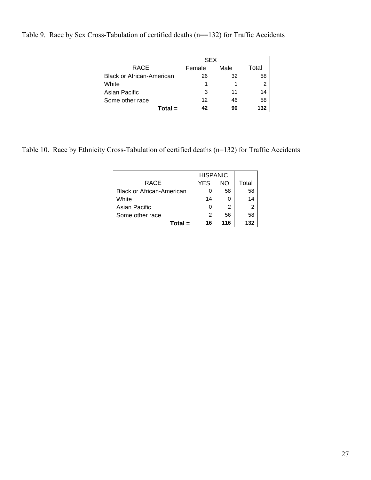Table 9. Race by Sex Cross-Tabulation of certified deaths (n==132) for Traffic Accidents

|                                  | SEX    |      |       |
|----------------------------------|--------|------|-------|
| <b>RACE</b>                      | Female | Male | Total |
| <b>Black or African-American</b> | 26     | 32   | 58    |
| White                            |        |      |       |
| Asian Pacific                    | 3      |      | 14    |
| Some other race                  | 12     | 46   | 58    |
| $Total =$                        | 42     | 90   | 132   |

Table 10. Race by Ethnicity Cross-Tabulation of certified deaths (n=132) for Traffic Accidents

|                                  | <b>HISPANIC</b> |     |       |
|----------------------------------|-----------------|-----|-------|
| RACE                             | <b>YES</b>      | NΟ  | Total |
| <b>Black or African-American</b> |                 | 58  | 58    |
| White                            | 14              |     | 14    |
| Asian Pacific                    |                 | 2   | 2     |
| Some other race                  | 2               | 56  | 58    |
| $Total =$                        | 16              | 116 | 132   |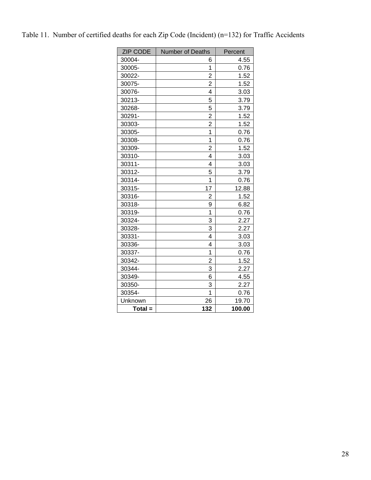| <b>ZIP CODE</b> | Number of Deaths | Percent |
|-----------------|------------------|---------|
| 30004-          | 6                | 4.55    |
| 30005-          | 1                | 0.76    |
| 30022-          | $\overline{2}$   | 1.52    |
| 30075-          | $\overline{c}$   | 1.52    |
| 30076-          | 4                | 3.03    |
| 30213-          | 5                | 3.79    |
| 30268-          | 5                | 3.79    |
| 30291-          | 2                | 1.52    |
| 30303-          | $\overline{2}$   | 1.52    |
| 30305-          | $\overline{1}$   | 0.76    |
| 30308-          | $\overline{1}$   | 0.76    |
| 30309-          | $\overline{2}$   | 1.52    |
| 30310-          | 4                | 3.03    |
| 30311-          | 4                | 3.03    |
| 30312-          | 5                | 3.79    |
| 30314-          | 1                | 0.76    |
| 30315-          | 17               | 12.88   |
| 30316-          | 2                | 1.52    |
| 30318-          | 9                | 6.82    |
| 30319-          | 1                | 0.76    |
| 30324-          | 3                | 2.27    |
| 30328-          | 3                | 2.27    |
| 30331-          | 4                | 3.03    |
| 30336-          | 4                | 3.03    |
| 30337-          | 1                | 0.76    |
| 30342-          | $\overline{2}$   | 1.52    |
| 30344-          | 3                | 2.27    |
| 30349-          | 6                | 4.55    |
| 30350-          | 3                | 2.27    |
| 30354-          | 1                | 0.76    |
| Unknown         | 26               | 19.70   |
| $Total =$       | 132              | 100.00  |

|  |  |  |  |  |  |  |  | Table 11. Number of certified deaths for each Zip Code (Incident) (n=132) for Traffic Accidents |
|--|--|--|--|--|--|--|--|-------------------------------------------------------------------------------------------------|
|--|--|--|--|--|--|--|--|-------------------------------------------------------------------------------------------------|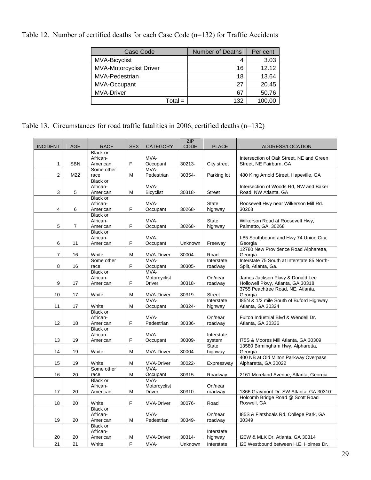Table 12. Number of certified deaths for each Case Code (n=132) for Traffic Accidents

| Case Code                      | <b>Number of Deaths</b> | Per cent |
|--------------------------------|-------------------------|----------|
| <b>MVA-Bicyclist</b>           | 4                       | 3.03     |
| <b>MVA-Motorcyclist Driver</b> | 16                      | 12.12    |
| MVA-Pedestrian                 | 18                      | 13.64    |
| MVA-Occupant                   | 27                      | 20.45    |
| <b>MVA-Driver</b>              | 67                      | 50.76    |
| $Total =$                      | 132                     | 100.00   |

Table 13. Circumstances for road traffic fatalities in 2006, certified deaths (n=132)

|                 |            |                 |            |                   | <b>ZIP</b>     |               |                                             |
|-----------------|------------|-----------------|------------|-------------------|----------------|---------------|---------------------------------------------|
| <b>INCIDENT</b> | <b>AGE</b> | <b>RACE</b>     | <b>SEX</b> | <b>CATEGORY</b>   | <b>CODE</b>    | <b>PLACE</b>  | ADDRESS/LOCATION                            |
|                 |            | Black or        |            |                   |                |               |                                             |
|                 |            | African-        |            | MVA-              |                |               | Intersection of Oak Street, NE and Green    |
| $\mathbf{1}$    | <b>SBN</b> | American        | F          | Occupant          | 30213-         | City street   | Street, NE Fairburn, GA                     |
|                 |            | Some other      |            | MVA-              |                |               |                                             |
| $\mathbf{2}$    | M22        | race            | M          | Pedestrian        | 30354-         | Parking lot   | 480 King Arnold Street, Hapeville, GA       |
|                 |            | Black or        |            |                   |                |               |                                             |
|                 |            | African-        |            | MVA-              |                |               | Intersection of Woods Rd, NW and Baker      |
| 3               | 5          | American        | M          | Bicyclist         | 30318-         | <b>Street</b> | Road, NW Atlanta, GA                        |
|                 |            | Black or        |            |                   |                |               |                                             |
|                 |            | African-        |            | MVA-              |                | <b>State</b>  | Roosevelt Hwy near Wilkerson Mill Rd.       |
| $\overline{4}$  | 6          | American        | F          | Occupant          | 30268-         | highway       | 30268                                       |
|                 |            | Black or        |            |                   |                |               |                                             |
|                 |            | African-        |            | MVA-              |                | <b>State</b>  | Wilkerson Road at Roosevelt Hwy,            |
| 5               | 7          | American        | F          | Occupant          | 30268-         | highway       | Palmetto, GA, 30268                         |
|                 |            | <b>Black or</b> |            |                   |                |               |                                             |
|                 |            | African-        |            | MVA-              |                |               | I-85 Southbound and Hwy 74 Union City,      |
| 6               | 11         | American        | F          | Occupant          | Unknown        | Freeway       | Georgia                                     |
|                 |            |                 |            |                   |                |               | 12780 New Providence Road Alpharetta,       |
| $\overline{7}$  | 16         | White           | M          | <b>MVA-Driver</b> | 30004-         | Road          | Georgia                                     |
|                 |            | Some other      |            | MVA-              |                | Interstate    | Interstate 75 South at Interstate 85 North- |
| 8               | 16         | race            | F          | Occupant          | 30305-         | roadway       | Split, Atlanta, Ga.                         |
|                 |            | Black or        |            | MVA-              |                |               |                                             |
|                 |            | African-        |            | Motorcyclist      |                | On/near       | James Jackson Pkwy & Donald Lee             |
| 9               | 17         | American        | F          | Driver            | 30318-         | roadway       | Hollowell Pkwy, Atlanta, GA 30318           |
|                 |            |                 |            |                   |                |               | 3755 Peachtree Road, NE, Atlanta,           |
| 10              | 17         | White           | M          | MVA-Driver        | 30319-         | <b>Street</b> | Georgia                                     |
|                 |            |                 |            | MVA-              |                | Interstate    | 185N & 1/2 mile South of Buford Highway     |
| 11              | 17         | White           | M          | Occupant          | 30324-         | highway       | Atlanta, GA 30324                           |
|                 |            | <b>Black or</b> |            |                   |                |               |                                             |
|                 |            | African-        |            | MVA-              |                | On/near       | Fulton Industrial Blvd & Wendell Dr.        |
| 12              | 18         | American        | F          | Pedestrian        | 30336-         | roadway       | Atlanta, GA 30336                           |
|                 |            | <b>Black or</b> |            |                   |                |               |                                             |
|                 |            | African-        |            | MVA-              |                | Interstate    |                                             |
| 13              | 19         | American        | F          | Occupant          | 30309-         | system        | 175S & Moores Mill Atlanta, GA 30309        |
|                 |            |                 |            |                   |                | <b>State</b>  | 13580 Birmingham Hwy, Alpharetta,           |
| 14              | 19         | White           | M          | <b>MVA-Driver</b> | 30004-         | highway       | Georgia                                     |
|                 |            |                 |            |                   |                |               | 400 NB at Old Milton Parkway Overpass       |
| 15              | 19         | White           | м          | MVA-Driver        | 30022-         | Expressway    | Alpharetta, GA 30022                        |
|                 |            | Some other      |            | MVA-              |                |               |                                             |
| 16              | 20         | race            | M          | Occupant          | 30315-         | Roadway       | 2161 Moreland Avenue, Atlanta, Georgia      |
|                 |            | Black or        |            | MVA-              |                |               |                                             |
|                 |            | African-        |            | Motorcyclist      |                | On/near       |                                             |
| 17              | 20         | American        | м          | Driver            | 30310-         | roadway       | 1366 Graymont Dr. SW Atlanta, GA 30310      |
|                 |            |                 |            |                   |                |               | Holcomb Bridge Road @ Scott Road            |
| 18              | 20         | White           | F          | <b>MVA-Driver</b> | 30076-         | Road          | Roswell, GA                                 |
|                 |            | <b>Black or</b> |            |                   |                |               |                                             |
|                 |            | African-        |            | MVA-              |                |               |                                             |
|                 |            |                 |            |                   |                | On/near       | 185S & Flatshoals Rd. College Park, GA      |
| 19              | 20         | American        | M          | Pedestrian        | 30349-         | roadway       | 30349                                       |
|                 |            | Black or        |            |                   |                |               |                                             |
|                 |            | African-        |            |                   |                | Interstate    |                                             |
| 20              | 20         | American        | M          | <b>MVA-Driver</b> | 30314-         | highway       | 120W & MLK Dr. Atlanta, GA 30314            |
| 21              | 21         | White           | F          | MVA-              | <b>Unknown</b> | Interstate    | 120 Westbound between H.E. Holmes Dr.       |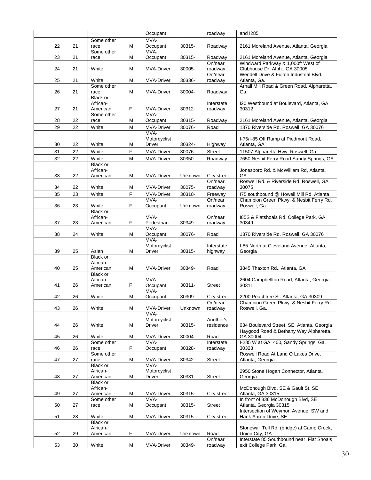|    |    |                      |   | Occupant                  |         | roadway            | and I285                                                            |
|----|----|----------------------|---|---------------------------|---------|--------------------|---------------------------------------------------------------------|
|    |    | Some other           |   | MVA-                      |         |                    |                                                                     |
| 22 | 21 | race                 | м | Occupant                  | 30315-  | Roadway            | 2161 Moreland Avenue, Atlanta, Georgia                              |
| 23 | 21 | Some other<br>race   | M | MVA-<br>Occupant          | 30315-  | Roadway            | 2161 Moreland Avenue, Atlanta, Georgia                              |
|    |    |                      |   |                           |         | On/near            | Windward Parkway & 1,000ft West of                                  |
| 24 | 21 | White                | М | <b>MVA-Driver</b>         | 30005-  | roadway            | Clubhouse Dr. Alph GA 30005                                         |
|    |    |                      |   |                           |         | On/near            | Wendell Drive & Fulton Industrial Blvd.,                            |
| 25 | 21 | White                | М | MVA-Driver                | 30336-  | roadway            | Atlanta, Ga.                                                        |
| 26 | 21 | Some other<br>race   | M | MVA-Driver                | 30004-  | Roadway            | Arnall Mill Road & Green Road, Alpharetta,<br>Ga.                   |
|    |    | <b>Black or</b>      |   |                           |         |                    |                                                                     |
|    |    | African-             |   |                           |         | Interstate         | 120 Westbound at Boulevard, Atlanta, GA                             |
| 27 | 21 | American             | F | <b>MVA-Driver</b>         | 30312-  | roadway            | 30312                                                               |
| 28 | 22 | Some other<br>race   | М | MVA-<br>Occupant          | 30315-  | Roadway            | 2161 Moreland Avenue, Atlanta, Georgia                              |
| 29 | 22 | White                | M | MVA-Driver                | 30076-  | Road               | 1370 Riverside Rd. Roswell, GA 30076                                |
|    |    |                      |   | MVA-                      |         |                    |                                                                     |
|    |    |                      |   | Motorcyclist              |         |                    | I-75/I-85 Off Ramp at Piedmont Road,                                |
| 30 | 22 | White                | M | Driver                    | 30324-  | Highway            | Atlanta, GA                                                         |
| 31 | 22 | White                | F | MVA-Driver                | 30076-  | <b>Street</b>      | 11507 Alpharetta Hwy. Roswell, Ga.                                  |
| 32 | 22 | White                | М | <b>MVA-Driver</b>         | 30350-  | Roadway            | 7650 Nesbit Ferry Road Sandy Springs, GA                            |
|    |    | Black or<br>African- |   |                           |         |                    | Jonesboro Rd. & McWilliam Rd, Atlanta,                              |
| 33 | 22 | American             | M | <b>MVA-Driver</b>         | Unknown | City street        | GА                                                                  |
|    |    |                      |   |                           |         | On/near            | Roswell Rd. & Riverside Rd. Roswell, GA                             |
| 34 | 22 | White                | М | MVA-Driver                | 30075-  | roadway            | 30075                                                               |
| 35 | 23 | White                | F | <b>MVA-Driver</b>         | 30318-  | Freeway            | 175 southbound @ Howell Mill Rd, Atlanta                            |
| 36 | 23 | White                | F | MVA-<br>Occupant          | Unknown | On/near<br>roadway | Champion Green Pkwy. & Nesbit Ferry Rd.<br>Roswell, Ga.             |
|    |    | Black or             |   |                           |         |                    |                                                                     |
|    |    | African-             |   | MVA-                      |         | On/near            | 185S & Flatshoals Rd. College Park, GA                              |
| 37 | 23 | American             | F | Pedestrian<br>MVA-        | 30349-  | roadway            | 30349                                                               |
| 38 | 24 | White                | м | Occupant                  | 30076-  | Road               | 1370 Riverside Rd. Roswell, GA 30076                                |
|    |    |                      |   | MVA-                      |         |                    |                                                                     |
|    |    |                      |   | Motorcyclist              |         | Interstate         | I-85 North at Cleveland Avenue, Atlanta,                            |
| 39 | 25 | Asian                | M | Driver                    | 30315-  | highway            | Georgia                                                             |
|    |    | Black or<br>African- |   |                           |         |                    |                                                                     |
| 40 | 25 | American             | М | <b>MVA-Driver</b>         | 30349-  | Road               | 3845 Thaxton Rd., Atlanta, GA                                       |
|    |    | Black or             |   |                           |         |                    |                                                                     |
| 41 | 26 | African-<br>American | F | MVA-<br>Occupant          | 30311-  | <b>Street</b>      | 2604 Campbellton Road, Atlanta, Georgia<br>30311                    |
|    |    |                      |   | MVA-                      |         |                    |                                                                     |
| 42 | 26 | White                | м | Occupant                  | 30309-  | City street        | 2200 Peachtree St. Atlanta, GA 30309                                |
|    |    |                      |   |                           |         | On/near            | Champion Green Pkwy. & Nesbit Ferry Rd.                             |
| 43 | 26 | White                | M | <b>MVA-Driver</b><br>MVA- | Unknown | roadway            | Roswell, Ga.                                                        |
|    |    |                      |   | Motorcyclist              |         | Another's          |                                                                     |
| 44 | 26 | White                | M | Driver                    | 30315-  | residence          | 634 Boulevard Street, SE, Atlanta, Georgia                          |
| 45 |    | White                |   | MVA-Driver                | 30004-  | Road               | Haygood Road & Bethany Way Alpharetta,<br>GA 30004                  |
|    | 26 | Some other           | M | MVA-                      |         | Interstate         | I-285 W at GA. 400, Sandy Springs, Ga.                              |
| 46 | 26 | race                 | F | Occupant                  | 30328-  | roadway            | 30328                                                               |
|    |    | Some other           |   |                           |         |                    | Roswell Road At Land O Lakes Drive,                                 |
| 47 | 27 | race<br>Black or     | M | <b>MVA-Driver</b><br>MVA- | 30342-  | Street             | Atlanta, Georgia                                                    |
|    |    | African-             |   | Motorcyclist              |         |                    | 2950 Stone Hogan Connector, Atlanta,                                |
| 48 | 27 | American             | M | Driver                    | 30331-  | Street             | Georgia                                                             |
|    |    | Black or             |   |                           |         |                    |                                                                     |
| 49 | 27 | African-<br>American | M | <b>MVA-Driver</b>         | 30315-  | City street        | McDonough Blvd. SE & Gault St. SE<br>Atlanta, GA 30315              |
|    |    | Some other           |   | MVA-                      |         |                    | In front of 836 McDonough Blvd, SE                                  |
| 50 | 27 | race                 | М | Occupant                  | 30315-  | Street             | Atlanta, Georgia 30315                                              |
| 51 | 28 | White                | M | MVA-Driver                | 30315-  | City street        | Intersection of Weymon Avenue, SW and<br>Hank Aaron Drive, SE       |
|    |    | <b>Black or</b>      |   |                           |         |                    |                                                                     |
|    |    | African-             |   |                           |         |                    | Stonewall Tell Rd. (bridge) at Camp Creek,                          |
| 52 | 29 | American             | F | MVA-Driver                | Unknown | Road               | Union City, GA                                                      |
| 53 | 30 | White                | M | <b>MVA-Driver</b>         | 30349-  | On/near<br>roadway | Interstate 85 Southbound near Flat Shoals<br>exit College Park, Ga. |
|    |    |                      |   |                           |         |                    |                                                                     |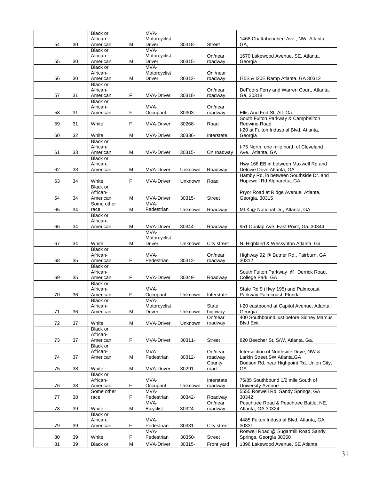|          |          | <b>Black or</b>        |        | MVA-                      |                  |                             |                                                                        |
|----------|----------|------------------------|--------|---------------------------|------------------|-----------------------------|------------------------------------------------------------------------|
| 54       | 30       | African-<br>American   | M      | Motorcyclist<br>Driver    | 30318-           | Street                      | 1468 Chattahoochee Ave., NW, Atlanta,<br>GA,                           |
|          |          | Black or               |        | MVA-                      |                  |                             |                                                                        |
|          |          | African-               |        | Motorcyclist              |                  | On/near                     | 1670 Lakewood Avenue, SE, Atlanta,                                     |
| 55       | 30       | American               | M      | Driver                    | 30315-           | roadway                     | Georgia                                                                |
|          |          | Black or               |        | MVA-                      |                  |                             |                                                                        |
| 56       | 30       | African-<br>American   | M      | Motorcyclist<br>Driver    | 30312-           | On /near<br>roadway         | 175S & 120E Ramp Atlanta, GA 30312                                     |
|          |          | Black or               |        |                           |                  |                             |                                                                        |
|          |          | African-               |        |                           |                  | On/near                     | DeFoors Ferry and Warren Court, Atlanta,                               |
| 57       | 31       | American               | F      | MVA-Driver                | 30318-           | roadway                     | Ga. 30318                                                              |
|          |          | Black or<br>African-   |        | MVA-                      |                  | On/near                     |                                                                        |
| 58       | 31       | American               | F      | Occupant                  | 30303-           | roadway                     | Ellis And Fort St. Atl. Ga.                                            |
|          |          |                        |        |                           |                  |                             | South Fulton Parkway & Campbellton                                     |
| 59       | 31       | White                  | F      | MVA-Driver                | 30268-           | Road                        | <b>Redwine Road</b>                                                    |
|          |          |                        |        |                           |                  |                             | I-20 at Fulton Industrial Blvd, Atlanta,                               |
| 60       | 32       | White<br>Black or      | м      | MVA-Driver                | 30336-           | Interstate                  | Georgia                                                                |
|          |          | African-               |        |                           |                  |                             | I-75 North, one mile north of Cleveland                                |
| 61       | 33       | American               | M      | <b>MVA-Driver</b>         | 30315-           | On roadway                  | Ave., Atlanta, GA                                                      |
|          |          | Black or               |        |                           |                  |                             |                                                                        |
|          |          | African-               |        |                           |                  |                             | Hwy 166 EB in between Maxwell Rd and                                   |
| 62       | 33       | American               | M      | <b>MVA-Driver</b>         | Unknown          | Roadway                     | Delowe Drive Atlanta, GA<br>Hamby Rd. in between Southside Dr. and     |
| 63       | 34       | White                  | F      | MVA-Driver                | Unknown          | Road                        | Hopewell Rd Alpharetta, GA                                             |
|          |          | <b>Black or</b>        |        |                           |                  |                             |                                                                        |
|          |          | African-               |        |                           |                  |                             | Pryor Road at Ridge Avenue, Atlanta,                                   |
| 64       | 34       | American<br>Some other | M      | <b>MVA-Driver</b><br>MVA- | 30315-           | Street                      | Georgia, 30315                                                         |
| 65       | 34       | race                   | м      | Pedestrian                | Unknown          | Roadway                     | MLK @ National Dr., Atlanta, GA                                        |
|          |          | <b>Black or</b>        |        |                           |                  |                             |                                                                        |
|          |          | African-               |        |                           |                  |                             |                                                                        |
| 66       | 34       | American               | M      | <b>MVA-Driver</b><br>MVA- | 30344-           | Roadway                     | 951 Dunlap Ave. East Point, Ga. 30344                                  |
|          |          |                        |        | Motorcyclist              |                  |                             |                                                                        |
| 67       | 34       | White                  | M      | Driver                    | Unknown          | City street                 | N. Highland & Wessynton Atlanta, Ga.                                   |
|          |          | Black or               |        |                           |                  |                             |                                                                        |
| 68       | 35       | African-<br>American   | F      | MVA-<br>Pedestrian        | 30312-           | On/near                     | Highway 92 @ Butner Rd., Fairburn, GA<br>30312                         |
|          |          | <b>Black or</b>        |        |                           |                  | roadway                     |                                                                        |
|          |          | African-               |        |                           |                  |                             | South Fulton Parkway @ Derrick Road,                                   |
| 69       | 35       | American               | F      | <b>MVA-Driver</b>         | 30349-           | Roadway                     | College Park, GA                                                       |
|          |          | Black or               |        |                           |                  |                             |                                                                        |
| 70       | 36       | African-<br>American   | F      | MVA-<br>Occupant          | Unknown          | Interstate                  | State Rd 9 (Hwy 195) and Palmcoast<br>Parkway Palmcoast, Florida       |
|          |          | Black or               |        | MVA-                      |                  |                             |                                                                        |
|          |          | African-               |        | Motorcyclist              |                  | <b>State</b>                | I-20 eastbound at Capitol Avenue, Atlanta,                             |
| 71       | 36       | American               | M      | <b>Driver</b>             | Unknown          | highway                     | Georgia                                                                |
| 72       | 37       | White                  | M      | <b>MVA-Driver</b>         | Unknown          | On/near<br>roadway          | 400 Southbound just before Sidney Marcus<br><b>Blvd Exit</b>           |
|          |          | Black or               |        |                           |                  |                             |                                                                        |
|          |          | African-               |        |                           |                  |                             |                                                                        |
| 73       | 37       | American               | F      | <b>MVA-Driver</b>         | 30311-           | Street                      | 820 Beecher St. S/W, Atlanta, Ga.                                      |
|          |          | Black or               |        |                           |                  |                             |                                                                        |
| 74       | 37       | African-<br>American   | M      | MVA-<br>Pedestrian        | 30312-           | On/near<br>roadway          | Intersection of Northside Drive, NW &<br>Larkin Street, SW Atlanta, GA |
|          |          |                        |        |                           |                  | County                      | Dodson Rd. near Highpoint Rd, Union City,                              |
| 75       |          |                        |        |                           |                  |                             |                                                                        |
|          | 38       | White                  | M      | MVA-Driver                | 30291-           | road                        | GA                                                                     |
|          |          | Black or               |        |                           |                  |                             |                                                                        |
|          |          | African-               |        | MVA-                      |                  | Interstate                  | 75/85 Southbound 1/2 mile South of                                     |
| 76       | 38       | American<br>Some other | F      | Occupant<br>MVA-          | Unknown          | roadway                     | <b>University Avenue</b><br>5555 Roswell Rd. Sandy Springs, GA         |
| 77       | 38       | race                   | F      | Pedestrian                | 30342-           | Roadway                     | 30342                                                                  |
|          |          |                        |        | MVA-                      |                  | On/near                     | Peachtree Road & Peachtree Battle, NE,                                 |
| 78       | 39       | White                  | M      | <b>Bicyclist</b>          | 30324-           | roadway                     | Atlanta, GA 30324                                                      |
|          |          | Black or<br>African-   |        | MVA-                      |                  |                             | 4485 Fulton Industrial Blvd. Atlanta, GA                               |
| 79       | 39       | American               | F      | Pedestrian                | 30331-           | City street                 | 30331                                                                  |
|          |          |                        |        | MVA-                      |                  |                             | Roswell Road @ Sugarmill Road Sandy                                    |
| 80<br>81 | 39<br>39 | White<br>Black or      | F<br>M | Pedestrian<br>MVA-Driver  | 30350-<br>30315- | <b>Street</b><br>Front yard | Springs, Georgia 30350<br>1396 Lakewood Avenue, SE Atlanta,            |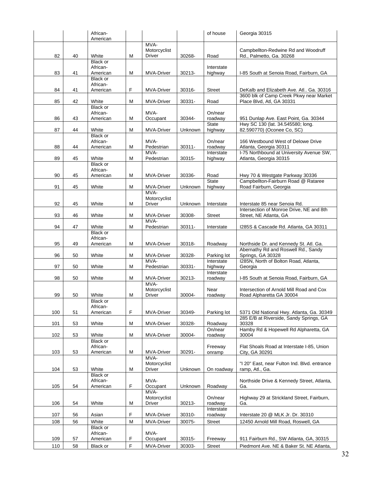|     |    | African-             |   |                           |         | of house              | Georgia 30315                                                        |
|-----|----|----------------------|---|---------------------------|---------|-----------------------|----------------------------------------------------------------------|
|     |    | American             |   | MVA-                      |         |                       |                                                                      |
|     |    |                      |   | Motorcyclist              |         |                       | Campbellton-Redwine Rd and Woodruff                                  |
| 82  | 40 | White                | M | Driver                    | 30268-  | Road                  | Rd., Palmetto, Ga. 30268                                             |
|     |    | Black or             |   |                           |         |                       |                                                                      |
|     |    | African-             |   |                           |         | Interstate            |                                                                      |
| 83  | 41 | American             | M | MVA-Driver                | 30213-  | highway               | I-85 South at Senoia Road, Fairburn, GA                              |
|     |    | Black or             |   |                           |         |                       |                                                                      |
|     |    | African-             |   |                           |         |                       |                                                                      |
| 84  | 41 | American             | F | <b>MVA-Driver</b>         | 30316-  | <b>Street</b>         | DeKalb and Elizabeth Ave. Atl Ga. 30316                              |
| 85  | 42 | White                | M |                           | 30331-  |                       | 3600 blk of Camp Creek Pkwy near Market<br>Place Blvd, Atl, GA 30331 |
|     |    | <b>Black or</b>      |   | MVA-Driver                |         | Road                  |                                                                      |
|     |    | African-             |   | MVA-                      |         | On/near               |                                                                      |
| 86  | 43 | American             | M | Occupant                  | 30344-  | roadway               | 951 Dunlap Ave. East Point, Ga. 30344                                |
|     |    |                      |   |                           |         | <b>State</b>          | Hwy SC 130 (lat. 34.545580; long.                                    |
| 87  | 44 | White                | M | <b>MVA-Driver</b>         | Unknown | highway               | 82.590770) (Oconee Co, SC)                                           |
|     |    | <b>Black or</b>      |   |                           |         |                       |                                                                      |
|     |    | African-             |   | MVA-                      |         | On/near               | 166 Westbound West of Delowe Drive                                   |
| 88  | 44 | American             | M | Pedestrian                | 30311-  | roadway               | Atlanta, Georgia 30311                                               |
| 89  | 45 | White                | M | MVA-<br>Pedestrian        | 30315-  | Interstate            | I-75 Northbound at University Avenue SW,                             |
|     |    | <b>Black or</b>      |   |                           |         | highway               | Atlanta, Georgia 30315                                               |
|     |    | African-             |   |                           |         |                       |                                                                      |
| 90  | 45 | American             | M | <b>MVA-Driver</b>         | 30336-  | Road                  | Hwy 70 & Westgate Parkway 30336                                      |
|     |    |                      |   |                           |         | <b>State</b>          | Campbellton-Fairburn Road @ Rataree                                  |
| 91  | 45 | White                | M | MVA-Driver                | Unknown | highway               | Road Fairburn, Georgia                                               |
|     |    |                      |   | MVA-                      |         |                       |                                                                      |
|     |    |                      |   | Motorcyclist              |         |                       |                                                                      |
| 92  | 45 | White                | M | Driver                    | Unknown | Interstate            | Interstate 85 near Senoia Rd.                                        |
|     |    |                      |   |                           |         |                       | Intersection of Monroe Drive, NE and 8th                             |
| 93  | 46 | White                | M | MVA-Driver                | 30308-  | <b>Street</b>         | Street, NE Atlanta, GA                                               |
|     |    | White                |   | MVA-                      |         |                       |                                                                      |
| 94  | 47 | Black or             | M | Pedestrian                | 30311-  | Interstate            | 1285S & Cascade Rd. Atlanta, GA 30311                                |
|     |    | African-             |   |                           |         |                       |                                                                      |
| 95  | 49 | American             | M | MVA-Driver                | 30318-  | Roadway               | Northside Dr. and Kennedy St. Atl. Ga.                               |
|     |    |                      |   |                           |         |                       | Abernathy Rd and Roswell Rd., Sandy                                  |
| 96  | 50 | White                | M | <b>MVA-Driver</b>         | 30328-  | Parking lot           | Springs, GA 30328                                                    |
|     |    |                      |   | MVA-                      |         | Interstate            | I285N, North of Bolton Road, Atlanta,                                |
| 97  | 50 | White                | M | Pedestrian                | 30331-  | highway               | Georgia                                                              |
|     |    |                      |   |                           |         | Interstate            |                                                                      |
| 98  | 50 | White                | M | <b>MVA-Driver</b><br>MVA- | 30213-  | roadway               | I-85 South at Senoia Road, Fairburn, GA                              |
|     |    |                      |   | Motorcyclist              |         | Near                  | Intersection of Arnold Mill Road and Cox                             |
| 99  | 50 | White                | M | Driver                    | 30004-  | roadway               | Road Alpharetta GA 30004                                             |
|     |    | Black or             |   |                           |         |                       |                                                                      |
|     |    | African-             |   |                           |         |                       |                                                                      |
| 100 | 51 | American             | F | <b>MVA-Driver</b>         | 30349-  | Parking lot           | 5371 Old National Hwy. Atlanta, Ga. 30349                            |
|     |    |                      |   |                           |         |                       | 285 E/B at Riverside, Sandy Springs, GA                              |
| 101 | 53 | White                | M | <b>MVA-Driver</b>         | 30328-  | Roadway               | 30328                                                                |
|     |    |                      |   |                           |         | On/near               | Hamby Rd & Hopewell Rd Alpharetta, GA                                |
| 102 | 53 | White                | M | MVA-Driver                | 30004-  | roadway               | 30004                                                                |
|     |    | Black or<br>African- |   |                           |         |                       | Flat Shoals Road at Interstate I-85, Union                           |
| 103 | 53 | American             | M | <b>MVA-Driver</b>         | 30291-  | Freeway<br>onramp     | City, GA 30291                                                       |
|     |    |                      |   | MVA-                      |         |                       |                                                                      |
|     |    |                      |   | Motorcyclist              |         |                       | "I 20" East, near Fulton Ind. Blvd. entrance                         |
| 104 | 53 | White                | M | Driver                    | Unknown | On roadway            | ramp, Atl., Ga.                                                      |
|     |    | Black or             |   |                           |         |                       |                                                                      |
|     |    | African-             |   | MVA-                      |         |                       | Northside Drive & Kennedy Street, Atlanta,                           |
| 105 | 54 | American             | F | Occupant                  | Unknown | Roadway               | Ga.                                                                  |
|     |    |                      |   | MVA-                      |         |                       |                                                                      |
|     |    |                      |   | Motorcyclist              |         | On/near               | Highway 29 at Strickland Street, Fairburn,                           |
| 106 | 54 | White                | M | Driver                    | 30213-  | roadway<br>Interstate | Ga.                                                                  |
| 107 | 56 | Asian                | F | MVA-Driver                | 30310-  | roadway               | Interstate 20 @ MLK Jr. Dr. 30310                                    |
| 108 | 56 | White                | M | MVA-Driver                | 30075-  | <b>Street</b>         | 12450 Arnold Mill Road, Roswell, GA                                  |
|     |    | Black or             |   |                           |         |                       |                                                                      |
|     |    | African-             |   | MVA-                      |         |                       |                                                                      |
| 109 | 57 | American             | F | Occupant                  | 30315-  | Freeway               | 911 Fairburn Rd., SW Atlanta, GA, 30315                              |
| 110 | 58 | Black or             | F | <b>MVA-Driver</b>         | 30303-  | <b>Street</b>         | Piedmont Ave. NE & Baker St. NE Atlanta,                             |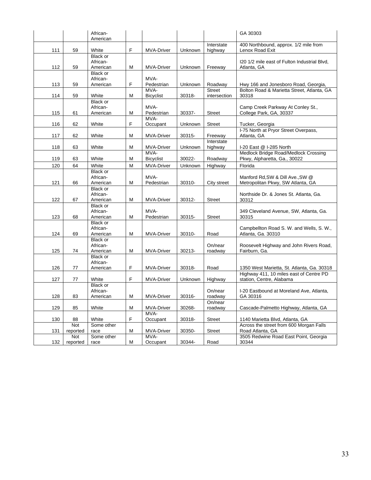|     |           | African-<br>American |   |                    |         |                          | GA 30303                                                                   |
|-----|-----------|----------------------|---|--------------------|---------|--------------------------|----------------------------------------------------------------------------|
|     |           |                      |   |                    |         | Interstate               | 400 Northbound, approx. 1/2 mile from                                      |
| 111 | 59        | White                | F | <b>MVA-Driver</b>  | Unknown | highway                  | Lenox Road Exit                                                            |
|     |           | <b>Black or</b>      |   |                    |         |                          |                                                                            |
|     |           | African-             |   |                    |         |                          | I20 1/2 mile east of Fulton Industrial Blvd,                               |
| 112 | 59        | American             | M | MVA-Driver         | Unknown | Freeway                  | Atlanta, GA                                                                |
|     |           | Black or             |   |                    |         |                          |                                                                            |
|     |           | African-             |   | MVA-               |         |                          |                                                                            |
| 113 | 59        | American             | F | Pedestrian<br>MVA- | Unknown | Roadway<br><b>Street</b> | Hwy 166 and Jonesboro Road, Georgia,                                       |
| 114 | 59        | White                | M | <b>Bicyclist</b>   | 30318-  | intersection             | Bolton Road & Marietta Street, Atlanta, GA<br>30318                        |
|     |           | Black or             |   |                    |         |                          |                                                                            |
|     |           | African-             |   | MVA-               |         |                          | Camp Creek Parkway At Conley St.,                                          |
| 115 | 61        | American             | M | Pedestrian         | 30337-  | <b>Street</b>            | College Park, GA, 30337                                                    |
|     |           |                      |   | MVA-               |         |                          |                                                                            |
| 116 | 62        | White                | F | Occupant           | Unknown | <b>Street</b>            | Tucker, Georgia                                                            |
|     |           |                      |   |                    |         |                          | I-75 North at Pryor Street Overpass,                                       |
| 117 | 62        | White                | м | MVA-Driver         | 30315-  | Freeway                  | Atlanta, GA                                                                |
|     |           |                      |   |                    |         | Interstate               |                                                                            |
| 118 | 63        | White                | M | <b>MVA-Driver</b>  | Unknown | highway                  | I-20 East @ I-285 North                                                    |
|     |           |                      |   | MVA-               |         |                          | Medlock Bridge Road/Medlock Crossing                                       |
| 119 | 63        | White                | M | <b>Bicyclist</b>   | 30022-  | Roadway                  | Pkwy, Alpharetta, Ga., 30022                                               |
| 120 | 64        | White                | м | <b>MVA-Driver</b>  | Unknown | Highway                  | Florida                                                                    |
|     |           | <b>Black or</b>      |   |                    |         |                          |                                                                            |
|     |           | African-             |   | MVA-               |         |                          | Manford Rd, SW & Dill Ave., SW @                                           |
| 121 | 66        | American<br>Black or | M | Pedestrian         | 30310-  | City street              | Metropolitan Pkwy, SW Atlanta, GA                                          |
|     |           | African-             |   |                    |         |                          | Northside Dr. & Jones St. Atlanta, Ga.                                     |
| 122 | 67        | American             | M | <b>MVA-Driver</b>  | 30312-  | <b>Street</b>            | 30312                                                                      |
|     |           | <b>Black or</b>      |   |                    |         |                          |                                                                            |
|     |           | African-             |   | MVA-               |         |                          | 349 Cleveland Avenue, SW, Atlanta, Ga.                                     |
| 123 | 68        | American             | M | Pedestrian         | 30315-  | <b>Street</b>            | 30315                                                                      |
|     |           | Black or             |   |                    |         |                          |                                                                            |
|     |           | African-             |   |                    |         |                          | Campbellton Road S. W. and Wells, S. W.,                                   |
| 124 | 69        | American             | M | MVA-Driver         | 30310-  | Road                     | Atlanta, Ga. 30310                                                         |
|     |           | Black or             |   |                    |         |                          |                                                                            |
|     |           | African-             |   |                    |         | On/near                  | Roosevelt Highway and John Rivers Road,                                    |
| 125 | 74        | American<br>Black or | M | MVA-Driver         | 30213-  | roadway                  | Fairburn, Ga.                                                              |
|     |           | African-             |   |                    |         |                          |                                                                            |
| 126 | 77        | American             | F | <b>MVA-Driver</b>  | 30318-  | Road                     | 1350 West Marietta, St. Atlanta, Ga. 30318                                 |
|     |           |                      |   |                    |         |                          | Highway 411, 10 miles east of Centre PD                                    |
| 127 | 77        | White                | F | <b>MVA-Driver</b>  | Unknown | Highway                  | station, Centre, Alabama                                                   |
|     |           | <b>Black or</b>      |   |                    |         |                          |                                                                            |
|     |           | African-             |   |                    |         | On/near                  | I-20 Eastbound at Moreland Ave, Atlanta,                                   |
| 128 | 83        | American             | M | MVA-Driver         | 30316-  | roadway                  | GA 30316                                                                   |
|     |           |                      |   |                    |         | On/near                  |                                                                            |
| 129 | 85        | White                | M | MVA-Driver         | 30268-  | roadway                  | Cascade-Palmetto Highway, Atlanta, GA                                      |
|     |           |                      |   | MVA-               |         |                          |                                                                            |
| 130 | 88<br>Not | White<br>Some other  | F | Occupant           | 30318-  | <b>Street</b>            | 1140 Marietta Blvd, Atlanta, GA<br>Across the street from 600 Morgan Falls |
| 131 | reported  | race                 | M | <b>MVA-Driver</b>  | 30350-  | <b>Street</b>            | Road Atlanta, GA                                                           |
|     | Not       | Some other           |   | MVA-               |         |                          | 3505 Redwine Road East Point, Georgia                                      |
| 132 | reported  | race                 | M | Occupant           | 30344-  | Road                     | 30344                                                                      |
|     |           |                      |   |                    |         |                          |                                                                            |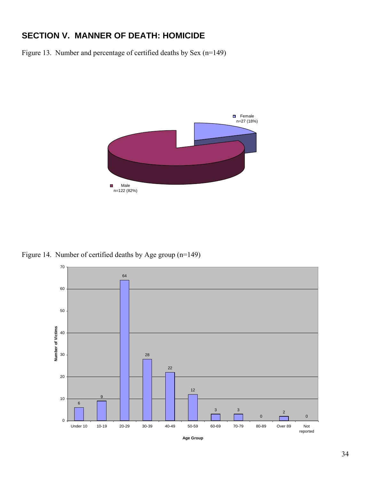# **SECTION V. MANNER OF DEATH: HOMICIDE**

Figure 13. Number and percentage of certified deaths by Sex (n=149)



Figure 14. Number of certified deaths by Age group (n=149)

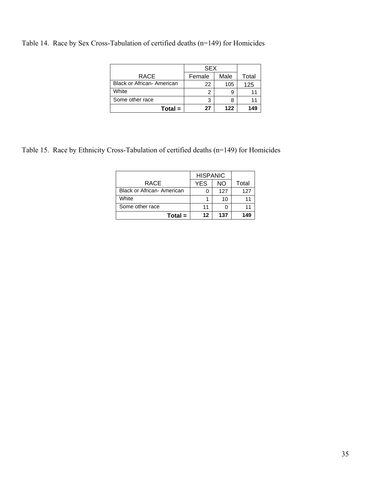Table 14. Race by Sex Cross-Tabulation of certified deaths (n=149) for Homicides

|                            | <b>SEX</b> |      |       |
|----------------------------|------------|------|-------|
| <b>RACE</b>                | Female     | Male | Total |
| Black or African- American | 22         | 105  | 125   |
| White                      |            | 9    |       |
| Some other race            |            |      |       |
| $Total =$                  | 27         | 122  | 149   |

Table 15. Race by Ethnicity Cross-Tabulation of certified deaths (n=149) for Homicides

|                                   | <b>HISPANIC</b> |     |       |
|-----------------------------------|-----------------|-----|-------|
| <b>RACE</b>                       | <b>YES</b>      | NΟ  | Total |
| <b>Black or African- American</b> |                 | 127 | 127   |
| White                             |                 | 10  |       |
| Some other race                   | 11              |     |       |
| $Total =$                         | 12              | 137 | 149   |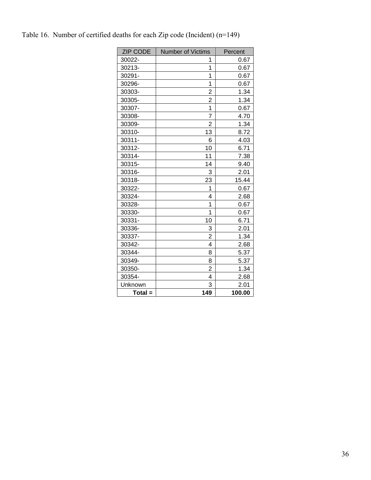| <b>ZIP CODE</b> | <b>Number of Victims</b> | Percent |
|-----------------|--------------------------|---------|
| 30022-          | 1                        | 0.67    |
| 30213-          | $\overline{1}$           | 0.67    |
| 30291-          | 1                        | 0.67    |
| 30296-          | $\overline{1}$           | 0.67    |
| 30303-          | $\overline{2}$           | 1.34    |
| 30305-          | $\overline{2}$           | 1.34    |
| 30307-          | $\overline{1}$           | 0.67    |
| 30308-          | $\overline{7}$           | 4.70    |
| 30309-          | $\overline{2}$           | 1.34    |
| 30310-          | 13                       | 8.72    |
| 30311-          | 6                        | 4.03    |
| 30312-          | 10                       | 6.71    |
| 30314-          | 11                       | 7.38    |
| 30315-          | 14                       | 9.40    |
| 30316-          | 3                        | 2.01    |
| 30318-          | 23                       | 15.44   |
| 30322-          | 1                        | 0.67    |
| 30324-          | $\overline{\mathbf{4}}$  | 2.68    |
| 30328-          | 1                        | 0.67    |
| 30330-          | 1                        | 0.67    |
| 30331-          | 10                       | 6.71    |
| 30336-          | 3                        | 2.01    |
| 30337-          | $\overline{2}$           | 1.34    |
| 30342-          | $\overline{\mathbf{4}}$  | 2.68    |
| 30344-          | 8                        | 5.37    |
| 30349-          | 8                        | 5.37    |
| 30350-          | $\overline{2}$           | 1.34    |
| 30354-          | 4                        | 2.68    |
| Unknown         | 3                        | 2.01    |
| $Total =$       | 149                      | 100.00  |

Table 16. Number of certified deaths for each Zip code (Incident) (n=149)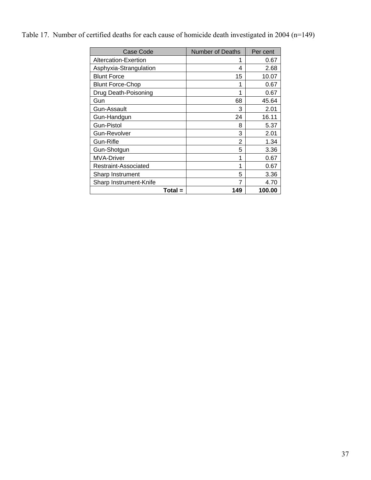Table 17. Number of certified deaths for each cause of homicide death investigated in 2004 (n=149)

| Case Code               | <b>Number of Deaths</b> | Per cent |
|-------------------------|-------------------------|----------|
| Altercation-Exertion    |                         | 0.67     |
| Asphyxia-Strangulation  | 4                       | 2.68     |
| <b>Blunt Force</b>      | 15                      | 10.07    |
| <b>Blunt Force-Chop</b> | 1                       | 0.67     |
| Drug Death-Poisoning    | 1                       | 0.67     |
| Gun                     | 68                      | 45.64    |
| Gun-Assault             | 3                       | 2.01     |
| Gun-Handgun             | 24                      | 16.11    |
| Gun-Pistol              | 8                       | 5.37     |
| Gun-Revolver            | 3                       | 2.01     |
| Gun-Rifle               | 2                       | 1.34     |
| Gun-Shotgun             | 5                       | 3.36     |
| <b>MVA-Driver</b>       | 1                       | 0.67     |
| Restraint-Associated    | 1                       | 0.67     |
| Sharp Instrument        | 5                       | 3.36     |
| Sharp Instrument-Knife  |                         | 4.70     |
| Total =                 | 149                     | 100.00   |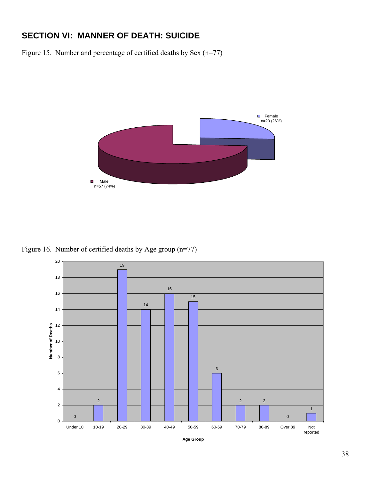# **SECTION VI: MANNER OF DEATH: SUICIDE**

Figure 15. Number and percentage of certified deaths by Sex (n=77)



Figure 16. Number of certified deaths by Age group (n=77)

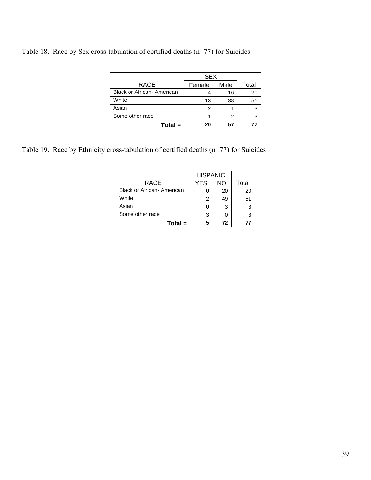Table 18. Race by Sex cross-tabulation of certified deaths (n=77) for Suicides

|                            | <b>SEX</b> |      |       |
|----------------------------|------------|------|-------|
| <b>RACE</b>                | Female     | Male | Total |
| Black or African- American |            | 16   | 20    |
| White                      | 13         | 38   | 51    |
| Asian                      | 2          |      | 3     |
| Some other race            |            | 2    |       |
| $Total =$                  | 20         | 57   |       |

Table 19. Race by Ethnicity cross-tabulation of certified deaths (n=77) for Suicides

|                                   | <b>HISPANIC</b> |    |       |
|-----------------------------------|-----------------|----|-------|
| RACE                              | <b>YES</b>      | ΝO | Total |
| <b>Black or African- American</b> |                 | 20 | 20    |
| White                             | 2               | 49 | 51    |
| Asian                             |                 | 3  |       |
| Some other race                   | 3               |    |       |
| $Total =$                         | 5               | 72 | 77    |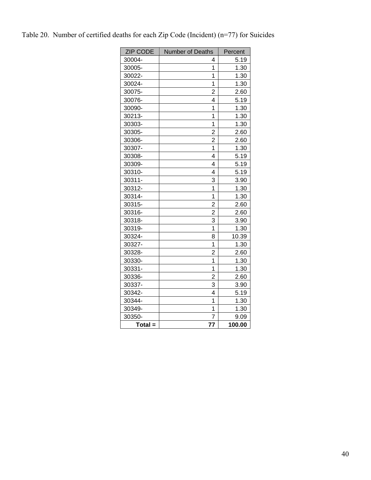| <b>ZIP CODE</b> | Number of Deaths        | Percent |
|-----------------|-------------------------|---------|
| 30004-          | 4                       | 5.19    |
| 30005-          | 1                       | 1.30    |
| 30022-          | $\overline{1}$          | 1.30    |
| 30024-          | $\overline{1}$          | 1.30    |
| 30075-          | $\overline{2}$          | 2.60    |
| 30076-          | $\overline{\mathbf{4}}$ | 5.19    |
| 30090-          | 1                       | 1.30    |
| 30213-          | 1                       | 1.30    |
| 30303-          | 1                       | 1.30    |
| 30305-          | $\overline{2}$          | 2.60    |
| 30306-          | $\overline{2}$          | 2.60    |
| 30307-          | $\overline{1}$          | 1.30    |
| 30308-          | 4                       | 5.19    |
| 30309-          | 4                       | 5.19    |
| 30310-          | 4                       | 5.19    |
| 30311-          | 3                       | 3.90    |
| 30312-          | 1                       | 1.30    |
| 30314-          | 1                       | 1.30    |
| 30315-          | $\overline{2}$          | 2.60    |
| 30316-          | $\overline{2}$          | 2.60    |
| 30318-          | 3                       | 3.90    |
| 30319-          | 1                       | 1.30    |
| 30324-          | 8                       | 10.39   |
| 30327-          | 1                       | 1.30    |
| 30328-          | $\overline{2}$          | 2.60    |
| 30330-          | $\overline{1}$          | 1.30    |
| 30331-          | $\overline{1}$          | 1.30    |
| 30336-          | $\overline{2}$          | 2.60    |
| 30337-          | 3                       | 3.90    |
| 30342-          | 4                       | 5.19    |
| 30344-          | $\overline{1}$          | 1.30    |
| 30349-          | $\overline{1}$          | 1.30    |
| 30350-          | $\overline{7}$          | 9.09    |
| $Total =$       | 77                      | 100.00  |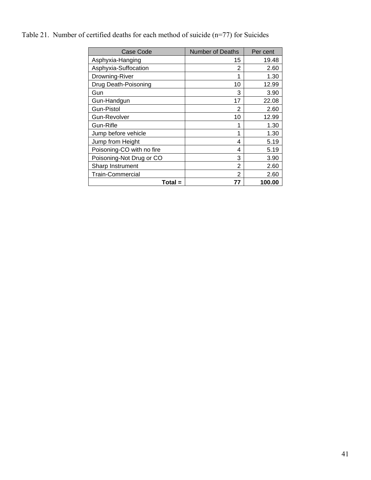# Table 21. Number of certified deaths for each method of suicide (n=77) for Suicides

| Case Code                 | <b>Number of Deaths</b> | Per cent |
|---------------------------|-------------------------|----------|
| Asphyxia-Hanging          | 15                      | 19.48    |
| Asphyxia-Suffocation      | 2                       | 2.60     |
| Drowning-River            | 1                       | 1.30     |
| Drug Death-Poisoning      | 10                      | 12.99    |
| Gun                       | 3                       | 3.90     |
| Gun-Handgun               | 17                      | 22.08    |
| <b>Gun-Pistol</b>         | 2                       | 2.60     |
| Gun-Revolver              | 10                      | 12.99    |
| Gun-Rifle                 | 1                       | 1.30     |
| Jump before vehicle       | 1                       | 1.30     |
| Jump from Height          | 4                       | 5.19     |
| Poisoning-CO with no fire | 4                       | 5.19     |
| Poisoning-Not Drug or CO  | 3                       | 3.90     |
| Sharp Instrument          | 2                       | 2.60     |
| <b>Train-Commercial</b>   | 2                       | 2.60     |
| Total =                   | 77                      | 100.00   |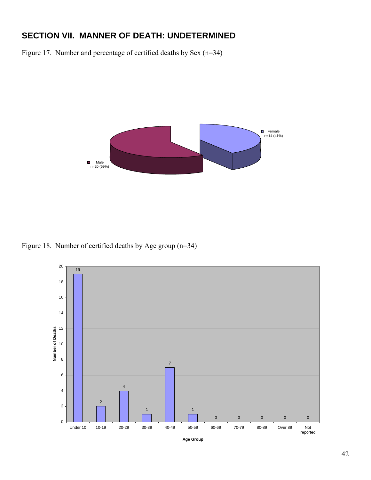# **SECTION VII. MANNER OF DEATH: UNDETERMINED**

Figure 17. Number and percentage of certified deaths by Sex (n=34)



Figure 18. Number of certified deaths by Age group (n=34)

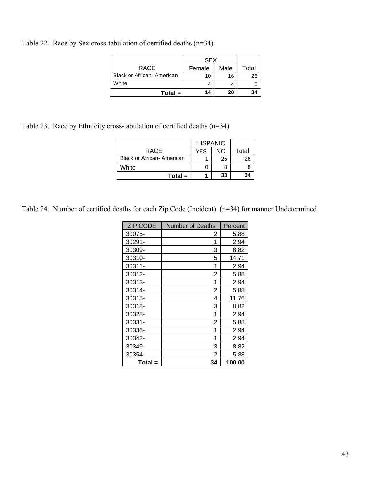Table 22. Race by Sex cross-tabulation of certified deaths (n=34)

|                                   | <b>SEX</b> |      |       |
|-----------------------------------|------------|------|-------|
| <b>RACE</b>                       | Female     | Male | Total |
| <b>Black or African- American</b> | 10         | 16   | 26    |
| White                             |            |      |       |
| $Total =$                         | 14         | 20   | 34    |

Table 23. Race by Ethnicity cross-tabulation of certified deaths (n=34)

|                                   | <b>HISPANIC</b> |    |       |
|-----------------------------------|-----------------|----|-------|
| <b>RACE</b>                       | <b>YES</b>      | NΟ | Total |
| <b>Black or African- American</b> |                 | 25 | 26    |
| White                             |                 |    |       |
| $Total =$                         |                 | 33 | 34    |

Table 24. Number of certified deaths for each Zip Code (Incident) (n=34) for manner Undetermined

| <b>ZIP CODE</b> | Number of Deaths | Percent |
|-----------------|------------------|---------|
| 30075-          | 2                | 5.88    |
| 30291-          | 1                | 2.94    |
| 30309-          | 3                | 8.82    |
| 30310-          | 5                | 14.71   |
| 30311-          | 1                | 2.94    |
| 30312-          | 2                | 5.88    |
| 30313-          | 1                | 2.94    |
| 30314-          | 2                | 5.88    |
| 30315-          | 4                | 11.76   |
| 30318-          | 3                | 8.82    |
| 30328-          | 1                | 2.94    |
| 30331-          | 2                | 5.88    |
| 30336-          | 1                | 2.94    |
| 30342-          | 1                | 2.94    |
| 30349-          | 3                | 8.82    |
| 30354-          | 2                | 5.88    |
| $Total =$       | 34               | 100.00  |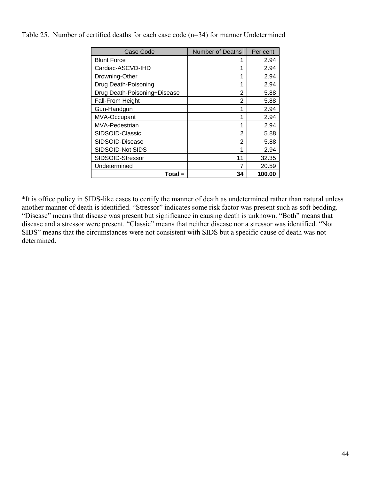|  |  |  | Table 25. Number of certified deaths for each case code $(n=34)$ for manner Undetermined |
|--|--|--|------------------------------------------------------------------------------------------|
|  |  |  |                                                                                          |

| Case Code                    | <b>Number of Deaths</b> | Per cent |
|------------------------------|-------------------------|----------|
| <b>Blunt Force</b>           |                         | 2.94     |
| Cardiac-ASCVD-IHD            | 1                       | 2.94     |
| Drowning-Other               | 1                       | 2.94     |
| Drug Death-Poisoning         | 1                       | 2.94     |
| Drug Death-Poisoning+Disease | $\overline{2}$          | 5.88     |
| Fall-From Height             | 2                       | 5.88     |
| Gun-Handgun                  | 1                       | 2.94     |
| MVA-Occupant                 | 1                       | 2.94     |
| MVA-Pedestrian               | 1                       | 2.94     |
| SIDSOID-Classic              | 2                       | 5.88     |
| SIDSOID-Disease              | 2                       | 5.88     |
| SIDSOID-Not SIDS             | 1                       | 2.94     |
| SIDSOID-Stressor             | 11                      | 32.35    |
| Undetermined                 | 7                       | 20.59    |
| Total =                      | 34                      | 100.00   |

\*It is office policy in SIDS-like cases to certify the manner of death as undetermined rather than natural unless another manner of death is identified. "Stressor" indicates some risk factor was present such as soft bedding. "Disease" means that disease was present but significance in causing death is unknown. "Both" means that disease and a stressor were present. "Classic" means that neither disease nor a stressor was identified. "Not SIDS" means that the circumstances were not consistent with SIDS but a specific cause of death was not determined.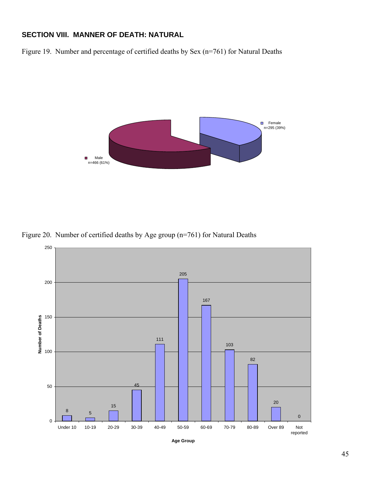#### **SECTION VIII. MANNER OF DEATH: NATURAL**

Figure 19. Number and percentage of certified deaths by Sex (n=761) for Natural Deaths



Figure 20. Number of certified deaths by Age group (n=761) for Natural Deaths



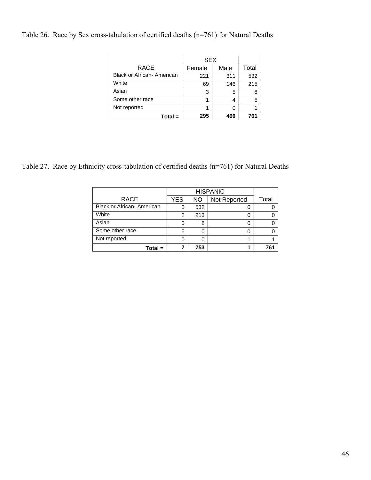Table 26. Race by Sex cross-tabulation of certified deaths (n=761) for Natural Deaths

|                            | <b>SEX</b> |      |       |
|----------------------------|------------|------|-------|
| <b>RACE</b>                | Female     | Male | Total |
| Black or African- American | 221        | 311  | 532   |
| White                      | 69         | 146  | 215   |
| Asian                      | 3          | 5    |       |
| Some other race            |            | 4    | 5     |
| Not reported               |            |      |       |
| $Total =$                  | 295        | 466  | 761   |

Table 27. Race by Ethnicity cross-tabulation of certified deaths (n=761) for Natural Deaths

| <b>RACE</b>                       | <b>YES</b> | <b>NO</b> | Not Reported | Total |
|-----------------------------------|------------|-----------|--------------|-------|
| <b>Black or African- American</b> |            | 532       |              |       |
| White                             | 2          | 213       |              |       |
| Asian                             |            | 8         |              |       |
| Some other race                   | 5          | O         |              |       |
| Not reported                      |            |           |              |       |
| $Total =$                         |            | 753       |              |       |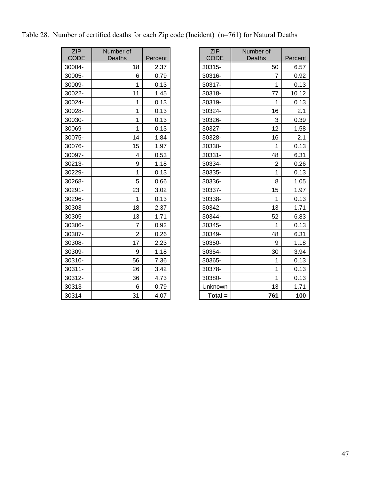| <b>ZIP</b>  | Number of      |         | <b>ZIP</b>  | Number of      |         |
|-------------|----------------|---------|-------------|----------------|---------|
| <b>CODE</b> | Deaths         | Percent | <b>CODE</b> | Deaths         | Percent |
| 30004-      | 18             | 2.37    | 30315-      | 50             | 6.57    |
| 30005-      | 6              | 0.79    | 30316-      | $\overline{7}$ | 0.92    |
| 30009-      | 1              | 0.13    | 30317-      | 1              | 0.13    |
| 30022-      | 11             | 1.45    | 30318-      | 77             | 10.12   |
| 30024-      | 1              | 0.13    | 30319-      | $\mathbf{1}$   | 0.13    |
| 30028-      | $\mathbf{1}$   | 0.13    | 30324-      | 16             | 2.1     |
| 30030-      | 1              | 0.13    | 30326-      | 3              | 0.39    |
| 30069-      | $\mathbf 1$    | 0.13    | 30327-      | 12             | 1.58    |
| 30075-      | 14             | 1.84    | 30328-      | 16             | 2.1     |
| 30076-      | 15             | 1.97    | 30330-      | 1              | 0.13    |
| 30097-      | 4              | 0.53    | 30331-      | 48             | 6.31    |
| 30213-      | 9              | 1.18    | 30334-      | $\overline{2}$ | 0.26    |
| 30229-      | 1              | 0.13    | 30335-      | 1              | 0.13    |
| 30268-      | 5              | 0.66    | 30336-      | 8              | 1.05    |
| 30291-      | 23             | 3.02    | 30337-      | 15             | 1.97    |
| 30296-      | $\mathbf{1}$   | 0.13    | 30338-      | 1              | 0.13    |
| 30303-      | 18             | 2.37    | 30342-      | 13             | 1.71    |
| 30305-      | 13             | 1.71    | 30344-      | 52             | 6.83    |
| 30306-      | $\overline{7}$ | 0.92    | 30345-      | $\mathbf{1}$   | 0.13    |
| 30307-      | $\overline{2}$ | 0.26    | 30349-      | 48             | 6.31    |
| 30308-      | 17             | 2.23    | 30350-      | 9              | 1.18    |
| 30309-      | 9              | 1.18    | 30354-      | 30             | 3.94    |
| 30310-      | 56             | 7.36    | 30365-      | 1              | 0.13    |
| 30311-      | 26             | 3.42    | 30378-      | 1              | 0.13    |
| 30312-      | 36             | 4.73    | 30380-      | 1              | 0.13    |
| 30313-      | 6              | 0.79    | Unknown     | 13             | 1.71    |
| 30314-      | 31             | 4.07    | $Total =$   | 761            | 100     |

| <b>ZIP</b><br><b>CODE</b> | Number of<br>Deaths | Percent | <b>ZIP</b><br><b>CODE</b> | Number of<br><b>Deaths</b> | Percent |
|---------------------------|---------------------|---------|---------------------------|----------------------------|---------|
| 30004-                    | 18                  | 2.37    | 30315-                    | 50                         | 6.57    |
| 30005-                    | 6                   | 0.79    | 30316-                    | 7                          | 0.92    |
| 30009-                    | $\mathbf{1}$        | 0.13    | 30317-                    | 1                          | 0.13    |
| 30022-                    | 11                  | 1.45    | 30318-                    | 77                         | 10.12   |
| 30024-                    | 1                   | 0.13    | 30319-                    | 1                          | 0.13    |
| 30028-                    | $\mathbf{1}$        | 0.13    | 30324-                    | 16                         | 2.1     |
| 30030-                    | $\mathbf{1}$        | 0.13    | 30326-                    | 3                          | 0.39    |
| 30069-                    | $\mathbf{1}$        | 0.13    | 30327-                    | 12                         | 1.58    |
| 30075-                    | 14                  | 1.84    | 30328-                    | 16                         | 2.1     |
| 30076-                    | 15                  | 1.97    | 30330-                    | 1                          | 0.13    |
| 30097-                    | 4                   | 0.53    | 30331-                    | 48                         | 6.31    |
| 30213-                    | 9                   | 1.18    | 30334-                    | $\overline{2}$             | 0.26    |
| 30229-                    | 1                   | 0.13    | 30335-                    | 1                          | 0.13    |
| 30268-                    | 5                   | 0.66    | 30336-                    | 8                          | 1.05    |
| 30291-                    | 23                  | 3.02    | 30337-                    | 15                         | 1.97    |
| 30296-                    | 1                   | 0.13    | 30338-                    | 1                          | 0.13    |
| 30303-                    | 18                  | 2.37    | 30342-                    | 13                         | 1.71    |
| 30305-                    | 13                  | 1.71    | 30344-                    | 52                         | 6.83    |
| 30306-                    | $\overline{7}$      | 0.92    | 30345-                    | 1                          | 0.13    |
| 30307-                    | $\overline{2}$      | 0.26    | 30349-                    | 48                         | 6.31    |
| 30308-                    | 17                  | 2.23    | 30350-                    | 9                          | 1.18    |
| 30309-                    | 9                   | 1.18    | 30354-                    | 30                         | 3.94    |
| 30310-                    | 56                  | 7.36    | 30365-                    | 1                          | 0.13    |
| 30311-                    | 26                  | 3.42    | 30378-                    | 1                          | 0.13    |
| 30312-                    | 36                  | 4.73    | 30380-                    | 1                          | 0.13    |
| 30313-                    | 6                   | 0.79    | Unknown                   | 13                         | 1.71    |
| 30314-                    | 31                  | 4.07    | $Total =$                 | 761                        | 100     |

|  |  |  |  | Table 28. Number of certified deaths for each Zip code (Incident) (n=761) for Natural Deaths |  |
|--|--|--|--|----------------------------------------------------------------------------------------------|--|
|  |  |  |  |                                                                                              |  |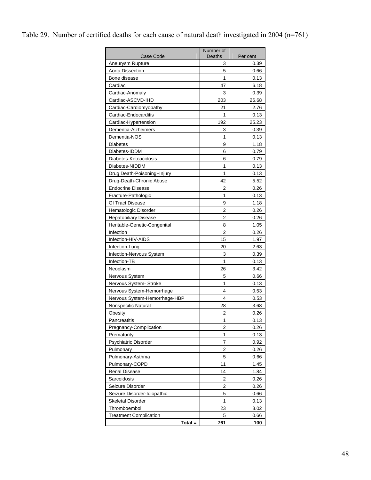## Table 29. Number of certified deaths for each cause of natural death investigated in 2004 (n=761)

| Case Code                                      | Number of<br>Deaths | Per cent     |  |  |
|------------------------------------------------|---------------------|--------------|--|--|
| Aneurysm Rupture                               | 3                   | 0.39         |  |  |
| Aorta Dissection                               | 5                   | 0.66         |  |  |
| Bone disease                                   | 1                   | 0.13         |  |  |
| Cardiac                                        | 47                  | 6.18         |  |  |
| Cardiac-Anomaly                                | 3                   | 0.39         |  |  |
| Cardiac-ASCVD-IHD                              | 203                 | 26.68        |  |  |
|                                                |                     |              |  |  |
| Cardiac-Cardiomyopathy<br>Cardiac-Endocarditis | 21<br>1             | 2.76<br>0.13 |  |  |
| Cardiac-Hypertension                           | 192                 | 25.23        |  |  |
| Dementia-Alzheimers                            | 3                   | 0.39         |  |  |
|                                                | 1                   |              |  |  |
| Dementia-NOS                                   |                     | 0.13         |  |  |
| <b>Diabetes</b>                                | 9                   | 1.18         |  |  |
| Diabetes-IDDM                                  | 6                   | 0.79         |  |  |
| Diabetes-Ketoacidosis                          | 6                   | 0.79         |  |  |
| Diabetes-NIDDM                                 | 1                   | 0.13         |  |  |
| Drug Death-Poisoning+Injury                    | 1                   | 0.13         |  |  |
| Drug-Death-Chronic Abuse                       | 42                  | 5.52         |  |  |
| <b>Endocrine Disease</b>                       | 2                   | 0.26         |  |  |
| Fracture-Pathologic                            | 1                   | 0.13         |  |  |
| <b>GI Tract Disease</b>                        | 9                   | 1.18         |  |  |
| Hematologic Disorder                           | 2                   | 0.26         |  |  |
| <b>Hepatobiliary Disease</b>                   | 2                   | 0.26         |  |  |
| Heritable-Genetic-Congenital                   | 8                   | 1.05         |  |  |
| Infection                                      | 2                   | 0.26         |  |  |
| Infection-HIV-AIDS                             | 15                  | 1.97         |  |  |
| Infection-Lung                                 | 20                  | 2.63         |  |  |
| Infection-Nervous System                       | 3                   | 0.39         |  |  |
| Infection-TB                                   | 1                   | 0.13         |  |  |
| Neoplasm                                       | 26                  | 3.42         |  |  |
| Nervous System                                 | 5                   | 0.66         |  |  |
| Nervous System- Stroke                         | 1                   | 0.13         |  |  |
| Nervous System-Hemorrhage                      | 4                   | 0.53         |  |  |
| Nervous System-Hemorrhage-HBP                  | 4                   | 0.53         |  |  |
| Nonspecific Natural                            | 28                  | 3.68         |  |  |
| <b>Obesity</b>                                 | 2                   | 0.26         |  |  |
| Pancreatitis                                   | 1                   | 0.13         |  |  |
| Pregnancy-Complication                         | 2                   | 0.26         |  |  |
| Prematurity                                    | 1                   | 0.13         |  |  |
| Psychiatric Disorder                           | 7                   | 0.92         |  |  |
| Pulmonary                                      | 2                   | 0.26         |  |  |
| Pulmonary-Asthma                               | 5                   | 0.66         |  |  |
| Pulmonary-COPD                                 | 11                  | 1.45         |  |  |
| <b>Renal Disease</b>                           | 14                  | 1.84         |  |  |
| Sarcoidosis                                    | 2                   | 0.26         |  |  |
| Seizure Disorder                               | 2                   | 0.26         |  |  |
| Seizure Disorder-Idiopathic                    | 5                   | 0.66         |  |  |
| Skeletal Disorder                              | 1                   | 0.13         |  |  |
| Thromboemboli                                  | 23                  | 3.02         |  |  |
| <b>Treatment Complication</b>                  | 5                   | 0.66         |  |  |
| Total =                                        | 761                 | 100          |  |  |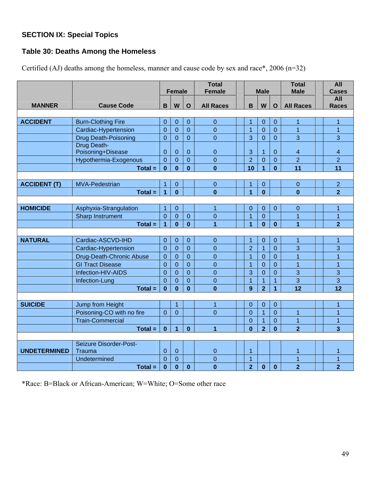## **SECTION IX: Special Topics**

## **Table 30: Deaths Among the Homeless**

|                     |                             |                |                |                | <b>Total</b>     |                |                |                  | <b>Total</b>     | All                      |
|---------------------|-----------------------------|----------------|----------------|----------------|------------------|----------------|----------------|------------------|------------------|--------------------------|
|                     |                             | <b>Female</b>  |                |                | <b>Female</b>    | <b>Male</b>    |                |                  | <b>Male</b>      | <b>Cases</b>             |
|                     |                             |                |                |                |                  |                |                |                  |                  | <b>All</b>               |
| <b>MANNER</b>       | <b>Cause Code</b>           | B              | W              | $\mathbf{o}$   | <b>All Races</b> | $\mathbf B$    | W              | $\mathbf{o}$     | <b>All Races</b> | <b>Races</b>             |
| <b>ACCIDENT</b>     | <b>Burn-Clothing Fire</b>   | $\overline{0}$ | $\mathbf{0}$   | 0              | $\mathbf 0$      | 1              | $\mathbf 0$    | $\Omega$         | 1                | 1                        |
|                     | Cardiac-Hypertension        | $\overline{0}$ | $\overline{0}$ | $\overline{0}$ | $\overline{0}$   | $\overline{1}$ | $\overline{0}$ | $\overline{0}$   | $\overline{1}$   | $\overline{1}$           |
|                     | <b>Drug Death-Poisoning</b> | $\overline{0}$ | $\overline{0}$ | $\overline{0}$ | $\overline{0}$   | 3              | $\overline{0}$ | $\Omega$         | 3                | 3                        |
|                     | Drug Death-                 |                |                |                |                  |                |                |                  |                  |                          |
|                     | Poisoning+Disease           | $\mathbf 0$    | $\mathbf{0}$   | $\mathbf 0$    | $\overline{0}$   | 3              | 1              | $\mathbf{0}$     | 4                | $\overline{\mathcal{A}}$ |
|                     | Hypothermia-Exogenous       | $\overline{0}$ | $\mathbf 0$    | $\mathbf 0$    | $\boldsymbol{0}$ | $\overline{2}$ | $\mathbf 0$    | $\boldsymbol{0}$ | $\overline{2}$   | $\overline{2}$           |
|                     | $Total =$                   | $\bf{0}$       | $\bf{0}$       | $\mathbf{0}$   | $\bf{0}$         | 10             | 1              | $\mathbf{0}$     | 11               | 11                       |
|                     |                             |                |                |                |                  |                |                |                  |                  |                          |
| <b>ACCIDENT (T)</b> | <b>MVA-Pedestrian</b>       | $\overline{1}$ | $\mathbf{0}$   |                | $\mathbf 0$      | 1              | $\mathbf 0$    |                  | $\boldsymbol{0}$ | $\overline{2}$           |
|                     | $Total =$                   | $\overline{1}$ | $\bf{0}$       |                | $\mathbf{0}$     | $\overline{1}$ | $\bf{0}$       |                  | $\mathbf{0}$     | $\overline{2}$           |
|                     |                             |                |                |                |                  |                |                |                  |                  |                          |
| <b>HOMICIDE</b>     | Asphyxia-Strangulation      | 1              | $\mathbf{0}$   |                | $\overline{1}$   | $\Omega$       | $\mathbf 0$    | $\overline{0}$   | $\mathbf 0$      | 1                        |
|                     | <b>Sharp Instrument</b>     | $\overline{0}$ | $\overline{0}$ | $\mathbf 0$    | $\mathbf{0}$     | $\overline{1}$ | $\overline{0}$ |                  | $\overline{1}$   | $\mathbf{1}$             |
|                     | $Total =$                   | $\overline{1}$ | $\mathbf{0}$   | $\bf{0}$       | $\overline{1}$   | 1              | $\bf{0}$       | $\mathbf{0}$     | $\overline{1}$   | $\overline{2}$           |
|                     |                             |                |                |                |                  |                |                |                  |                  |                          |
| <b>NATURAL</b>      | Cardiac-ASCVD-IHD           | $\mathbf{0}$   | $\mathbf 0$    | $\mathbf 0$    | $\boldsymbol{0}$ | 1              | $\mathbf{0}$   | $\overline{0}$   | $\overline{1}$   | $\overline{1}$           |
|                     | Cardiac-Hypertension        | $\overline{0}$ | $\overline{0}$ | $\overline{0}$ | $\overline{0}$   | $\overline{2}$ | $\overline{1}$ | $\overline{0}$   | 3                | 3                        |
|                     | Drug-Death-Chronic Abuse    | $\overline{0}$ | $\overline{0}$ | $\overline{0}$ | $\overline{0}$   | 1              | 0              | $\overline{0}$   | $\mathbf{1}$     | $\overline{1}$           |
|                     | <b>GI Tract Disease</b>     | $\overline{0}$ | $\overline{0}$ | $\overline{0}$ | $\overline{0}$   | $\overline{1}$ | $\overline{0}$ | $\overline{0}$   | $\overline{1}$   | $\overline{1}$           |
|                     | Infection-HIV-AIDS          | $\overline{0}$ | $\overline{0}$ | $\overline{0}$ | $\overline{0}$   | 3              | $\overline{0}$ | $\overline{0}$   | 3                | $\overline{3}$           |
|                     | Infection-Lung              | $\overline{0}$ | $\overline{0}$ | $\overline{0}$ | $\overline{0}$   | $\overline{1}$ | $\overline{1}$ | $\overline{1}$   | 3                | 3                        |
|                     | $Total =$                   | $\mathbf 0$    | $\mathbf{0}$   | $\mathbf 0$    | $\bf{0}$         | 9              | $\overline{2}$ | $\overline{1}$   | 12               | 12                       |
|                     |                             |                |                |                |                  |                |                |                  |                  |                          |
| <b>SUICIDE</b>      | Jump from Height            |                | 1              |                | 1                | 0              | 0              | $\overline{0}$   |                  | 1                        |
|                     | Poisoning-CO with no fire   | $\overline{0}$ | $\overline{0}$ |                | $\overline{0}$   | $\Omega$       | $\mathbf{1}$   | $\overline{0}$   | 1                | $\overline{1}$           |
|                     | <b>Train-Commercial</b>     |                |                |                |                  | $\Omega$       | $\overline{1}$ | $\overline{0}$   | $\overline{1}$   | $\overline{1}$           |
|                     | $Total =$                   | $\mathbf{0}$   | $\overline{1}$ | $\mathbf{0}$   | $\overline{1}$   | $\bf{0}$       | $\overline{2}$ | $\mathbf 0$      | $\overline{2}$   | $\overline{3}$           |
|                     |                             |                |                |                |                  |                |                |                  |                  |                          |
|                     | Seizure Disorder-Post-      |                |                |                |                  |                |                |                  |                  |                          |
| <b>UNDETERMINED</b> | Trauma                      | $\overline{0}$ | $\overline{0}$ |                | $\boldsymbol{0}$ | $\overline{1}$ |                |                  | 1                | 1                        |
|                     | Undetermined                | $\overline{0}$ | $\overline{0}$ |                | $\mathbf 0$      | $\overline{1}$ |                |                  | $\overline{1}$   | $\overline{1}$           |
|                     | $Total =$                   | $\mathbf{0}$   | $\mathbf{0}$   | $\mathbf{0}$   | $\bf{0}$         | $\overline{2}$ | $\bf{0}$       | $\bf{0}$         | $\overline{2}$   | $\overline{2}$           |

Certified (AJ) deaths among the homeless, manner and cause code by sex and race\*, 2006 (n=32)

\*Race: B=Black or African-American; W=White; O=Some other race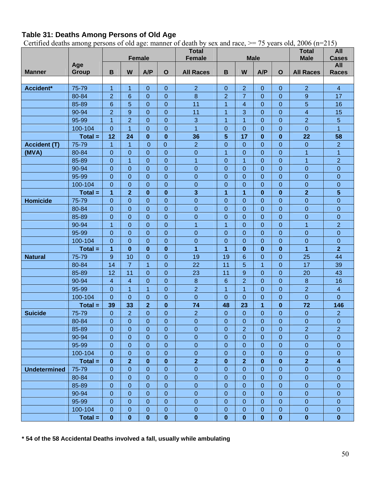## **Table 31: Deaths Among Persons of Old Age**

Certified deaths among persons of old age: manner of death by sex and race,  $\ge$  = 75 years old, 2006 (n=215)

|                     |              |                  |                         |                            |                  | <b>Total</b>     |                  |                         |                  |                  | <b>Total</b>            | All                 |
|---------------------|--------------|------------------|-------------------------|----------------------------|------------------|------------------|------------------|-------------------------|------------------|------------------|-------------------------|---------------------|
|                     |              |                  |                         | <b>Female</b>              |                  | <b>Female</b>    |                  |                         | <b>Male</b>      |                  | <b>Male</b>             | <b>Cases</b>        |
| <b>Manner</b>       | Age<br>Group | B                | W                       | A/P                        | $\mathbf{o}$     | <b>All Races</b> | $\mathbf B$      | W                       | A/P              | $\mathbf{o}$     | <b>All Races</b>        | All<br><b>Races</b> |
|                     |              |                  |                         |                            |                  |                  |                  |                         |                  |                  |                         |                     |
| Accident*           | 75-79        | $\mathbf{1}$     | $\overline{1}$          | $\boldsymbol{0}$           | $\mathbf{0}$     | $\overline{2}$   | $\mathbf 0$      | $\overline{2}$          | $\mathbf 0$      | $\boldsymbol{0}$ | $\overline{2}$          | $\overline{4}$      |
|                     | 80-84        | $\overline{2}$   | $6\phantom{1}6$         | $\mathbf 0$                | $\mathbf{0}$     | $\overline{8}$   | $\overline{2}$   | $\overline{7}$          | $\mathbf{0}$     | $\mathbf 0$      | 9                       | 17                  |
|                     | 85-89        | $\,6\,$          | 5                       | $\mathbf 0$                | $\mathbf 0$      | 11               | 1                | $\overline{\mathbf{4}}$ | $\mathbf 0$      | $\mathbf 0$      | 5                       | 16                  |
|                     | 90-94        | $\overline{2}$   | $\overline{9}$          | $\mathbf 0$                | $\mathbf{0}$     | 11               | $\overline{1}$   | 3                       | $\mathbf 0$      | $\boldsymbol{0}$ | $\overline{4}$          | 15                  |
|                     | 95-99        | $\overline{1}$   | $\overline{2}$          | $\mathbf 0$                | $\boldsymbol{0}$ | $\overline{3}$   | $\overline{1}$   | $\overline{1}$          | $\overline{0}$   | $\mathbf 0$      | $\overline{2}$          | 5                   |
|                     | 100-104      | $\mathbf 0$      | $\overline{1}$          | $\mathbf 0$                | $\mathbf{0}$     | $\overline{1}$   | $\mathbf 0$      | $\boldsymbol{0}$        | $\mathbf 0$      | $\pmb{0}$        | $\overline{0}$          | $\overline{1}$      |
|                     | $Total =$    | 12               | 24                      | $\bf{0}$                   | $\bf{0}$         | 36               | 5                | 17                      | $\bf{0}$         | $\bf{0}$         | 22                      | 58                  |
| <b>Accident (T)</b> | 75-79        | $\overline{1}$   | $\overline{1}$          | $\mathbf{0}$               | $\mathbf 0$      | $\overline{2}$   | $\overline{0}$   | $\overline{0}$          | $\overline{0}$   | $\mathbf 0$      | $\mathbf 0$             | $\overline{2}$      |
| (MVA)               | 80-84        | $\mathbf 0$      | $\mathbf 0$             | $\overline{0}$             | $\mathbf 0$      | $\overline{0}$   | $\overline{1}$   | $\boldsymbol{0}$        | $\mathbf 0$      | $\boldsymbol{0}$ | $\overline{1}$          | $\overline{1}$      |
|                     | 85-89        | $\mathbf 0$      | $\overline{1}$          | $\mathbf 0$                | $\boldsymbol{0}$ | $\overline{1}$   | $\mathbf 0$      | $\overline{1}$          | $\mathbf 0$      | $\mathbf 0$      | $\overline{1}$          | $\overline{2}$      |
|                     | 90-94        | $\mathbf 0$      | $\mathbf 0$             | $\mathbf 0$                | $\mathbf 0$      | $\mathbf 0$      | $\overline{0}$   | $\mathbf 0$             | $\overline{0}$   | $\mathbf 0$      | $\mathbf 0$             | $\mathbf 0$         |
|                     | 95-99        | $\mathbf 0$      | $\mathbf 0$             | $\mathbf 0$                | $\mathbf 0$      | $\mathbf 0$      | $\overline{0}$   | $\mathbf 0$             | $\mathbf 0$      | $\mathbf 0$      | $\boldsymbol{0}$        | $\mathbf 0$         |
|                     | 100-104      | $\mathbf 0$      | $\mathbf{0}$            | $\mathbf 0$                | $\mathbf{0}$     | $\overline{0}$   | $\overline{0}$   | $\mathbf 0$             | $\overline{0}$   | $\mathbf 0$      | $\mathbf 0$             | $\mathbf 0$         |
|                     | $Total =$    | $\overline{1}$   | $\overline{\mathbf{2}}$ | $\bf{0}$                   | $\bf{0}$         | 3                | 1                | 1                       | $\bf{0}$         | $\bf{0}$         | $\overline{\mathbf{2}}$ | 5                   |
| <b>Homicide</b>     | 75-79        | $\mathbf 0$      | $\mathbf 0$             | $\mathbf 0$                | $\mathbf 0$      | $\overline{0}$   | $\overline{0}$   | $\overline{0}$          | $\mathbf 0$      | $\boldsymbol{0}$ | $\mathbf 0$             | $\overline{0}$      |
|                     | 80-84        | $\mathbf 0$      | $\mathbf{0}$            | $\mathbf 0$                | $\mathbf{0}$     | $\mathbf 0$      | $\mathbf 0$      | $\mathbf 0$             | $\mathbf 0$      | $\boldsymbol{0}$ | $\boldsymbol{0}$        | $\mathbf 0$         |
|                     | 85-89        | $\mathbf 0$      | $\mathbf{0}$            | $\mathbf 0$<br>$\mathbf 0$ |                  | $\mathbf 0$      | $\mathbf 0$      | $\mathbf 0$             | $\mathbf 0$      | $\mathbf 0$      | $\boldsymbol{0}$        | $\mathbf 0$         |
|                     | 90-94        | $\overline{1}$   | $\mathbf 0$             | $\mathbf 0$                | $\boldsymbol{0}$ | $\overline{1}$   | $\overline{1}$   | $\boldsymbol{0}$        | $\overline{0}$   | $\mathbf 0$      | $\overline{1}$          | $\overline{2}$      |
|                     | 95-99        | $\mathbf 0$      | $\mathbf 0$             | $\overline{0}$             | $\mathbf{0}$     | $\pmb{0}$        | $\overline{0}$   | $\boldsymbol{0}$        | $\mathbf 0$      | $\mathbf 0$      | $\pmb{0}$               | $\mathbf 0$         |
|                     | 100-104      | $\overline{0}$   | $\mathbf 0$             | $\overline{0}$             | $\mathbf 0$      | $\overline{O}$   | $\overline{0}$   | $\overline{0}$          | $\overline{0}$   | $\mathbf 0$      | $\mathbf 0$             | $\overline{0}$      |
|                     | $Total =$    | $\mathbf{1}$     | $\bf{0}$                | $\bf{0}$                   | $\bf{0}$         | 1                | 1                | $\bf{0}$                | $\bf{0}$         | $\bf{0}$         | 1                       | $\overline{2}$      |
| <b>Natural</b>      | 75-79        | $9$              | 10                      | $\mathbf 0$                | $\mathbf 0$      | 19               | 19               | 6                       | $\mathbf 0$      | $\mathbf 0$      | 25                      | 44                  |
|                     | 80-84        | 14               | $\overline{7}$          | $\overline{1}$             | $\mathbf{0}$     | 22               | 11               | 5                       | $\overline{1}$   | $\boldsymbol{0}$ | 17                      | 39                  |
|                     | 85-89        | 12               | 11                      | $\mathbf 0$                | $\pmb{0}$        | 23               | 11               | $\boldsymbol{9}$        | $\mathbf 0$      | $\mathbf 0$      | 20                      | 43                  |
|                     | 90-94        | $\overline{4}$   | $\overline{\mathbf{4}}$ | $\mathbf 0$                | $\mathbf 0$      | $\boldsymbol{8}$ | 6                | $\overline{2}$          | $\mathbf{0}$     | $\boldsymbol{0}$ | $\bf 8$                 | 16                  |
|                     | 95-99        | $\mathbf 0$      | $\overline{1}$          | $\overline{1}$             | $\mathbf 0$      | $\overline{2}$   | 1                | 1                       | $\mathbf 0$      | $\mathbf 0$      | $\overline{2}$          | $\overline{4}$      |
|                     | 100-104      | $\overline{0}$   | $\mathbf 0$             | $\mathbf 0$                | $\mathbf 0$      | $\overline{0}$   | $\overline{0}$   | $\overline{0}$          | $\boldsymbol{0}$ | $\boldsymbol{0}$ | $\overline{0}$          | $\overline{0}$      |
|                     | $Total =$    | 39               | 33                      | $\overline{\mathbf{2}}$    | $\bf{0}$         | 74               | 48               | 23                      | $\overline{1}$   | $\bf{0}$         | 72                      | 146                 |
| <b>Suicide</b>      | 75-79        | $\mathbf 0$      | $\overline{2}$          | $\mathbf 0$                | $\boldsymbol{0}$ | $\overline{2}$   | $\mathbf 0$      | $\boldsymbol{0}$        | $\boldsymbol{0}$ | $\boldsymbol{0}$ | $\pmb{0}$               | $\overline{2}$      |
|                     | 80-84        | 0                | 0                       | 0                          | 0                | 0                | 0                | 0                       | 0                | 0                | 0                       | 0                   |
|                     | 85-89        | $\boldsymbol{0}$ | $\overline{0}$          | $\mathbf 0$                | $\overline{0}$   | $\boldsymbol{0}$ | $\mathbf 0$      | $\overline{2}$          | $\mathbf 0$      | $\mathbf 0$      | $\overline{2}$          | $\overline{2}$      |
|                     | 90-94        | $\mathbf 0$      | $\mathbf 0$             | $\boldsymbol{0}$           | $\mathbf 0$      | $\overline{0}$   | $\boldsymbol{0}$ | $\boldsymbol{0}$        | $\mathbf 0$      | $\boldsymbol{0}$ | $\boldsymbol{0}$        | $\mathbf 0$         |
|                     | 95-99        | $\mathbf 0$      | $\mathbf 0$             | $\overline{0}$             | $\mathbf 0$      | $\overline{0}$   | $\boldsymbol{0}$ | $\mathbf 0$             | $\mathbf 0$      | $\boldsymbol{0}$ | $\pmb{0}$               | $\mathbf 0$         |
|                     | 100-104      | $\mathbf 0$      | $\pmb{0}$               | $\mathbf 0$                | $\bf 0$          | $\pmb{0}$        | $\mathbf 0$      | $\pmb{0}$               | $\pmb{0}$        | $\pmb{0}$        | $\pmb{0}$               | 0                   |
|                     | $Total =$    | $\bf{0}$         | $\overline{\mathbf{2}}$ | $\bf{0}$                   | $\bf{0}$         | $\overline{2}$   | $\bf{0}$         | $\overline{\mathbf{2}}$ | $\bf{0}$         | $\bf{0}$         | $\overline{\mathbf{2}}$ | 4                   |
| <b>Undetermined</b> | 75-79        | $\boldsymbol{0}$ | $\boldsymbol{0}$        | $\mathbf 0$                | $\mathbf{0}$     | $\boldsymbol{0}$ | $\boldsymbol{0}$ | $\pmb{0}$               | $\boldsymbol{0}$ | $\pmb{0}$        | $\pmb{0}$               | $\mathbf 0$         |
|                     | 80-84        | $\mathbf 0$      | $\mathbf 0$             | $\boldsymbol{0}$           | $\mathbf 0$      | $\boldsymbol{0}$ | $\boldsymbol{0}$ | $\boldsymbol{0}$        | $\mathbf 0$      | $\mathbf 0$      | $\boldsymbol{0}$        | $\mathbf 0$         |
|                     | 85-89        | $\mathbf 0$      | $\mathbf 0$             | $\overline{0}$             | $\mathbf 0$      | $\pmb{0}$        | $\boldsymbol{0}$ | $\mathbf 0$             | $\mathbf 0$      | $\pmb{0}$        | $\pmb{0}$               | $\mathbf 0$         |
|                     | 90-94        | $\boldsymbol{0}$ | $\mathbf 0$             | $\mathbf 0$                | $\mathbf 0$      | $\boldsymbol{0}$ | $\mathbf 0$      | $\boldsymbol{0}$        | $\boldsymbol{0}$ | $\pmb{0}$        | $\pmb{0}$               | $\mathbf 0$         |
|                     | 95-99        | $\mathbf 0$      | $\mathbf 0$             | $\boldsymbol{0}$           | $\mathbf{0}$     | $\pmb{0}$        | $\boldsymbol{0}$ | $\pmb{0}$               | $\mathbf 0$      | $\pmb{0}$        | $\pmb{0}$               | $\boldsymbol{0}$    |
|                     | 100-104      | $\theta$         | $\mathbf 0$             | $\boldsymbol{0}$           | $\pmb{0}$        | $\boldsymbol{0}$ | $\pmb{0}$        | $\pmb{0}$               | $\mathbf 0$      | $\pmb{0}$        | $\pmb{0}$               | 0                   |
|                     | $Total =$    | $\pmb{0}$        | $\bf{0}$                | $\mathbf 0$                | $\bf{0}$         | $\bf{0}$         | $\mathbf{0}$     | $\mathbf{0}$            | $\pmb{0}$        | $\bf{0}$         | $\pmb{0}$               | $\bf{0}$            |

**\* 54 of the 58 Accidental Deaths involved a fall, usually while ambulating**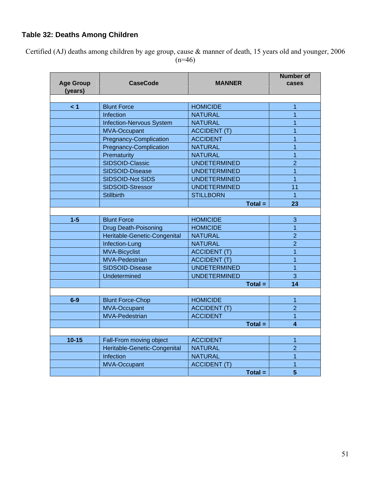## **Table 32: Deaths Among Children**

Certified (AJ) deaths among children by age group, cause & manner of death, 15 years old and younger, 2006  $(n=46)$ 

| <b>Age Group</b><br>(years) | <b>CaseCode</b>                                      | <b>MANNER</b>                          | <b>Number of</b><br>cases |
|-----------------------------|------------------------------------------------------|----------------------------------------|---------------------------|
|                             |                                                      |                                        |                           |
| $\leq 1$                    | <b>Blunt Force</b>                                   | <b>HOMICIDE</b><br><b>NATURAL</b>      | 1<br>1                    |
|                             | Infection                                            | <b>NATURAL</b>                         | 1                         |
|                             | <b>Infection-Nervous System</b>                      |                                        | $\overline{1}$            |
|                             | <b>MVA-Occupant</b><br><b>Pregnancy-Complication</b> | <b>ACCIDENT (T)</b><br><b>ACCIDENT</b> | 1                         |
|                             | <b>Pregnancy-Complication</b>                        | <b>NATURAL</b>                         | $\overline{1}$            |
|                             | Prematurity                                          | <b>NATURAL</b>                         | $\mathbf{1}$              |
|                             | SIDSOID-Classic                                      | <b>UNDETERMINED</b>                    | $\overline{2}$            |
|                             | SIDSOID-Disease                                      | <b>UNDETERMINED</b>                    | 1                         |
|                             |                                                      | <b>UNDETERMINED</b>                    | $\overline{1}$            |
|                             | SIDSOID-Not SIDS<br>SIDSOID-Stressor                 | <b>UNDETERMINED</b>                    | 11                        |
|                             | <b>Stillbirth</b>                                    | <b>STILLBORN</b>                       | $\overline{1}$            |
|                             |                                                      | $Total =$                              | 23                        |
|                             |                                                      |                                        |                           |
| $1 - 5$                     | <b>Blunt Force</b>                                   | <b>HOMICIDE</b>                        | 3                         |
|                             | <b>Drug Death-Poisoning</b>                          | <b>HOMICIDE</b>                        | 1                         |
|                             | Heritable-Genetic-Congenital                         | <b>NATURAL</b>                         | $\overline{2}$            |
|                             | Infection-Lung                                       | <b>NATURAL</b>                         | $\overline{2}$            |
|                             | <b>MVA-Bicyclist</b>                                 | <b>ACCIDENT (T)</b>                    | 1                         |
|                             | <b>MVA-Pedestrian</b>                                | <b>ACCIDENT (T)</b>                    | 1                         |
|                             | SIDSOID-Disease                                      | <b>UNDETERMINED</b>                    | $\overline{1}$            |
|                             | Undetermined                                         | <b>UNDETERMINED</b>                    | 3                         |
|                             |                                                      | $Total =$                              | 14                        |
|                             |                                                      |                                        |                           |
| $6-9$                       | <b>Blunt Force-Chop</b>                              | <b>HOMICIDE</b>                        | 1                         |
|                             | <b>MVA-Occupant</b>                                  | <b>ACCIDENT (T)</b>                    | $\overline{2}$            |
|                             | <b>MVA-Pedestrian</b>                                | <b>ACCIDENT</b>                        | 1                         |
|                             |                                                      | $Total =$                              | $\overline{\mathbf{4}}$   |
|                             |                                                      |                                        |                           |
| $10 - 15$                   | Fall-From moving object                              | <b>ACCIDENT</b>                        | 1                         |
|                             | Heritable-Genetic-Congenital                         | <b>NATURAL</b>                         | $\overline{2}$            |
|                             | Infection                                            | <b>NATURAL</b>                         | $\overline{1}$            |
|                             | <b>MVA-Occupant</b>                                  | <b>ACCIDENT (T)</b>                    | $\overline{1}$            |
|                             |                                                      | $Total =$                              | $\overline{\mathbf{5}}$   |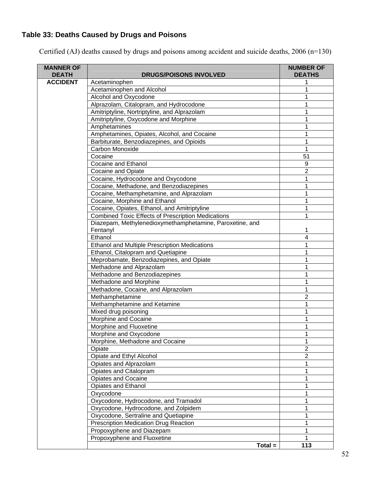# **Table 33: Deaths Caused by Drugs and Poisons**

| <b>MANNER OF</b><br><b>DEATH</b> | <b>DRUGS/POISONS INVOLVED</b>                             | <b>NUMBER OF</b><br><b>DEATHS</b> |
|----------------------------------|-----------------------------------------------------------|-----------------------------------|
| <b>ACCIDENT</b>                  | Acetaminophen                                             |                                   |
|                                  | Acetaminophen and Alcohol                                 | 1                                 |
|                                  | Alcohol and Oxycodone                                     | 1                                 |
|                                  | Alprazolam, Citalopram, and Hydrocodone                   |                                   |
|                                  | Amitriptyline, Nortriptyline, and Alprazolam              |                                   |
|                                  | Amitriptyline, Oxycodone and Morphine                     |                                   |
|                                  | Amphetamines                                              | 1                                 |
|                                  | Amphetamines, Opiates, Alcohol, and Cocaine               | 1                                 |
|                                  | Barbiturate, Benzodiazepines, and Opioids                 | 1                                 |
|                                  | Carbon Monoxide                                           | 1                                 |
|                                  | Cocaine                                                   | 51                                |
|                                  | <b>Cocaine and Ethanol</b>                                | 9                                 |
|                                  | <b>Cocaine and Opiate</b>                                 | $\overline{2}$                    |
|                                  | Cocaine, Hydrocodone and Oxycodone                        |                                   |
|                                  | Cocaine, Methadone, and Benzodiazepines                   |                                   |
|                                  | Cocaine, Methamphetamine, and Alprazolam                  |                                   |
|                                  | Cocaine, Morphine and Ethanol                             |                                   |
|                                  | Cocaine, Opiates, Ethanol, and Amitriptyline              |                                   |
|                                  | <b>Combined Toxic Effects of Prescription Medications</b> | 1                                 |
|                                  | Diazepam, Methylenedioxymethamphetamine, Paroxetine, and  |                                   |
|                                  | Fentanyl                                                  |                                   |
|                                  | Ethanol                                                   | 4                                 |
|                                  | <b>Ethanol and Multiple Prescription Medications</b>      |                                   |
|                                  | Ethanol, Citalopram and Quetiapine                        | 1                                 |
|                                  | Meprobamate, Benzodiazepines, and Opiate                  |                                   |
|                                  | Methadone and Alprazolam                                  |                                   |
|                                  | Methadone and Benzodiazepines                             |                                   |
|                                  | Methadone and Morphine                                    | 1                                 |
|                                  | Methadone, Cocaine, and Alprazolam                        | 1                                 |
|                                  | Methamphetamine                                           | $\overline{2}$                    |
|                                  | Methamphetamine and Ketamine                              | 1                                 |
|                                  | Mixed drug poisoning                                      | 1                                 |
|                                  | Morphine and Cocaine                                      | 1                                 |
|                                  | Morphine and Fluoxetine                                   |                                   |
|                                  | Morphine and Oxycodone                                    | 1                                 |
|                                  | Morphine, Methadone and Cocaine                           | 1                                 |
|                                  | Opiate                                                    | $\overline{2}$                    |
|                                  | Opiate and Ethyl Alcohol                                  | $\overline{2}$                    |
|                                  | Opiates and Alprazolam                                    |                                   |
|                                  | Opiates and Citalopram                                    |                                   |
|                                  | <b>Opiates and Cocaine</b>                                | 1                                 |
|                                  | Opiates and Ethanol                                       | 1                                 |
|                                  | Oxycodone                                                 |                                   |
|                                  | Oxycodone, Hydrocodone, and Tramadol                      |                                   |
|                                  | Oxycodone, Hydrocodone, and Zolpidem                      |                                   |
|                                  | Oxycodone, Sertraline and Quetiapine                      |                                   |
|                                  | <b>Prescription Medication Drug Reaction</b>              | 1                                 |
|                                  | Propoxyphene and Diazepam                                 | 1                                 |
|                                  | Propoxyphene and Fluoxetine                               |                                   |
|                                  | $Total =$                                                 | 113                               |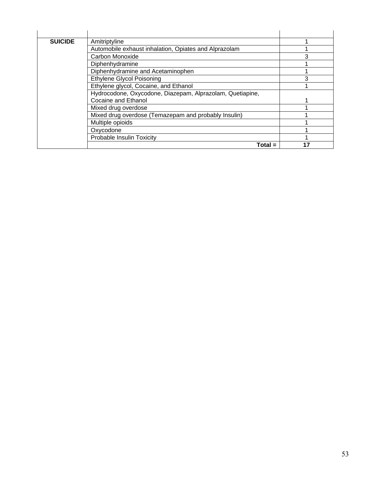| <b>SUICIDE</b> | Amitriptyline                                             |   |
|----------------|-----------------------------------------------------------|---|
|                | Automobile exhaust inhalation, Opiates and Alprazolam     |   |
|                | Carbon Monoxide                                           | 3 |
|                | Diphenhydramine                                           |   |
|                | Diphenhydramine and Acetaminophen                         |   |
|                | <b>Ethylene Glycol Poisoning</b>                          | 3 |
|                | Ethylene glycol, Cocaine, and Ethanol                     |   |
|                | Hydrocodone, Oxycodone, Diazepam, Alprazolam, Quetiapine, |   |
|                | Cocaine and Ethanol                                       |   |
|                | Mixed drug overdose                                       |   |
|                | Mixed drug overdose (Temazepam and probably Insulin)      |   |
|                | Multiple opioids                                          |   |
|                | Oxycodone                                                 |   |
|                | Probable Insulin Toxicity                                 |   |
|                | Total =                                                   |   |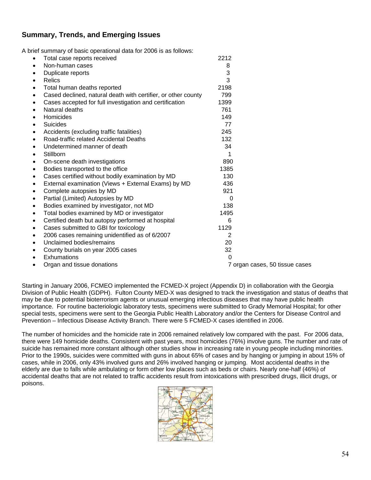#### **Summary, Trends, and Emerging Issues**

A brief summary of basic operational data for 2006 is as follows:

| $\bullet$ | Total case reports received                                   | 2212 |                                |
|-----------|---------------------------------------------------------------|------|--------------------------------|
| $\bullet$ | Non-human cases                                               | 8    |                                |
| $\bullet$ | Duplicate reports                                             | 3    |                                |
| $\bullet$ | Relics                                                        | 3    |                                |
| ٠         | Total human deaths reported                                   | 2198 |                                |
| $\bullet$ | Cased declined, natural death with certifier, or other county | 799  |                                |
| $\bullet$ | Cases accepted for full investigation and certification       | 1399 |                                |
| $\bullet$ | Natural deaths                                                | 761  |                                |
| $\bullet$ | Homicides                                                     | 149  |                                |
| $\bullet$ | <b>Suicides</b>                                               | 77   |                                |
| ٠         | Accidents (excluding traffic fatalities)                      | 245  |                                |
| $\bullet$ | Road-traffic related Accidental Deaths                        | 132  |                                |
| $\bullet$ | Undetermined manner of death                                  | 34   |                                |
| ٠         | Stillborn                                                     |      |                                |
| ٠         | On-scene death investigations                                 | 890  |                                |
| $\bullet$ | Bodies transported to the office                              | 1385 |                                |
| ٠         | Cases certified without bodily examination by MD              | 130  |                                |
| ٠         | External examination (Views + External Exams) by MD           | 436  |                                |
| ٠         | Complete autopsies by MD                                      | 921  |                                |
| $\bullet$ | Partial (Limited) Autopsies by MD                             | 0    |                                |
| $\bullet$ | Bodies examined by investigator, not MD                       | 138  |                                |
| ٠         | Total bodies examined by MD or investigator                   | 1495 |                                |
| $\bullet$ | Certified death but autopsy performed at hospital             | 6    |                                |
| $\bullet$ | Cases submitted to GBI for toxicology                         | 1129 |                                |
| ٠         | 2006 cases remaining unidentified as of 6/2007                | 2    |                                |
| $\bullet$ | Unclaimed bodies/remains                                      | 20   |                                |
| $\bullet$ | County burials on year 2005 cases                             | 32   |                                |
| $\bullet$ | Exhumations                                                   | 0    |                                |
|           | Organ and tissue donations                                    |      | 7 organ cases, 50 tissue cases |

Starting in January 2006, FCMEO implemented the FCMED-X project (Appendix D) in collaboration with the Georgia Division of Public Health (GDPH). Fulton County MED-X was designed to track the investigation and status of deaths that may be due to potential bioterrorism agents or unusual emerging infectious diseases that may have public health importance. For routine bacteriologic laboratory tests, specimens were submitted to Grady Memorial Hospital; for other special tests, specimens were sent to the Georgia Public Health Laboratory and/or the Centers for Disease Control and Prevention – Infectious Disease Activity Branch. There were 5 FCMED-X cases identified in 2006.

The number of homicides and the homicide rate in 2006 remained relatively low compared with the past. For 2006 data, there were 149 homicide deaths. Consistent with past years, most homicides (76%) involve guns. The number and rate of suicide has remained more constant although other studies show in increasing rate in young people including minorities. Prior to the 1990s, suicides were committed with guns in about 65% of cases and by hanging or jumping in about 15% of cases, while in 2006, only 43% involved guns and 26% involved hanging or jumping. Most accidental deaths in the elderly are due to falls while ambulating or form other low places such as beds or chairs. Nearly one-half (46%) of accidental deaths that are not related to traffic accidents result from intoxications with prescribed drugs, illicit drugs, or poisons.

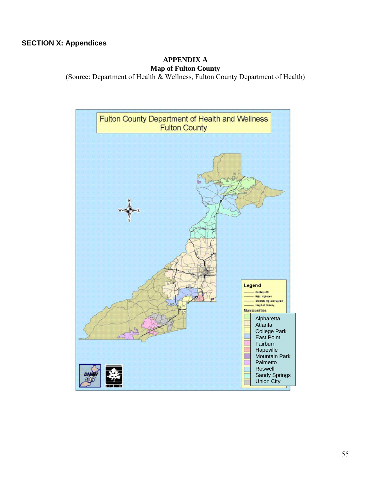#### **SECTION X: Appendices**

#### **APPENDIX A Map of Fulton County**

(Source: Department of Health & Wellness, Fulton County Department of Health)

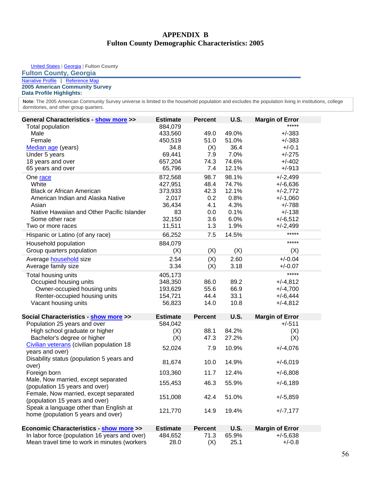#### **APPENDIX B Fulton County Demographic Characteristics: 2005**

United States | Georgia | **Fulton County**

#### **Fulton County, Georgia**

#### [Narrative Profile](http://factfinder.census.gov/servlet/NPTable?_bm=y&-geo_id=05000US13121&-qr_name=ACS_2005_EST_G00_NP01&-ds_name=&-redoLog=false) | Reference Map **2005 American Community Survey**

**Data Profile Highlights:** 

Note: The 2005 American Community Survey universe is limited to the household population and excludes the population living in institutions, college dormitories, and other group quarters.

| General Characteristics - show more >>                                       | <b>Estimate</b> | <b>Percent</b> | U.S.        | <b>Margin of Error</b> |  |
|------------------------------------------------------------------------------|-----------------|----------------|-------------|------------------------|--|
| Total population                                                             | 884,079         |                |             |                        |  |
| Male                                                                         | 433,560         | 49.0           | 49.0%       | $+/-383$               |  |
| Female                                                                       | 450,519         | 51.0           | 51.0%       | $+/-383$               |  |
| Median age (years)                                                           | 34.8            | (X)            | 36.4        | $+/-0.1$               |  |
| Under 5 years                                                                | 69,441          | 7.9            | 7.0%        | $+/-275$               |  |
| 18 years and over                                                            | 657,204         | 74.3           | 74.6%       | $+/-402$               |  |
| 65 years and over                                                            | 65,796          | 7.4            | 12.1%       | $+/-913$               |  |
| One race                                                                     | 872,568         | 98.7           | 98.1%       | $+/-2,499$             |  |
| White                                                                        | 427,951         | 48.4           | 74.7%       | $+/-6,636$             |  |
| <b>Black or African American</b>                                             | 373,933         | 42.3           | 12.1%       | $+/-2,772$             |  |
| American Indian and Alaska Native                                            | 2,017           | 0.2            | 0.8%        | $+/-1,060$             |  |
| Asian                                                                        | 36,434          | 4.1            | 4.3%        | $+/-788$               |  |
| Native Hawaiian and Other Pacific Islander                                   | 83              | 0.0            | 0.1%        | $+/-138$               |  |
| Some other race                                                              | 32,150          | 3.6            | 6.0%        | $+/-6,512$             |  |
| Two or more races                                                            | 11,511          | 1.3            | 1.9%        | $+/-2,499$             |  |
| Hispanic or Latino (of any race)                                             | 66,252          | 7.5            | 14.5%       | *****                  |  |
| Household population                                                         | 884,079         |                |             | *****                  |  |
| Group quarters population                                                    | (X)             | (X)            | (X)         | (X)                    |  |
| Average household size                                                       | 2.54            | (X)            | 2.60        | $+/-0.04$              |  |
| Average family size                                                          | 3.34            | (X)            | 3.18        | $+/-0.07$              |  |
| Total housing units                                                          | 405,173         |                |             | *****                  |  |
| Occupied housing units                                                       | 348,350         | 86.0           | 89.2        | $+/-4,812$             |  |
| Owner-occupied housing units                                                 | 193,629         | 55.6           | 66.9        | $+/-4,700$             |  |
| Renter-occupied housing units                                                | 154,721         | 44.4           | 33.1        | $+/-6,444$             |  |
| Vacant housing units                                                         | 56,823          | 14.0           | 10.8        | $+/-4,812$             |  |
| Social Characteristics - show more >>                                        | <b>Estimate</b> | <b>Percent</b> | U.S.        | <b>Margin of Error</b> |  |
| Population 25 years and over                                                 | 584,042         |                |             | $+/-511$               |  |
| High school graduate or higher                                               | (X)             | 88.1           | 84.2%       | (X)                    |  |
| Bachelor's degree or higher                                                  | (X)             | 47.3           | 27.2%       | (X)                    |  |
| Civilian veterans (civilian population 18                                    | 52,024          | 7.9            | 10.9%       | $+/-4,076$             |  |
| years and over)                                                              |                 |                |             |                        |  |
| Disability status (population 5 years and<br>over)                           | 81,674          | 10.0           | 14.9%       | $+/-6,019$             |  |
| Foreign born                                                                 | 103,360         | 11.7           | 12.4%       | $+/-6,808$             |  |
| Male, Now married, except separated                                          |                 | 46.3           |             |                        |  |
| (population 15 years and over)                                               | 155,453         |                | 55.9%       | $+/-6,189$             |  |
| Female, Now married, except separated                                        | 151,008         | 42.4           | 51.0%       | $+/-5,859$             |  |
| (population 15 years and over)                                               |                 |                |             |                        |  |
| Speak a language other than English at<br>home (population 5 years and over) | 121,770         | 14.9           | 19.4%       | $+/-7,177$             |  |
|                                                                              |                 |                |             |                        |  |
| <b>Economic Characteristics - show more &gt;&gt;</b>                         | <b>Estimate</b> | <b>Percent</b> | <b>U.S.</b> | <b>Margin of Error</b> |  |
| In labor force (population 16 years and over)                                | 484,652         | 71.3           | 65.9%       | $+/-5,638$             |  |
| Mean travel time to work in minutes (workers                                 | 28.0            | (X)            | 25.1        | $+/-0.8$               |  |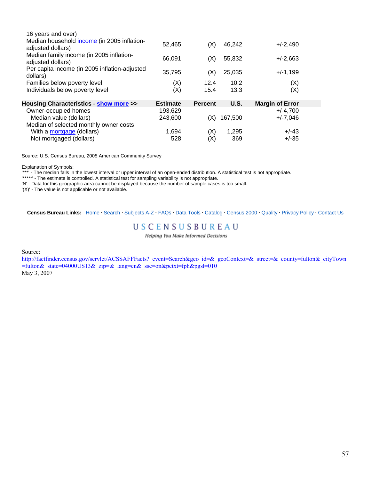| 52,465          | (X)            | 46,242  | $+/-2,490$             |                              |
|-----------------|----------------|---------|------------------------|------------------------------|
| 66,091          | (X)            | 55,832  | $+/-2,663$             |                              |
| 35,795          | (X)            | 25,035  | $+/-1,199$             |                              |
|                 | 12.4           | 10.2    |                        |                              |
| (X)             | 15.4           | 13.3    | (X)                    |                              |
| <b>Estimate</b> | <b>Percent</b> | U.S.    | <b>Margin of Error</b> |                              |
|                 |                |         |                        |                              |
|                 |                |         |                        |                              |
| 243,600         | (X)            | 167,500 | $+/-7,046$             |                              |
|                 |                |         |                        |                              |
| 1,694           | (X)            | 1,295   | $+/-43$                |                              |
|                 | (X)            |         |                        | (X)<br>$+/-4,700$<br>193,629 |

Source: U.S. Census Bureau, 2005 American Community Survey

Explanation of Symbols:

'\*\*\*' - The median falls in the lowest interval or upper interval of an open-ended distribution. A statistical test is not appropriate.

'\*\*\*\*\*' - The estimate is controlled. A statistical test for sampling variability is not appropriate.

'N' - Data for this geographic area cannot be displayed because the number of sample cases is too small.

'(X)' - The value is not applicable or not available.

**Census Bureau Links:** [Home](http://www.census.gov/) **·** [Search](http://www.census.gov/main/www/srchtool.html) **·** [Subjects A-Z](http://www.census.gov/main/www/subjects.html) **·** [FAQs](http://ask.census.gov/) **·** [Data Tools](http://www.census.gov/main/www/access.html) **·** [Catalog](https://censuscatalog.mso.census.gov/esales/start.swe?SWECmd=Start) **·** [Census 2000](http://www.census.gov/main/www/cen2000.html) **·** [Quality](http://www.census.gov/qdocs/www/) **·** [Privacy Policy](http://www.census.gov/privacy/) **·** [Contact Us](http://www.census.gov/main/www/contacts.html)

#### USCENSUSBUREAU

Helping You Make Informed Decisions

Source:

[http://factfinder.census.gov/servlet/ACSSAFFFacts?\\_event=Search&geo\\_id=&\\_geoContext=&\\_street=&\\_county=fulton&\\_cityTown](http://factfinder.census.gov/servlet/ACSSAFFFacts?_event=Search&geo_id=&_geoContext=&_street=&_county=fulton&_cityTown=fulton&_state=04000US13&_zip=&_lang=en&_sse=on&pctxt=fph&pgsl=010) [=fulton&\\_state=04000US13&\\_zip=&\\_lang=en&\\_sse=on&pctxt=fph&pgsl=010](http://factfinder.census.gov/servlet/ACSSAFFFacts?_event=Search&geo_id=&_geoContext=&_street=&_county=fulton&_cityTown=fulton&_state=04000US13&_zip=&_lang=en&_sse=on&pctxt=fph&pgsl=010) May 3, 2007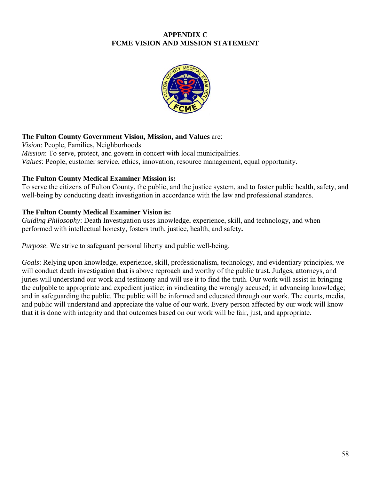#### **APPENDIX C FCME VISION AND MISSION STATEMENT**



#### **The Fulton County Government Vision, Mission, and Values** are:

*Vision*: People, Families, Neighborhoods *Mission*: To serve, protect, and govern in concert with local municipalities. *Values*: People, customer service, ethics, innovation, resource management, equal opportunity.

#### **The Fulton County Medical Examiner Mission is:**

To serve the citizens of Fulton County, the public, and the justice system, and to foster public health, safety, and well-being by conducting death investigation in accordance with the law and professional standards.

#### **The Fulton County Medical Examiner Vision is:**

*Guiding Philosophy*: Death Investigation uses knowledge, experience, skill, and technology, and when performed with intellectual honesty, fosters truth, justice, health, and safety**.** 

*Purpose*: We strive to safeguard personal liberty and public well-being.

*Goals*: Relying upon knowledge, experience, skill, professionalism, technology, and evidentiary principles, we will conduct death investigation that is above reproach and worthy of the public trust. Judges, attorneys, and juries will understand our work and testimony and will use it to find the truth. Our work will assist in bringing the culpable to appropriate and expedient justice; in vindicating the wrongly accused; in advancing knowledge; and in safeguarding the public. The public will be informed and educated through our work. The courts, media, and public will understand and appreciate the value of our work. Every person affected by our work will know that it is done with integrity and that outcomes based on our work will be fair, just, and appropriate.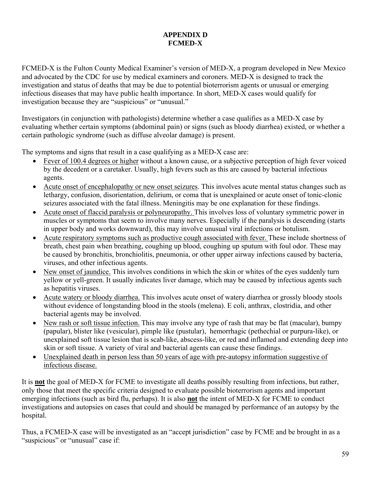#### **APPENDIX D FCMED-X**

FCMED-X is the Fulton County Medical Examiner's version of MED-X, a program developed in New Mexico and advocated by the CDC for use by medical examiners and coroners. MED-X is designed to track the investigation and status of deaths that may be due to potential bioterrorism agents or unusual or emerging infectious diseases that may have public health importance. In short, MED-X cases would qualify for investigation because they are "suspicious" or "unusual."

Investigators (in conjunction with pathologists) determine whether a case qualifies as a MED-X case by evaluating whether certain symptoms (abdominal pain) or signs (such as bloody diarrhea) existed, or whether a certain pathologic syndrome (such as diffuse alveolar damage) is present.

The symptoms and signs that result in a case qualifying as a MED-X case are:

- Fever of 100.4 degrees or higher without a known cause, or a subjective perception of high fever voiced by the decedent or a caretaker. Usually, high fevers such as this are caused by bacterial infectious agents.
- Acute onset of encephalopathy or new onset seizures. This involves acute mental status changes such as lethargy, confusion, disorientation, delirium, or coma that is unexplained or acute onset of tonic-clonic seizures associated with the fatal illness. Meningitis may be one explanation for these findings.
- Acute onset of flaccid paralysis or polyneuropathy. This involves loss of voluntary symmetric power in muscles or symptoms that seem to involve many nerves. Especially if the paralysis is descending (starts in upper body and works downward), this may involve unusual viral infections or botulism.
- Acute respiratory symptoms such as productive cough associated with fever. These include shortness of breath, chest pain when breathing, coughing up blood, coughing up sputum with foul odor. These may be caused by bronchitis, bronchiolitis, pneumonia, or other upper airway infections caused by bacteria, viruses, and other infectious agents.
- New onset of jaundice. This involves conditions in which the skin or whites of the eyes suddenly turn yellow or yell-green. It usually indicates liver damage, which may be caused by infectious agents such as hepatitis viruses.
- Acute watery or bloody diarrhea. This involves acute onset of watery diarrhea or grossly bloody stools without evidence of longstanding blood in the stools (melena). E coli, anthrax, clostridia, and other bacterial agents may be involved.
- New rash or soft tissue infection. This may involve any type of rash that may be flat (macular), bumpy (papular), blister like (vesicular), pimple like (pustular), hemorrhagic (pethechial or purpura-like), or unexplained soft tissue lesion that is scab-like, abscess-like, or red and inflamed and extending deep into skin or soft tissue. A variety of viral and bacterial agents can cause these findings.
- Unexplained death in person less than 50 years of age with pre-autopsy information suggestive of infectious disease.

It is **not** the goal of MED-X for FCME to investigate all deaths possibly resulting from infections, but rather, only those that meet the specific criteria designed to evaluate possible bioterrorism agents and important emerging infections (such as bird flu, perhaps). It is also **not** the intent of MED-X for FCME to conduct investigations and autopsies on cases that could and should be managed by performance of an autopsy by the hospital.

Thus, a FCMED-X case will be investigated as an "accept jurisdiction" case by FCME and be brought in as a "suspicious" or "unusual" case if: